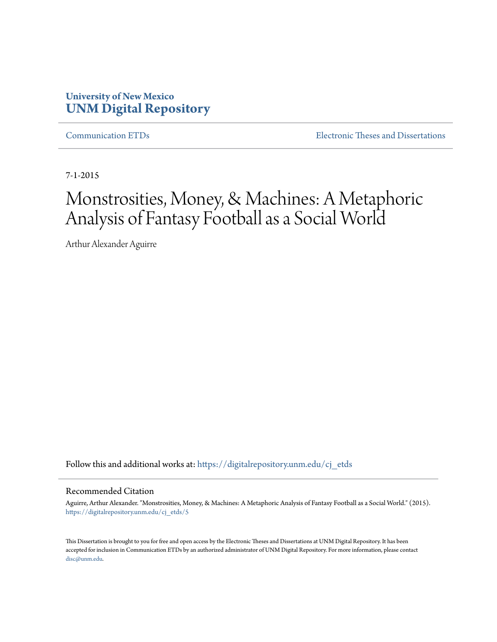# **University of New Mexico [UNM Digital Repository](https://digitalrepository.unm.edu?utm_source=digitalrepository.unm.edu%2Fcj_etds%2F5&utm_medium=PDF&utm_campaign=PDFCoverPages)**

[Communication ETDs](https://digitalrepository.unm.edu/cj_etds?utm_source=digitalrepository.unm.edu%2Fcj_etds%2F5&utm_medium=PDF&utm_campaign=PDFCoverPages) [Electronic Theses and Dissertations](https://digitalrepository.unm.edu/etds?utm_source=digitalrepository.unm.edu%2Fcj_etds%2F5&utm_medium=PDF&utm_campaign=PDFCoverPages)

7-1-2015

# Monstrosities, Money, & Machines: A Metaphoric Analysis of Fantasy Football as a Social World

Arthur Alexander Aguirre

Follow this and additional works at: [https://digitalrepository.unm.edu/cj\\_etds](https://digitalrepository.unm.edu/cj_etds?utm_source=digitalrepository.unm.edu%2Fcj_etds%2F5&utm_medium=PDF&utm_campaign=PDFCoverPages)

#### Recommended Citation

Aguirre, Arthur Alexander. "Monstrosities, Money, & Machines: A Metaphoric Analysis of Fantasy Football as a Social World." (2015). [https://digitalrepository.unm.edu/cj\\_etds/5](https://digitalrepository.unm.edu/cj_etds/5?utm_source=digitalrepository.unm.edu%2Fcj_etds%2F5&utm_medium=PDF&utm_campaign=PDFCoverPages)

This Dissertation is brought to you for free and open access by the Electronic Theses and Dissertations at UNM Digital Repository. It has been accepted for inclusion in Communication ETDs by an authorized administrator of UNM Digital Repository. For more information, please contact [disc@unm.edu](mailto:disc@unm.edu).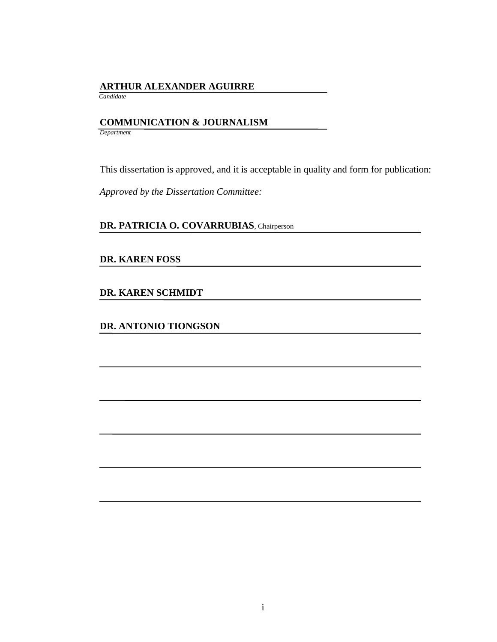## **ARTHUR ALEXANDER AGUIRRE**

 *Candidate*

# **COMMUNICATION & JOURNALISM**

*Department*

This dissertation is approved, and it is acceptable in quality and form for publication:

*Approved by the Dissertation Committee:*

## **DR. PATRICIA O. COVARRUBIAS**, Chairperson

## **DR. KAREN FOSS**

**DR. KAREN SCHMIDT**

**DR. ANTONIO TIONGSON**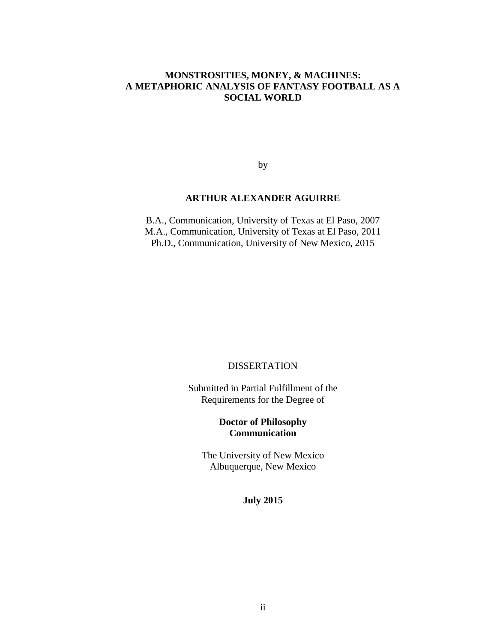### **MONSTROSITIES, MONEY, & MACHINES: A METAPHORIC ANALYSIS OF FANTASY FOOTBALL AS A SOCIAL WORLD**

by

#### **ARTHUR ALEXANDER AGUIRRE**

B.A., Communication, University of Texas at El Paso, 2007 M.A., Communication, University of Texas at El Paso, 2011 Ph.D., Communication, University of New Mexico, 2015

#### **DISSERTATION**

Submitted in Partial Fulfillment of the Requirements for the Degree of

### **Doctor of Philosophy Communication**

The University of New Mexico Albuquerque, New Mexico

#### **July 2015**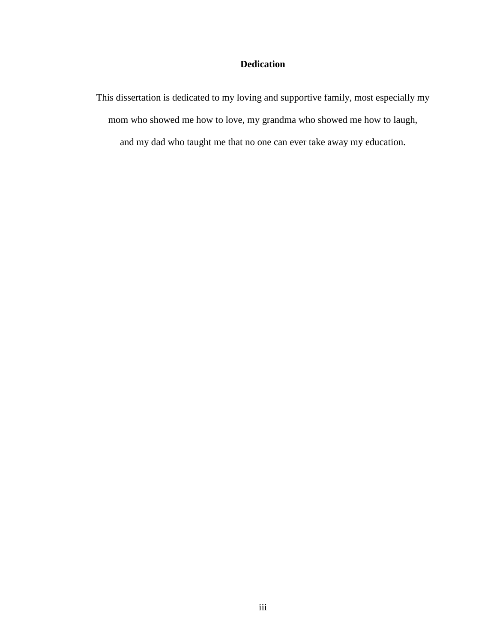## **Dedication**

This dissertation is dedicated to my loving and supportive family, most especially my mom who showed me how to love, my grandma who showed me how to laugh, and my dad who taught me that no one can ever take away my education.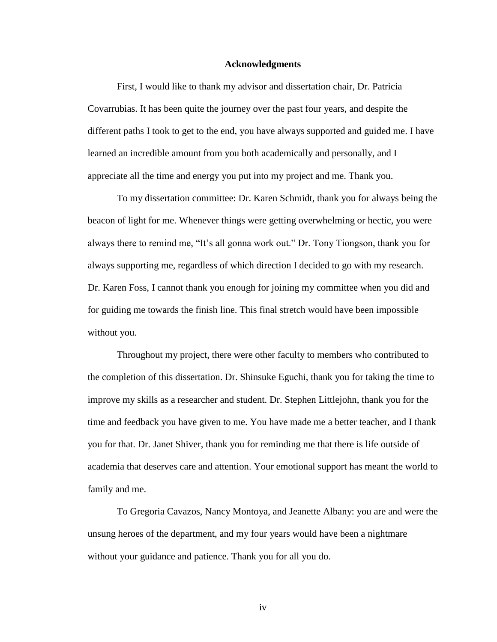#### **Acknowledgments**

First, I would like to thank my advisor and dissertation chair, Dr. Patricia Covarrubias. It has been quite the journey over the past four years, and despite the different paths I took to get to the end, you have always supported and guided me. I have learned an incredible amount from you both academically and personally, and I appreciate all the time and energy you put into my project and me. Thank you.

To my dissertation committee: Dr. Karen Schmidt, thank you for always being the beacon of light for me. Whenever things were getting overwhelming or hectic, you were always there to remind me, "It's all gonna work out." Dr. Tony Tiongson, thank you for always supporting me, regardless of which direction I decided to go with my research. Dr. Karen Foss, I cannot thank you enough for joining my committee when you did and for guiding me towards the finish line. This final stretch would have been impossible without you.

Throughout my project, there were other faculty to members who contributed to the completion of this dissertation. Dr. Shinsuke Eguchi, thank you for taking the time to improve my skills as a researcher and student. Dr. Stephen Littlejohn, thank you for the time and feedback you have given to me. You have made me a better teacher, and I thank you for that. Dr. Janet Shiver, thank you for reminding me that there is life outside of academia that deserves care and attention. Your emotional support has meant the world to family and me.

To Gregoria Cavazos, Nancy Montoya, and Jeanette Albany: you are and were the unsung heroes of the department, and my four years would have been a nightmare without your guidance and patience. Thank you for all you do.

iv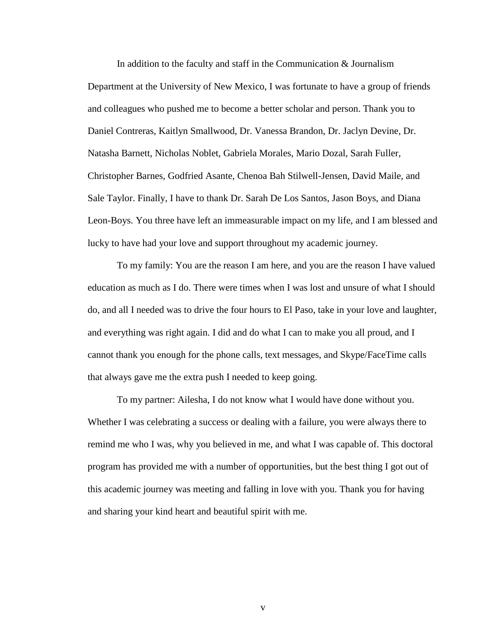In addition to the faculty and staff in the Communication & Journalism Department at the University of New Mexico, I was fortunate to have a group of friends and colleagues who pushed me to become a better scholar and person. Thank you to Daniel Contreras, Kaitlyn Smallwood, Dr. Vanessa Brandon, Dr. Jaclyn Devine, Dr. Natasha Barnett, Nicholas Noblet, Gabriela Morales, Mario Dozal, Sarah Fuller, Christopher Barnes, Godfried Asante, Chenoa Bah Stilwell-Jensen, David Maile, and Sale Taylor. Finally, I have to thank Dr. Sarah De Los Santos, Jason Boys, and Diana Leon-Boys. You three have left an immeasurable impact on my life, and I am blessed and lucky to have had your love and support throughout my academic journey.

To my family: You are the reason I am here, and you are the reason I have valued education as much as I do. There were times when I was lost and unsure of what I should do, and all I needed was to drive the four hours to El Paso, take in your love and laughter, and everything was right again. I did and do what I can to make you all proud, and I cannot thank you enough for the phone calls, text messages, and Skype/FaceTime calls that always gave me the extra push I needed to keep going.

To my partner: Ailesha, I do not know what I would have done without you. Whether I was celebrating a success or dealing with a failure, you were always there to remind me who I was, why you believed in me, and what I was capable of. This doctoral program has provided me with a number of opportunities, but the best thing I got out of this academic journey was meeting and falling in love with you. Thank you for having and sharing your kind heart and beautiful spirit with me.

v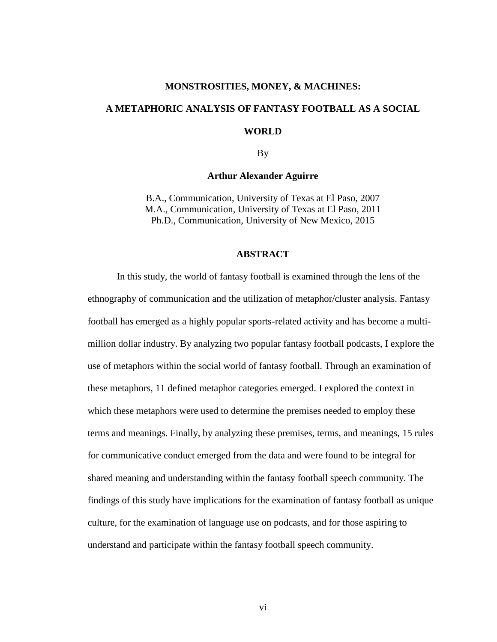#### **MONSTROSITIES, MONEY, & MACHINES:**

# **A METAPHORIC ANALYSIS OF FANTASY FOOTBALL AS A SOCIAL**

**WORLD**

By

#### **Arthur Alexander Aguirre**

B.A., Communication, University of Texas at El Paso, 2007 M.A., Communication, University of Texas at El Paso, 2011 Ph.D., Communication, University of New Mexico, 2015

#### **ABSTRACT**

In this study, the world of fantasy football is examined through the lens of the ethnography of communication and the utilization of metaphor/cluster analysis. Fantasy football has emerged as a highly popular sports-related activity and has become a multimillion dollar industry. By analyzing two popular fantasy football podcasts, I explore the use of metaphors within the social world of fantasy football. Through an examination of these metaphors, 11 defined metaphor categories emerged. I explored the context in which these metaphors were used to determine the premises needed to employ these terms and meanings. Finally, by analyzing these premises, terms, and meanings, 15 rules for communicative conduct emerged from the data and were found to be integral for shared meaning and understanding within the fantasy football speech community. The findings of this study have implications for the examination of fantasy football as unique culture, for the examination of language use on podcasts, and for those aspiring to understand and participate within the fantasy football speech community.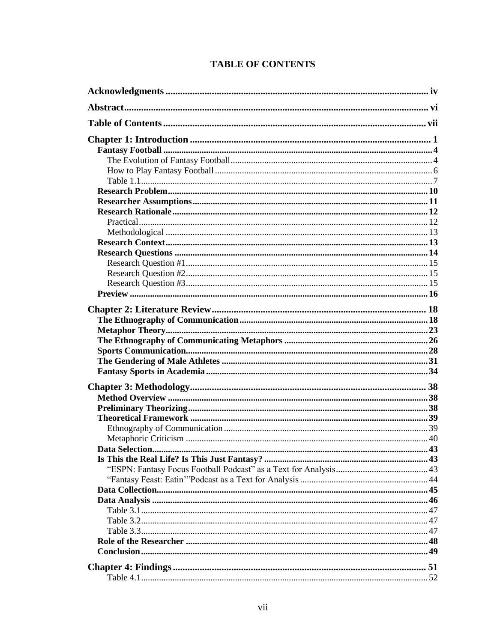|  |  | <b>TABLE OF CONTENTS</b> |
|--|--|--------------------------|
|--|--|--------------------------|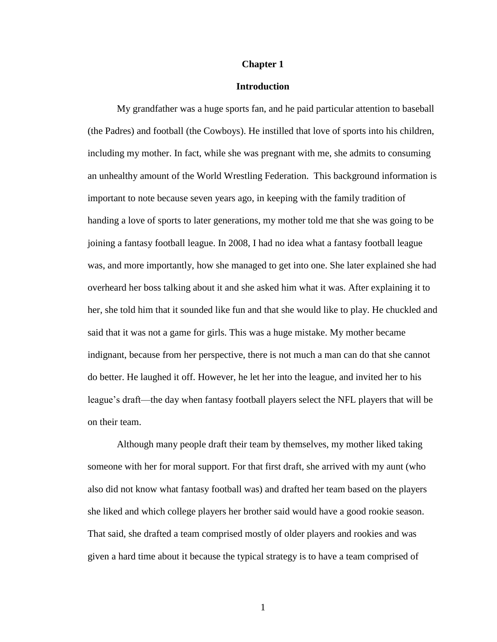#### **Chapter 1**

#### **Introduction**

My grandfather was a huge sports fan, and he paid particular attention to baseball (the Padres) and football (the Cowboys). He instilled that love of sports into his children, including my mother. In fact, while she was pregnant with me, she admits to consuming an unhealthy amount of the World Wrestling Federation. This background information is important to note because seven years ago, in keeping with the family tradition of handing a love of sports to later generations, my mother told me that she was going to be joining a fantasy football league. In 2008, I had no idea what a fantasy football league was, and more importantly, how she managed to get into one. She later explained she had overheard her boss talking about it and she asked him what it was. After explaining it to her, she told him that it sounded like fun and that she would like to play. He chuckled and said that it was not a game for girls. This was a huge mistake. My mother became indignant, because from her perspective, there is not much a man can do that she cannot do better. He laughed it off. However, he let her into the league, and invited her to his league's draft—the day when fantasy football players select the NFL players that will be on their team.

Although many people draft their team by themselves, my mother liked taking someone with her for moral support. For that first draft, she arrived with my aunt (who also did not know what fantasy football was) and drafted her team based on the players she liked and which college players her brother said would have a good rookie season. That said, she drafted a team comprised mostly of older players and rookies and was given a hard time about it because the typical strategy is to have a team comprised of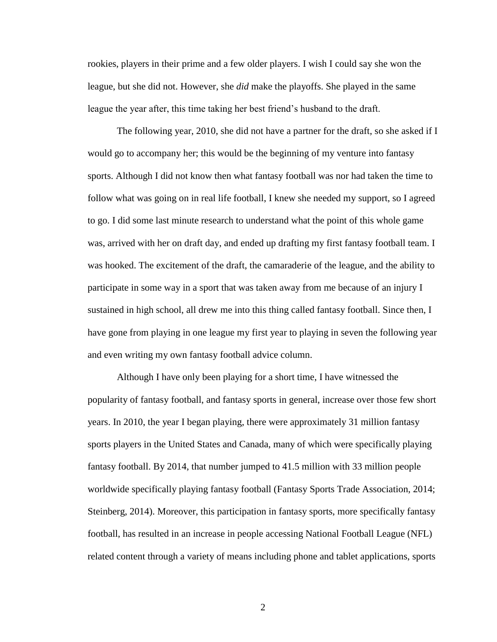rookies, players in their prime and a few older players. I wish I could say she won the league, but she did not. However, she *did* make the playoffs. She played in the same league the year after, this time taking her best friend's husband to the draft.

The following year, 2010, she did not have a partner for the draft, so she asked if I would go to accompany her; this would be the beginning of my venture into fantasy sports. Although I did not know then what fantasy football was nor had taken the time to follow what was going on in real life football, I knew she needed my support, so I agreed to go. I did some last minute research to understand what the point of this whole game was, arrived with her on draft day, and ended up drafting my first fantasy football team. I was hooked. The excitement of the draft, the camaraderie of the league, and the ability to participate in some way in a sport that was taken away from me because of an injury I sustained in high school, all drew me into this thing called fantasy football. Since then, I have gone from playing in one league my first year to playing in seven the following year and even writing my own fantasy football advice column.

Although I have only been playing for a short time, I have witnessed the popularity of fantasy football, and fantasy sports in general, increase over those few short years. In 2010, the year I began playing, there were approximately 31 million fantasy sports players in the United States and Canada, many of which were specifically playing fantasy football. By 2014, that number jumped to 41.5 million with 33 million people worldwide specifically playing fantasy football (Fantasy Sports Trade Association, 2014; Steinberg, 2014). Moreover, this participation in fantasy sports, more specifically fantasy football, has resulted in an increase in people accessing National Football League (NFL) related content through a variety of means including phone and tablet applications, sports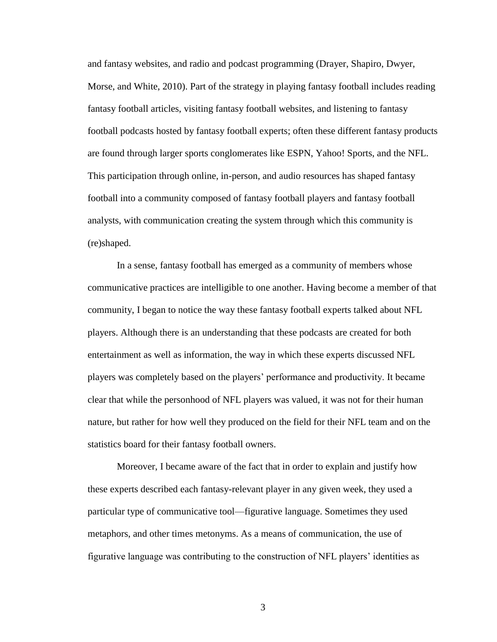and fantasy websites, and radio and podcast programming (Drayer, Shapiro, Dwyer, Morse, and White, 2010). Part of the strategy in playing fantasy football includes reading fantasy football articles, visiting fantasy football websites, and listening to fantasy football podcasts hosted by fantasy football experts; often these different fantasy products are found through larger sports conglomerates like ESPN, Yahoo! Sports, and the NFL. This participation through online, in-person, and audio resources has shaped fantasy football into a community composed of fantasy football players and fantasy football analysts, with communication creating the system through which this community is (re)shaped.

In a sense, fantasy football has emerged as a community of members whose communicative practices are intelligible to one another. Having become a member of that community, I began to notice the way these fantasy football experts talked about NFL players. Although there is an understanding that these podcasts are created for both entertainment as well as information, the way in which these experts discussed NFL players was completely based on the players' performance and productivity. It became clear that while the personhood of NFL players was valued, it was not for their human nature, but rather for how well they produced on the field for their NFL team and on the statistics board for their fantasy football owners.

Moreover, I became aware of the fact that in order to explain and justify how these experts described each fantasy-relevant player in any given week, they used a particular type of communicative tool—figurative language. Sometimes they used metaphors, and other times metonyms. As a means of communication, the use of figurative language was contributing to the construction of NFL players' identities as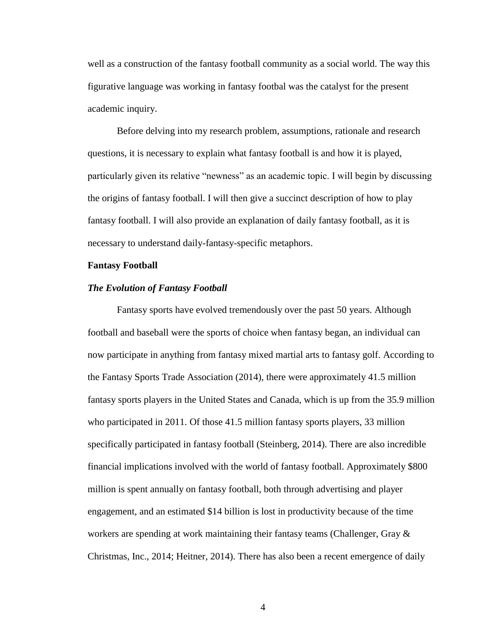well as a construction of the fantasy football community as a social world. The way this figurative language was working in fantasy footbal was the catalyst for the present academic inquiry.

Before delving into my research problem, assumptions, rationale and research questions, it is necessary to explain what fantasy football is and how it is played, particularly given its relative "newness" as an academic topic. I will begin by discussing the origins of fantasy football. I will then give a succinct description of how to play fantasy football. I will also provide an explanation of daily fantasy football, as it is necessary to understand daily-fantasy-specific metaphors.

#### **Fantasy Football**

#### *The Evolution of Fantasy Football*

Fantasy sports have evolved tremendously over the past 50 years. Although football and baseball were the sports of choice when fantasy began, an individual can now participate in anything from fantasy mixed martial arts to fantasy golf. According to the Fantasy Sports Trade Association (2014), there were approximately 41.5 million fantasy sports players in the United States and Canada, which is up from the 35.9 million who participated in 2011. Of those 41.5 million fantasy sports players, 33 million specifically participated in fantasy football (Steinberg, 2014). There are also incredible financial implications involved with the world of fantasy football. Approximately \$800 million is spent annually on fantasy football, both through advertising and player engagement, and an estimated \$14 billion is lost in productivity because of the time workers are spending at work maintaining their fantasy teams (Challenger, Gray  $\&$ Christmas, Inc., 2014; Heitner, 2014). There has also been a recent emergence of daily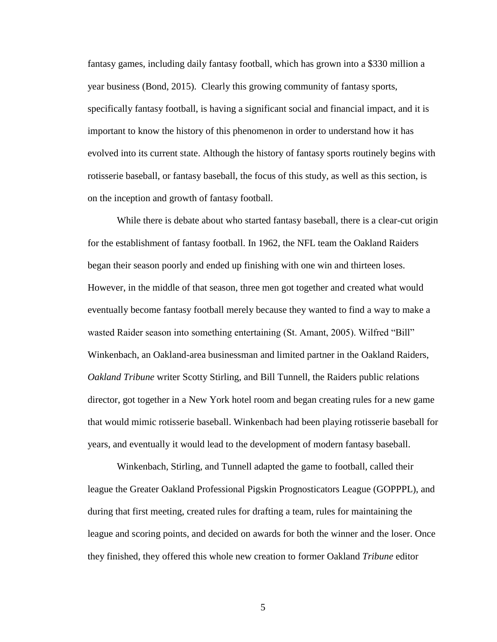fantasy games, including daily fantasy football, which has grown into a \$330 million a year business (Bond, 2015). Clearly this growing community of fantasy sports, specifically fantasy football, is having a significant social and financial impact, and it is important to know the history of this phenomenon in order to understand how it has evolved into its current state. Although the history of fantasy sports routinely begins with rotisserie baseball, or fantasy baseball, the focus of this study, as well as this section, is on the inception and growth of fantasy football.

While there is debate about who started fantasy baseball, there is a clear-cut origin for the establishment of fantasy football. In 1962, the NFL team the Oakland Raiders began their season poorly and ended up finishing with one win and thirteen loses. However, in the middle of that season, three men got together and created what would eventually become fantasy football merely because they wanted to find a way to make a wasted Raider season into something entertaining (St. Amant, 2005). Wilfred "Bill" Winkenbach, an Oakland-area businessman and limited partner in the Oakland Raiders, *Oakland Tribune* writer Scotty Stirling, and Bill Tunnell, the Raiders public relations director, got together in a New York hotel room and began creating rules for a new game that would mimic rotisserie baseball. Winkenbach had been playing rotisserie baseball for years, and eventually it would lead to the development of modern fantasy baseball.

Winkenbach, Stirling, and Tunnell adapted the game to football, called their league the Greater Oakland Professional Pigskin Prognosticators League (GOPPPL), and during that first meeting, created rules for drafting a team, rules for maintaining the league and scoring points, and decided on awards for both the winner and the loser. Once they finished, they offered this whole new creation to former Oakland *Tribune* editor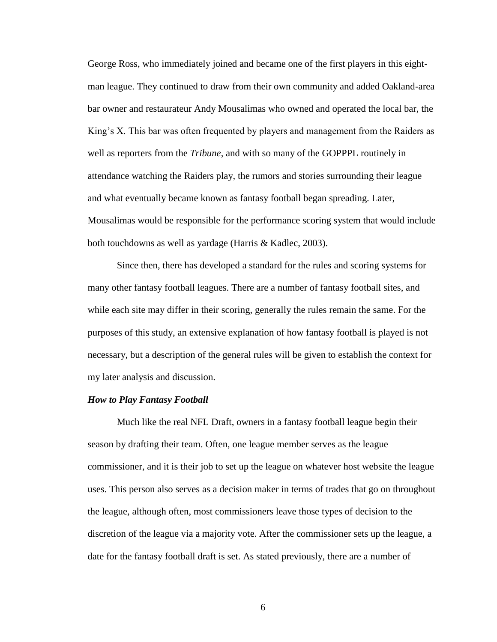George Ross, who immediately joined and became one of the first players in this eightman league. They continued to draw from their own community and added Oakland-area bar owner and restaurateur Andy Mousalimas who owned and operated the local bar, the King's X. This bar was often frequented by players and management from the Raiders as well as reporters from the *Tribune*, and with so many of the GOPPPL routinely in attendance watching the Raiders play, the rumors and stories surrounding their league and what eventually became known as fantasy football began spreading. Later, Mousalimas would be responsible for the performance scoring system that would include both touchdowns as well as yardage (Harris & Kadlec, 2003).

Since then, there has developed a standard for the rules and scoring systems for many other fantasy football leagues. There are a number of fantasy football sites, and while each site may differ in their scoring, generally the rules remain the same. For the purposes of this study, an extensive explanation of how fantasy football is played is not necessary, but a description of the general rules will be given to establish the context for my later analysis and discussion.

#### *How to Play Fantasy Football*

Much like the real NFL Draft, owners in a fantasy football league begin their season by drafting their team. Often, one league member serves as the league commissioner, and it is their job to set up the league on whatever host website the league uses. This person also serves as a decision maker in terms of trades that go on throughout the league, although often, most commissioners leave those types of decision to the discretion of the league via a majority vote. After the commissioner sets up the league, a date for the fantasy football draft is set. As stated previously, there are a number of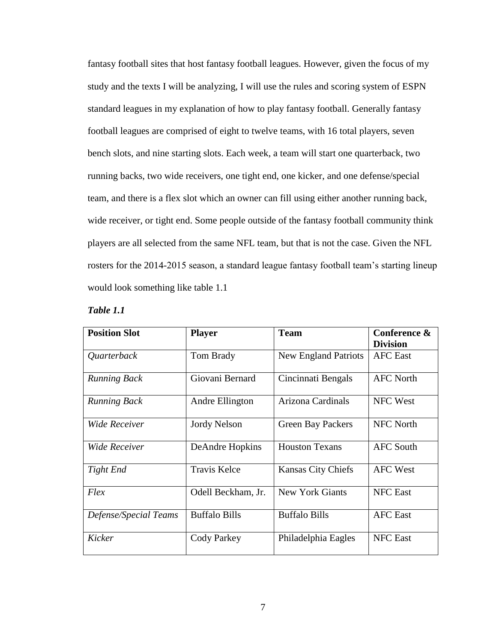fantasy football sites that host fantasy football leagues. However, given the focus of my study and the texts I will be analyzing, I will use the rules and scoring system of ESPN standard leagues in my explanation of how to play fantasy football. Generally fantasy football leagues are comprised of eight to twelve teams, with 16 total players, seven bench slots, and nine starting slots. Each week, a team will start one quarterback, two running backs, two wide receivers, one tight end, one kicker, and one defense/special team, and there is a flex slot which an owner can fill using either another running back, wide receiver, or tight end. Some people outside of the fantasy football community think players are all selected from the same NFL team, but that is not the case. Given the NFL rosters for the 2014-2015 season, a standard league fantasy football team's starting lineup would look something like table 1.1

| Table |  |
|-------|--|
|-------|--|

| <b>Position Slot</b>  | <b>Player</b>        | <b>Team</b>                 | Conference &<br><b>Division</b> |
|-----------------------|----------------------|-----------------------------|---------------------------------|
| Quarterback           | Tom Brady            | <b>New England Patriots</b> | <b>AFC</b> East                 |
| <b>Running Back</b>   | Giovani Bernard      | Cincinnati Bengals          | <b>AFC North</b>                |
| <b>Running Back</b>   | Andre Ellington      | Arizona Cardinals           | NFC West                        |
| <b>Wide Receiver</b>  | <b>Jordy Nelson</b>  | <b>Green Bay Packers</b>    | <b>NFC North</b>                |
| <b>Wide Receiver</b>  | DeAndre Hopkins      | <b>Houston Texans</b>       | <b>AFC South</b>                |
| Tight End             | <b>Travis Kelce</b>  | <b>Kansas City Chiefs</b>   | <b>AFC West</b>                 |
| Flex                  | Odell Beckham, Jr.   | <b>New York Giants</b>      | <b>NFC</b> East                 |
| Defense/Special Teams | <b>Buffalo Bills</b> | <b>Buffalo Bills</b>        | <b>AFC</b> East                 |
| Kicker                | Cody Parkey          | Philadelphia Eagles         | <b>NFC</b> East                 |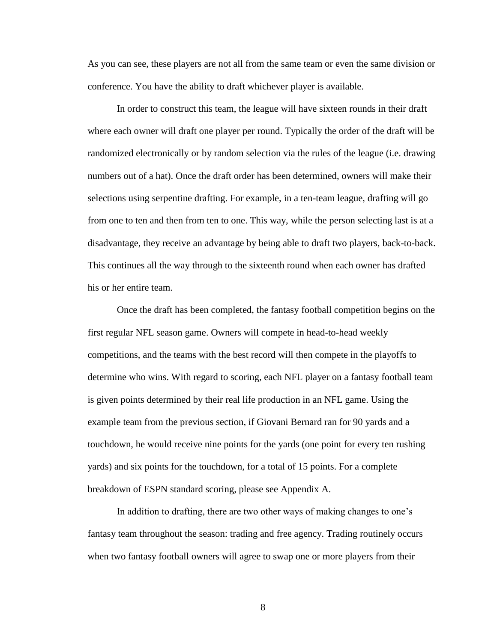As you can see, these players are not all from the same team or even the same division or conference. You have the ability to draft whichever player is available.

In order to construct this team, the league will have sixteen rounds in their draft where each owner will draft one player per round. Typically the order of the draft will be randomized electronically or by random selection via the rules of the league (i.e. drawing numbers out of a hat). Once the draft order has been determined, owners will make their selections using serpentine drafting. For example, in a ten-team league, drafting will go from one to ten and then from ten to one. This way, while the person selecting last is at a disadvantage, they receive an advantage by being able to draft two players, back-to-back. This continues all the way through to the sixteenth round when each owner has drafted his or her entire team.

Once the draft has been completed, the fantasy football competition begins on the first regular NFL season game. Owners will compete in head-to-head weekly competitions, and the teams with the best record will then compete in the playoffs to determine who wins. With regard to scoring, each NFL player on a fantasy football team is given points determined by their real life production in an NFL game. Using the example team from the previous section, if Giovani Bernard ran for 90 yards and a touchdown, he would receive nine points for the yards (one point for every ten rushing yards) and six points for the touchdown, for a total of 15 points. For a complete breakdown of ESPN standard scoring, please see Appendix A.

In addition to drafting, there are two other ways of making changes to one's fantasy team throughout the season: trading and free agency. Trading routinely occurs when two fantasy football owners will agree to swap one or more players from their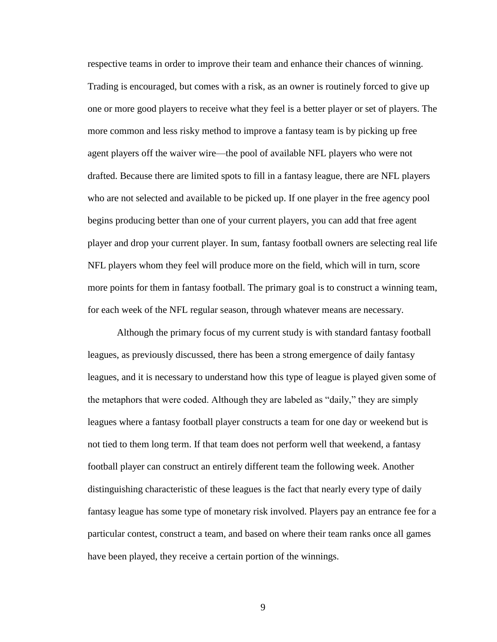respective teams in order to improve their team and enhance their chances of winning. Trading is encouraged, but comes with a risk, as an owner is routinely forced to give up one or more good players to receive what they feel is a better player or set of players. The more common and less risky method to improve a fantasy team is by picking up free agent players off the waiver wire—the pool of available NFL players who were not drafted. Because there are limited spots to fill in a fantasy league, there are NFL players who are not selected and available to be picked up. If one player in the free agency pool begins producing better than one of your current players, you can add that free agent player and drop your current player. In sum, fantasy football owners are selecting real life NFL players whom they feel will produce more on the field, which will in turn, score more points for them in fantasy football. The primary goal is to construct a winning team, for each week of the NFL regular season, through whatever means are necessary.

Although the primary focus of my current study is with standard fantasy football leagues, as previously discussed, there has been a strong emergence of daily fantasy leagues, and it is necessary to understand how this type of league is played given some of the metaphors that were coded. Although they are labeled as "daily," they are simply leagues where a fantasy football player constructs a team for one day or weekend but is not tied to them long term. If that team does not perform well that weekend, a fantasy football player can construct an entirely different team the following week. Another distinguishing characteristic of these leagues is the fact that nearly every type of daily fantasy league has some type of monetary risk involved. Players pay an entrance fee for a particular contest, construct a team, and based on where their team ranks once all games have been played, they receive a certain portion of the winnings.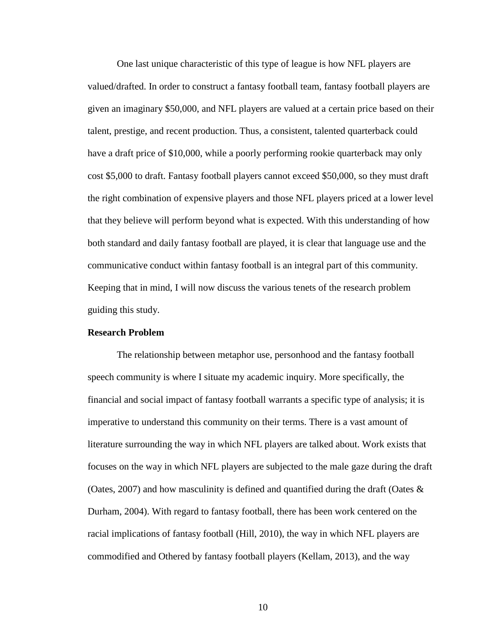One last unique characteristic of this type of league is how NFL players are valued/drafted. In order to construct a fantasy football team, fantasy football players are given an imaginary \$50,000, and NFL players are valued at a certain price based on their talent, prestige, and recent production. Thus, a consistent, talented quarterback could have a draft price of \$10,000, while a poorly performing rookie quarterback may only cost \$5,000 to draft. Fantasy football players cannot exceed \$50,000, so they must draft the right combination of expensive players and those NFL players priced at a lower level that they believe will perform beyond what is expected. With this understanding of how both standard and daily fantasy football are played, it is clear that language use and the communicative conduct within fantasy football is an integral part of this community. Keeping that in mind, I will now discuss the various tenets of the research problem guiding this study.

#### **Research Problem**

The relationship between metaphor use, personhood and the fantasy football speech community is where I situate my academic inquiry. More specifically, the financial and social impact of fantasy football warrants a specific type of analysis; it is imperative to understand this community on their terms. There is a vast amount of literature surrounding the way in which NFL players are talked about. Work exists that focuses on the way in which NFL players are subjected to the male gaze during the draft (Oates, 2007) and how masculinity is defined and quantified during the draft (Oates  $\&$ Durham, 2004). With regard to fantasy football, there has been work centered on the racial implications of fantasy football (Hill, 2010), the way in which NFL players are commodified and Othered by fantasy football players (Kellam, 2013), and the way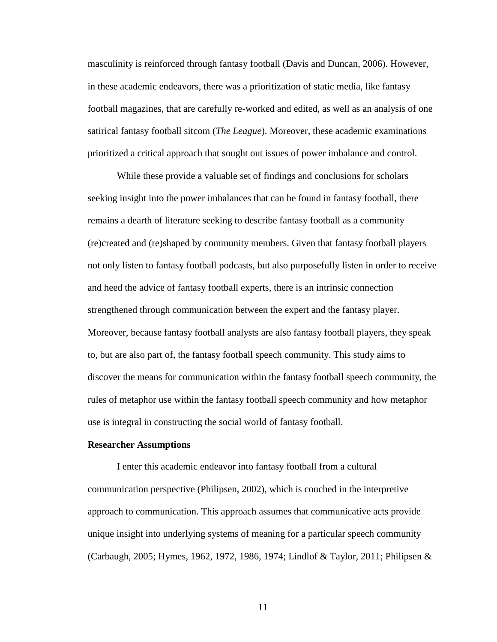masculinity is reinforced through fantasy football (Davis and Duncan, 2006). However, in these academic endeavors, there was a prioritization of static media, like fantasy football magazines, that are carefully re-worked and edited, as well as an analysis of one satirical fantasy football sitcom (*The League*). Moreover, these academic examinations prioritized a critical approach that sought out issues of power imbalance and control.

While these provide a valuable set of findings and conclusions for scholars seeking insight into the power imbalances that can be found in fantasy football, there remains a dearth of literature seeking to describe fantasy football as a community (re)created and (re)shaped by community members. Given that fantasy football players not only listen to fantasy football podcasts, but also purposefully listen in order to receive and heed the advice of fantasy football experts, there is an intrinsic connection strengthened through communication between the expert and the fantasy player. Moreover, because fantasy football analysts are also fantasy football players, they speak to, but are also part of, the fantasy football speech community. This study aims to discover the means for communication within the fantasy football speech community, the rules of metaphor use within the fantasy football speech community and how metaphor use is integral in constructing the social world of fantasy football.

#### **Researcher Assumptions**

I enter this academic endeavor into fantasy football from a cultural communication perspective (Philipsen, 2002), which is couched in the interpretive approach to communication. This approach assumes that communicative acts provide unique insight into underlying systems of meaning for a particular speech community (Carbaugh, 2005; Hymes, 1962, 1972, 1986, 1974; Lindlof & Taylor, 2011; Philipsen &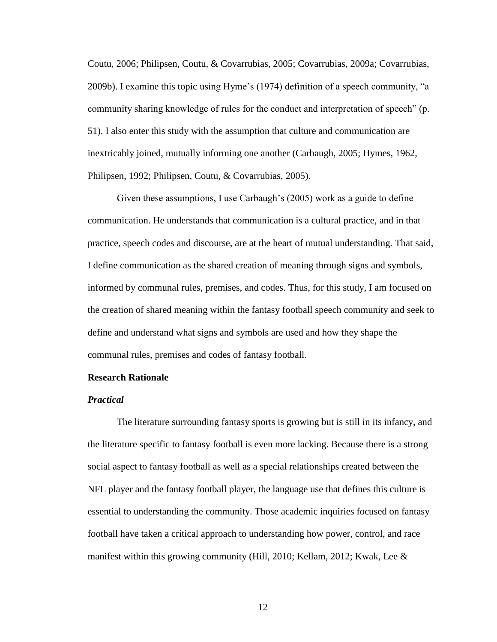Coutu, 2006; Philipsen, Coutu, & Covarrubias, 2005; Covarrubias, 2009a; Covarrubias, 2009b). I examine this topic using Hyme's (1974) definition of a speech community, "a community sharing knowledge of rules for the conduct and interpretation of speech" (p. 51). I also enter this study with the assumption that culture and communication are inextricably joined, mutually informing one another (Carbaugh, 2005; Hymes, 1962, Philipsen, 1992; Philipsen, Coutu, & Covarrubias, 2005).

Given these assumptions, I use Carbaugh's (2005) work as a guide to define communication. He understands that communication is a cultural practice, and in that practice, speech codes and discourse, are at the heart of mutual understanding. That said, I define communication as the shared creation of meaning through signs and symbols, informed by communal rules, premises, and codes. Thus, for this study, I am focused on the creation of shared meaning within the fantasy football speech community and seek to define and understand what signs and symbols are used and how they shape the communal rules, premises and codes of fantasy football.

#### **Research Rationale**

#### *Practical*

The literature surrounding fantasy sports is growing but is still in its infancy, and the literature specific to fantasy football is even more lacking. Because there is a strong social aspect to fantasy football as well as a special relationships created between the NFL player and the fantasy football player, the language use that defines this culture is essential to understanding the community. Those academic inquiries focused on fantasy football have taken a critical approach to understanding how power, control, and race manifest within this growing community (Hill, 2010; Kellam, 2012; Kwak, Lee  $\&$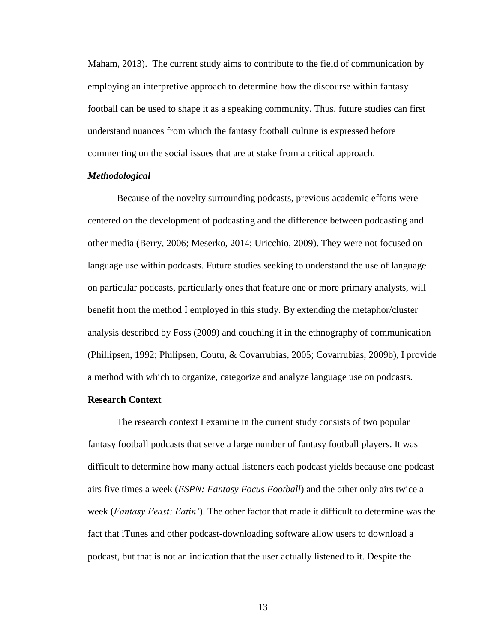Maham, 2013). The current study aims to contribute to the field of communication by employing an interpretive approach to determine how the discourse within fantasy football can be used to shape it as a speaking community. Thus, future studies can first understand nuances from which the fantasy football culture is expressed before commenting on the social issues that are at stake from a critical approach.

#### *Methodological*

Because of the novelty surrounding podcasts, previous academic efforts were centered on the development of podcasting and the difference between podcasting and other media (Berry, 2006; Meserko, 2014; Uricchio, 2009). They were not focused on language use within podcasts. Future studies seeking to understand the use of language on particular podcasts, particularly ones that feature one or more primary analysts, will benefit from the method I employed in this study. By extending the metaphor/cluster analysis described by Foss (2009) and couching it in the ethnography of communication (Phillipsen, 1992; Philipsen, Coutu, & Covarrubias, 2005; Covarrubias, 2009b), I provide a method with which to organize, categorize and analyze language use on podcasts.

#### **Research Context**

The research context I examine in the current study consists of two popular fantasy football podcasts that serve a large number of fantasy football players. It was difficult to determine how many actual listeners each podcast yields because one podcast airs five times a week (*ESPN: Fantasy Focus Football*) and the other only airs twice a week (*Fantasy Feast: Eatin'*). The other factor that made it difficult to determine was the fact that iTunes and other podcast-downloading software allow users to download a podcast, but that is not an indication that the user actually listened to it. Despite the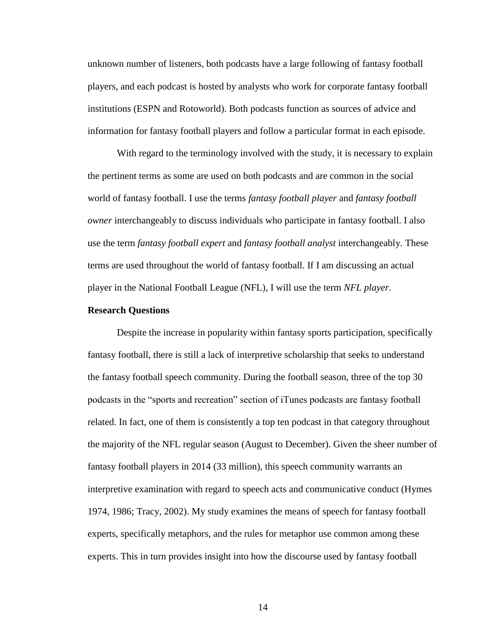unknown number of listeners, both podcasts have a large following of fantasy football players, and each podcast is hosted by analysts who work for corporate fantasy football institutions (ESPN and Rotoworld). Both podcasts function as sources of advice and information for fantasy football players and follow a particular format in each episode.

With regard to the terminology involved with the study, it is necessary to explain the pertinent terms as some are used on both podcasts and are common in the social world of fantasy football. I use the terms *fantasy football player* and *fantasy football owner* interchangeably to discuss individuals who participate in fantasy football. I also use the term *fantasy football expert* and *fantasy football analyst* interchangeably. These terms are used throughout the world of fantasy football. If I am discussing an actual player in the National Football League (NFL), I will use the term *NFL player*.

#### **Research Questions**

Despite the increase in popularity within fantasy sports participation, specifically fantasy football, there is still a lack of interpretive scholarship that seeks to understand the fantasy football speech community. During the football season, three of the top 30 podcasts in the "sports and recreation" section of iTunes podcasts are fantasy football related. In fact, one of them is consistently a top ten podcast in that category throughout the majority of the NFL regular season (August to December). Given the sheer number of fantasy football players in 2014 (33 million), this speech community warrants an interpretive examination with regard to speech acts and communicative conduct (Hymes 1974, 1986; Tracy, 2002). My study examines the means of speech for fantasy football experts, specifically metaphors, and the rules for metaphor use common among these experts. This in turn provides insight into how the discourse used by fantasy football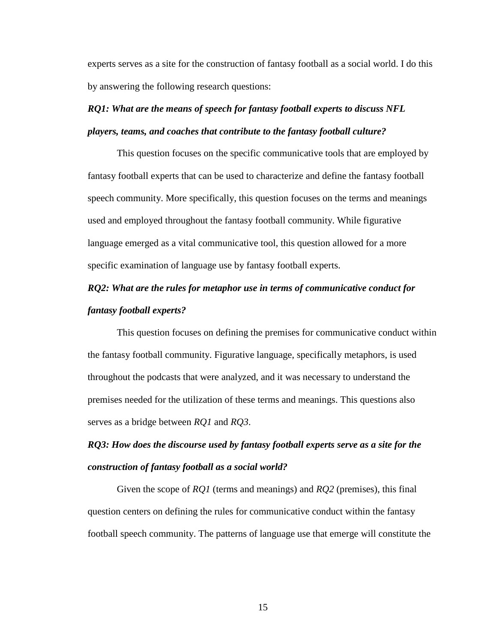experts serves as a site for the construction of fantasy football as a social world. I do this by answering the following research questions:

# *RQ1: What are the means of speech for fantasy football experts to discuss NFL players, teams, and coaches that contribute to the fantasy football culture?*

This question focuses on the specific communicative tools that are employed by fantasy football experts that can be used to characterize and define the fantasy football speech community. More specifically, this question focuses on the terms and meanings used and employed throughout the fantasy football community. While figurative language emerged as a vital communicative tool, this question allowed for a more specific examination of language use by fantasy football experts.

# *RQ2: What are the rules for metaphor use in terms of communicative conduct for fantasy football experts?*

This question focuses on defining the premises for communicative conduct within the fantasy football community. Figurative language, specifically metaphors, is used throughout the podcasts that were analyzed, and it was necessary to understand the premises needed for the utilization of these terms and meanings. This questions also serves as a bridge between *RQ1* and *RQ3*.

# *RQ3: How does the discourse used by fantasy football experts serve as a site for the construction of fantasy football as a social world?*

Given the scope of *RQ1* (terms and meanings) and *RQ2* (premises), this final question centers on defining the rules for communicative conduct within the fantasy football speech community. The patterns of language use that emerge will constitute the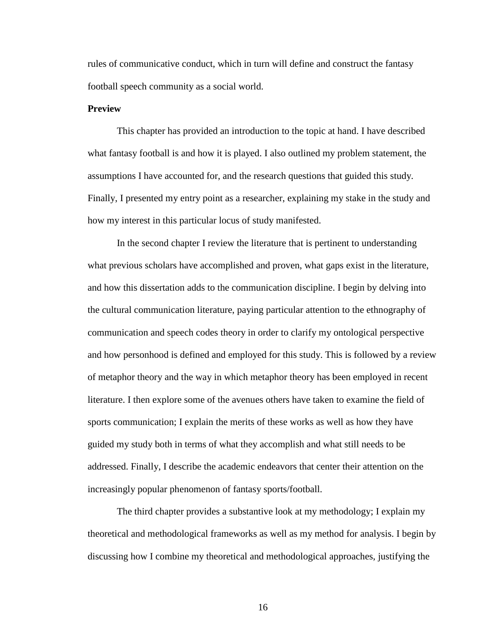rules of communicative conduct, which in turn will define and construct the fantasy football speech community as a social world.

#### **Preview**

This chapter has provided an introduction to the topic at hand. I have described what fantasy football is and how it is played. I also outlined my problem statement, the assumptions I have accounted for, and the research questions that guided this study. Finally, I presented my entry point as a researcher, explaining my stake in the study and how my interest in this particular locus of study manifested.

In the second chapter I review the literature that is pertinent to understanding what previous scholars have accomplished and proven, what gaps exist in the literature, and how this dissertation adds to the communication discipline. I begin by delving into the cultural communication literature, paying particular attention to the ethnography of communication and speech codes theory in order to clarify my ontological perspective and how personhood is defined and employed for this study. This is followed by a review of metaphor theory and the way in which metaphor theory has been employed in recent literature. I then explore some of the avenues others have taken to examine the field of sports communication; I explain the merits of these works as well as how they have guided my study both in terms of what they accomplish and what still needs to be addressed. Finally, I describe the academic endeavors that center their attention on the increasingly popular phenomenon of fantasy sports/football.

The third chapter provides a substantive look at my methodology; I explain my theoretical and methodological frameworks as well as my method for analysis. I begin by discussing how I combine my theoretical and methodological approaches, justifying the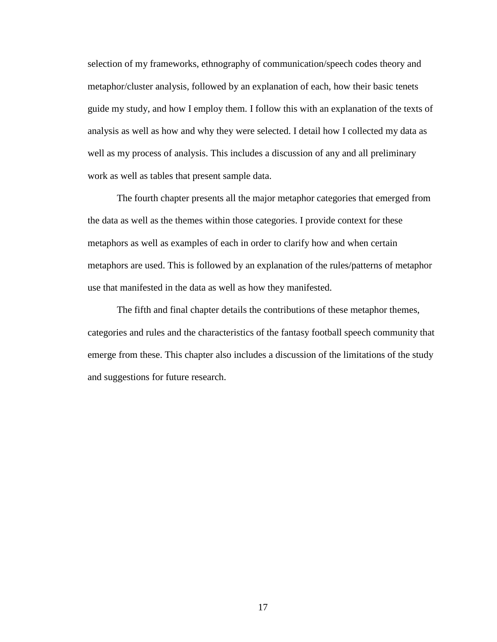selection of my frameworks, ethnography of communication/speech codes theory and metaphor/cluster analysis, followed by an explanation of each, how their basic tenets guide my study, and how I employ them. I follow this with an explanation of the texts of analysis as well as how and why they were selected. I detail how I collected my data as well as my process of analysis. This includes a discussion of any and all preliminary work as well as tables that present sample data.

The fourth chapter presents all the major metaphor categories that emerged from the data as well as the themes within those categories. I provide context for these metaphors as well as examples of each in order to clarify how and when certain metaphors are used. This is followed by an explanation of the rules/patterns of metaphor use that manifested in the data as well as how they manifested.

The fifth and final chapter details the contributions of these metaphor themes, categories and rules and the characteristics of the fantasy football speech community that emerge from these. This chapter also includes a discussion of the limitations of the study and suggestions for future research.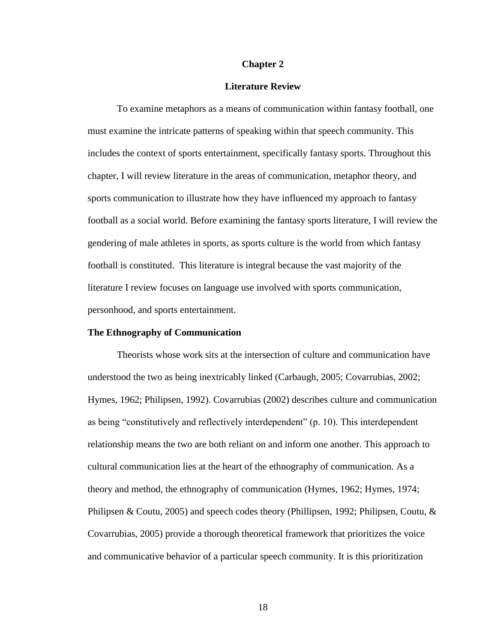#### **Chapter 2**

#### **Literature Review**

To examine metaphors as a means of communication within fantasy football, one must examine the intricate patterns of speaking within that speech community. This includes the context of sports entertainment, specifically fantasy sports. Throughout this chapter, I will review literature in the areas of communication, metaphor theory, and sports communication to illustrate how they have influenced my approach to fantasy football as a social world. Before examining the fantasy sports literature, I will review the gendering of male athletes in sports, as sports culture is the world from which fantasy football is constituted. This literature is integral because the vast majority of the literature I review focuses on language use involved with sports communication, personhood, and sports entertainment.

#### **The Ethnography of Communication**

Theorists whose work sits at the intersection of culture and communication have understood the two as being inextricably linked (Carbaugh, 2005; Covarrubias, 2002; Hymes, 1962; Philipsen, 1992). Covarrubias (2002) describes culture and communication as being "constitutively and reflectively interdependent" (p. 10). This interdependent relationship means the two are both reliant on and inform one another. This approach to cultural communication lies at the heart of the ethnography of communication. As a theory and method, the ethnography of communication (Hymes, 1962; Hymes, 1974; Philipsen & Coutu, 2005) and speech codes theory (Phillipsen, 1992; Philipsen, Coutu,  $\&$ Covarrubias, 2005) provide a thorough theoretical framework that prioritizes the voice and communicative behavior of a particular speech community. It is this prioritization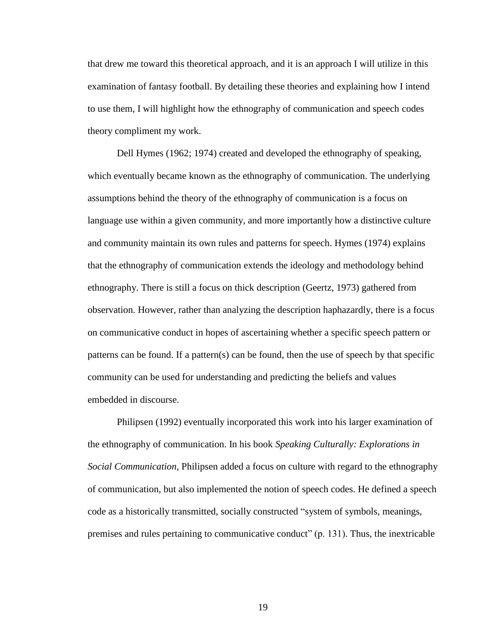that drew me toward this theoretical approach, and it is an approach I will utilize in this examination of fantasy football. By detailing these theories and explaining how I intend to use them, I will highlight how the ethnography of communication and speech codes theory compliment my work.

Dell Hymes (1962; 1974) created and developed the ethnography of speaking, which eventually became known as the ethnography of communication. The underlying assumptions behind the theory of the ethnography of communication is a focus on language use within a given community, and more importantly how a distinctive culture and community maintain its own rules and patterns for speech. Hymes (1974) explains that the ethnography of communication extends the ideology and methodology behind ethnography. There is still a focus on thick description (Geertz, 1973) gathered from observation. However, rather than analyzing the description haphazardly, there is a focus on communicative conduct in hopes of ascertaining whether a specific speech pattern or patterns can be found. If a pattern(s) can be found, then the use of speech by that specific community can be used for understanding and predicting the beliefs and values embedded in discourse.

Philipsen (1992) eventually incorporated this work into his larger examination of the ethnography of communication. In his book *Speaking Culturally: Explorations in Social Communication*, Philipsen added a focus on culture with regard to the ethnography of communication, but also implemented the notion of speech codes. He defined a speech code as a historically transmitted, socially constructed "system of symbols, meanings, premises and rules pertaining to communicative conduct"  $(p. 131)$ . Thus, the inextricable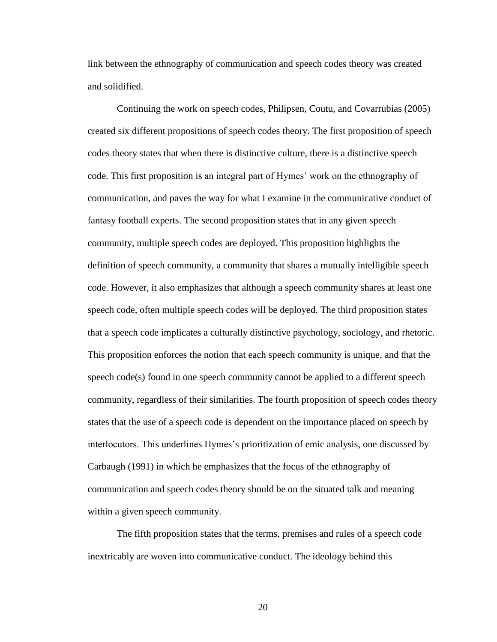link between the ethnography of communication and speech codes theory was created and solidified.

Continuing the work on speech codes, Philipsen, Coutu, and Covarrubias (2005) created six different propositions of speech codes theory. The first proposition of speech codes theory states that when there is distinctive culture, there is a distinctive speech code. This first proposition is an integral part of Hymes' work on the ethnography of communication, and paves the way for what I examine in the communicative conduct of fantasy football experts. The second proposition states that in any given speech community, multiple speech codes are deployed. This proposition highlights the definition of speech community, a community that shares a mutually intelligible speech code. However, it also emphasizes that although a speech community shares at least one speech code, often multiple speech codes will be deployed. The third proposition states that a speech code implicates a culturally distinctive psychology, sociology, and rhetoric. This proposition enforces the notion that each speech community is unique, and that the speech code(s) found in one speech community cannot be applied to a different speech community, regardless of their similarities. The fourth proposition of speech codes theory states that the use of a speech code is dependent on the importance placed on speech by interlocutors. This underlines Hymes's prioritization of emic analysis, one discussed by Carbaugh (1991) in which he emphasizes that the focus of the ethnography of communication and speech codes theory should be on the situated talk and meaning within a given speech community.

The fifth proposition states that the terms, premises and rules of a speech code inextricably are woven into communicative conduct. The ideology behind this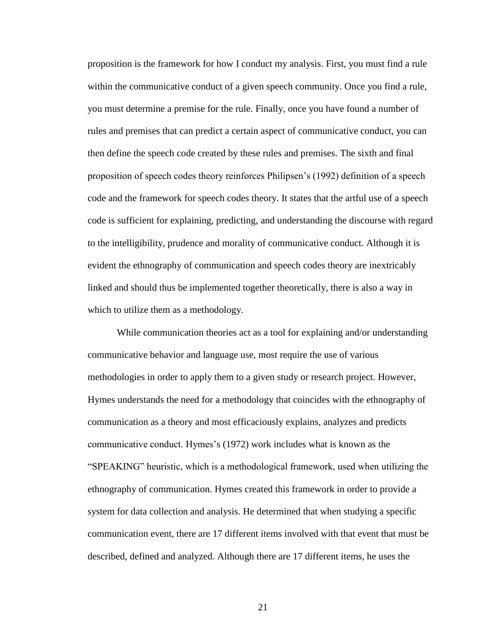proposition is the framework for how I conduct my analysis. First, you must find a rule within the communicative conduct of a given speech community. Once you find a rule, you must determine a premise for the rule. Finally, once you have found a number of rules and premises that can predict a certain aspect of communicative conduct, you can then define the speech code created by these rules and premises. The sixth and final proposition of speech codes theory reinforces Philipsen's (1992) definition of a speech code and the framework for speech codes theory. It states that the artful use of a speech code is sufficient for explaining, predicting, and understanding the discourse with regard to the intelligibility, prudence and morality of communicative conduct. Although it is evident the ethnography of communication and speech codes theory are inextricably linked and should thus be implemented together theoretically, there is also a way in which to utilize them as a methodology.

While communication theories act as a tool for explaining and/or understanding communicative behavior and language use, most require the use of various methodologies in order to apply them to a given study or research project. However, Hymes understands the need for a methodology that coincides with the ethnography of communication as a theory and most efficaciously explains, analyzes and predicts communicative conduct. Hymes's (1972) work includes what is known as the ―SPEAKING‖ heuristic, which is a methodological framework, used when utilizing the ethnography of communication. Hymes created this framework in order to provide a system for data collection and analysis. He determined that when studying a specific communication event, there are 17 different items involved with that event that must be described, defined and analyzed. Although there are 17 different items, he uses the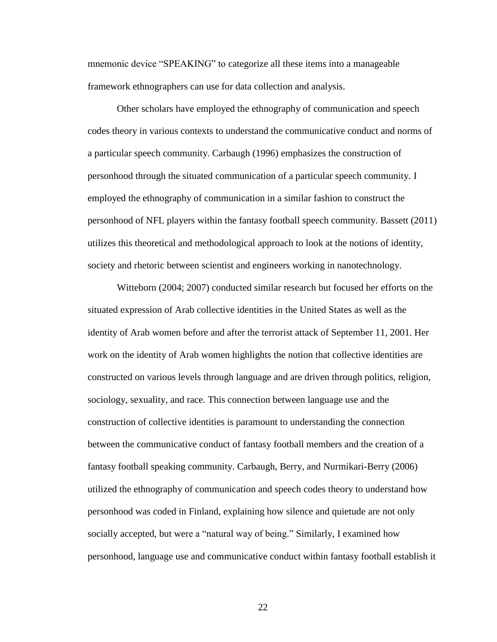mnemonic device "SPEAKING" to categorize all these items into a manageable framework ethnographers can use for data collection and analysis.

Other scholars have employed the ethnography of communication and speech codes theory in various contexts to understand the communicative conduct and norms of a particular speech community. Carbaugh (1996) emphasizes the construction of personhood through the situated communication of a particular speech community. I employed the ethnography of communication in a similar fashion to construct the personhood of NFL players within the fantasy football speech community. Bassett (2011) utilizes this theoretical and methodological approach to look at the notions of identity, society and rhetoric between scientist and engineers working in nanotechnology.

Witteborn (2004; 2007) conducted similar research but focused her efforts on the situated expression of Arab collective identities in the United States as well as the identity of Arab women before and after the terrorist attack of September 11, 2001. Her work on the identity of Arab women highlights the notion that collective identities are constructed on various levels through language and are driven through politics, religion, sociology, sexuality, and race. This connection between language use and the construction of collective identities is paramount to understanding the connection between the communicative conduct of fantasy football members and the creation of a fantasy football speaking community. Carbaugh, Berry, and Nurmikari-Berry (2006) utilized the ethnography of communication and speech codes theory to understand how personhood was coded in Finland, explaining how silence and quietude are not only socially accepted, but were a "natural way of being." Similarly, I examined how personhood, language use and communicative conduct within fantasy football establish it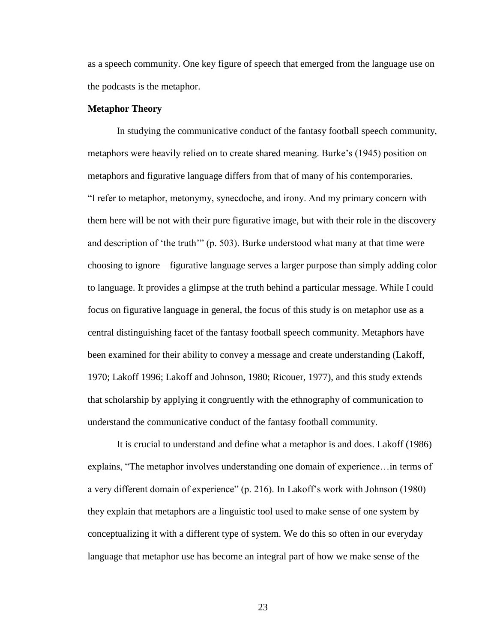as a speech community. One key figure of speech that emerged from the language use on the podcasts is the metaphor.

#### **Metaphor Theory**

In studying the communicative conduct of the fantasy football speech community, metaphors were heavily relied on to create shared meaning. Burke's (1945) position on metaphors and figurative language differs from that of many of his contemporaries. ―I refer to metaphor, metonymy, synecdoche, and irony. And my primary concern with them here will be not with their pure figurative image, but with their role in the discovery and description of 'the truth'"  $(p. 503)$ . Burke understood what many at that time were choosing to ignore—figurative language serves a larger purpose than simply adding color to language. It provides a glimpse at the truth behind a particular message. While I could focus on figurative language in general, the focus of this study is on metaphor use as a central distinguishing facet of the fantasy football speech community. Metaphors have been examined for their ability to convey a message and create understanding (Lakoff, 1970; Lakoff 1996; Lakoff and Johnson, 1980; Ricouer, 1977), and this study extends that scholarship by applying it congruently with the ethnography of communication to understand the communicative conduct of the fantasy football community.

It is crucial to understand and define what a metaphor is and does. Lakoff (1986) explains, "The metaphor involves understanding one domain of experience... in terms of a very different domain of experience" (p. 216). In Lakoff's work with Johnson (1980) they explain that metaphors are a linguistic tool used to make sense of one system by conceptualizing it with a different type of system. We do this so often in our everyday language that metaphor use has become an integral part of how we make sense of the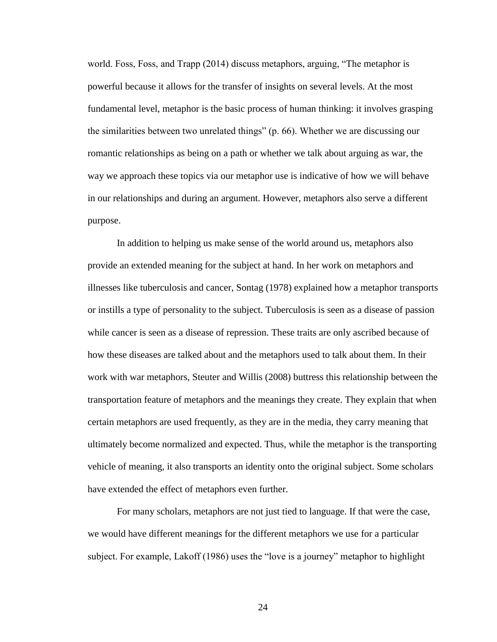world. Foss, Foss, and Trapp (2014) discuss metaphors, arguing, "The metaphor is powerful because it allows for the transfer of insights on several levels. At the most fundamental level, metaphor is the basic process of human thinking: it involves grasping the similarities between two unrelated things"  $(p. 66)$ . Whether we are discussing our romantic relationships as being on a path or whether we talk about arguing as war, the way we approach these topics via our metaphor use is indicative of how we will behave in our relationships and during an argument. However, metaphors also serve a different purpose.

In addition to helping us make sense of the world around us, metaphors also provide an extended meaning for the subject at hand. In her work on metaphors and illnesses like tuberculosis and cancer, Sontag (1978) explained how a metaphor transports or instills a type of personality to the subject. Tuberculosis is seen as a disease of passion while cancer is seen as a disease of repression. These traits are only ascribed because of how these diseases are talked about and the metaphors used to talk about them. In their work with war metaphors, Steuter and Willis (2008) buttress this relationship between the transportation feature of metaphors and the meanings they create. They explain that when certain metaphors are used frequently, as they are in the media, they carry meaning that ultimately become normalized and expected. Thus, while the metaphor is the transporting vehicle of meaning, it also transports an identity onto the original subject. Some scholars have extended the effect of metaphors even further.

For many scholars, metaphors are not just tied to language. If that were the case, we would have different meanings for the different metaphors we use for a particular subject. For example, Lakoff (1986) uses the "love is a journey" metaphor to highlight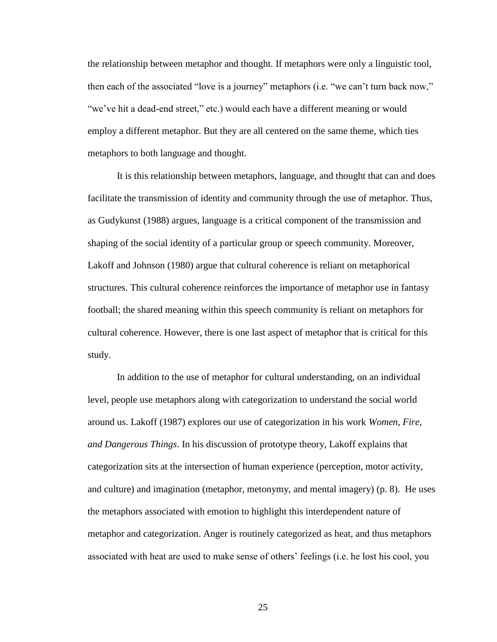the relationship between metaphor and thought. If metaphors were only a linguistic tool, then each of the associated "love is a journey" metaphors (i.e. "we can't turn back now," "we've hit a dead-end street," etc.) would each have a different meaning or would employ a different metaphor. But they are all centered on the same theme, which ties metaphors to both language and thought.

It is this relationship between metaphors, language, and thought that can and does facilitate the transmission of identity and community through the use of metaphor. Thus, as Gudykunst (1988) argues, language is a critical component of the transmission and shaping of the social identity of a particular group or speech community. Moreover, Lakoff and Johnson (1980) argue that cultural coherence is reliant on metaphorical structures. This cultural coherence reinforces the importance of metaphor use in fantasy football; the shared meaning within this speech community is reliant on metaphors for cultural coherence. However, there is one last aspect of metaphor that is critical for this study.

In addition to the use of metaphor for cultural understanding, on an individual level, people use metaphors along with categorization to understand the social world around us. Lakoff (1987) explores our use of categorization in his work *Women, Fire, and Dangerous Things*. In his discussion of prototype theory, Lakoff explains that categorization sits at the intersection of human experience (perception, motor activity, and culture) and imagination (metaphor, metonymy, and mental imagery) (p. 8). He uses the metaphors associated with emotion to highlight this interdependent nature of metaphor and categorization. Anger is routinely categorized as heat, and thus metaphors associated with heat are used to make sense of others' feelings (i.e. he lost his cool, you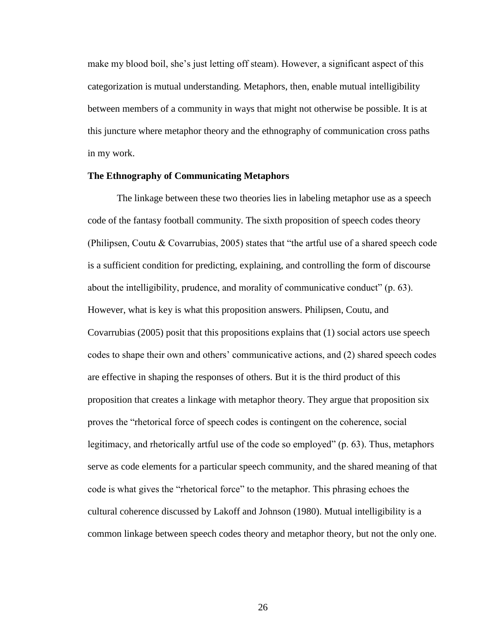make my blood boil, she's just letting off steam). However, a significant aspect of this categorization is mutual understanding. Metaphors, then, enable mutual intelligibility between members of a community in ways that might not otherwise be possible. It is at this juncture where metaphor theory and the ethnography of communication cross paths in my work.

#### **The Ethnography of Communicating Metaphors**

The linkage between these two theories lies in labeling metaphor use as a speech code of the fantasy football community. The sixth proposition of speech codes theory (Philipsen, Coutu & Covarrubias, 2005) states that "the artful use of a shared speech code is a sufficient condition for predicting, explaining, and controlling the form of discourse about the intelligibility, prudence, and morality of communicative conduct" (p. 63). However, what is key is what this proposition answers. Philipsen, Coutu, and Covarrubias (2005) posit that this propositions explains that (1) social actors use speech codes to shape their own and others' communicative actions, and (2) shared speech codes are effective in shaping the responses of others. But it is the third product of this proposition that creates a linkage with metaphor theory. They argue that proposition six proves the "rhetorical force of speech codes is contingent on the coherence, social legitimacy, and rhetorically artful use of the code so employed"  $(p. 63)$ . Thus, metaphors serve as code elements for a particular speech community, and the shared meaning of that code is what gives the "rhetorical force" to the metaphor. This phrasing echoes the cultural coherence discussed by Lakoff and Johnson (1980). Mutual intelligibility is a common linkage between speech codes theory and metaphor theory, but not the only one.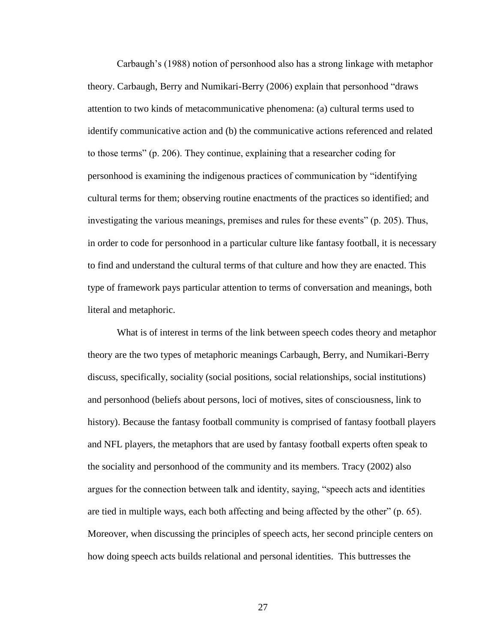Carbaugh's (1988) notion of personhood also has a strong linkage with metaphor theory. Carbaugh, Berry and Numikari-Berry (2006) explain that personhood "draws attention to two kinds of metacommunicative phenomena: (a) cultural terms used to identify communicative action and (b) the communicative actions referenced and related to those terms‖ (p. 206). They continue, explaining that a researcher coding for personhood is examining the indigenous practices of communication by "identifying cultural terms for them; observing routine enactments of the practices so identified; and investigating the various meanings, premises and rules for these events" (p. 205). Thus, in order to code for personhood in a particular culture like fantasy football, it is necessary to find and understand the cultural terms of that culture and how they are enacted. This type of framework pays particular attention to terms of conversation and meanings, both literal and metaphoric.

What is of interest in terms of the link between speech codes theory and metaphor theory are the two types of metaphoric meanings Carbaugh, Berry, and Numikari-Berry discuss, specifically, sociality (social positions, social relationships, social institutions) and personhood (beliefs about persons, loci of motives, sites of consciousness, link to history). Because the fantasy football community is comprised of fantasy football players and NFL players, the metaphors that are used by fantasy football experts often speak to the sociality and personhood of the community and its members. Tracy (2002) also argues for the connection between talk and identity, saying, "speech acts and identities are tied in multiple ways, each both affecting and being affected by the other" (p. 65). Moreover, when discussing the principles of speech acts, her second principle centers on how doing speech acts builds relational and personal identities. This buttresses the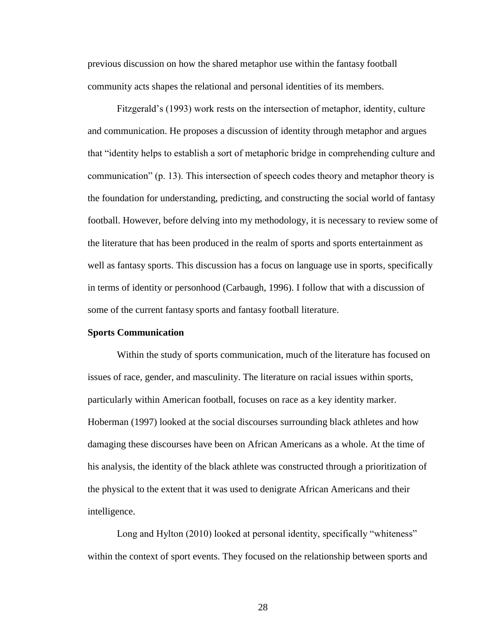previous discussion on how the shared metaphor use within the fantasy football community acts shapes the relational and personal identities of its members.

Fitzgerald's (1993) work rests on the intersection of metaphor, identity, culture and communication. He proposes a discussion of identity through metaphor and argues that ―identity helps to establish a sort of metaphoric bridge in comprehending culture and communication" (p. 13). This intersection of speech codes theory and metaphor theory is the foundation for understanding, predicting, and constructing the social world of fantasy football. However, before delving into my methodology, it is necessary to review some of the literature that has been produced in the realm of sports and sports entertainment as well as fantasy sports. This discussion has a focus on language use in sports, specifically in terms of identity or personhood (Carbaugh, 1996). I follow that with a discussion of some of the current fantasy sports and fantasy football literature.

#### **Sports Communication**

Within the study of sports communication, much of the literature has focused on issues of race, gender, and masculinity. The literature on racial issues within sports, particularly within American football, focuses on race as a key identity marker. Hoberman (1997) looked at the social discourses surrounding black athletes and how damaging these discourses have been on African Americans as a whole. At the time of his analysis, the identity of the black athlete was constructed through a prioritization of the physical to the extent that it was used to denigrate African Americans and their intelligence.

Long and Hylton (2010) looked at personal identity, specifically "whiteness" within the context of sport events. They focused on the relationship between sports and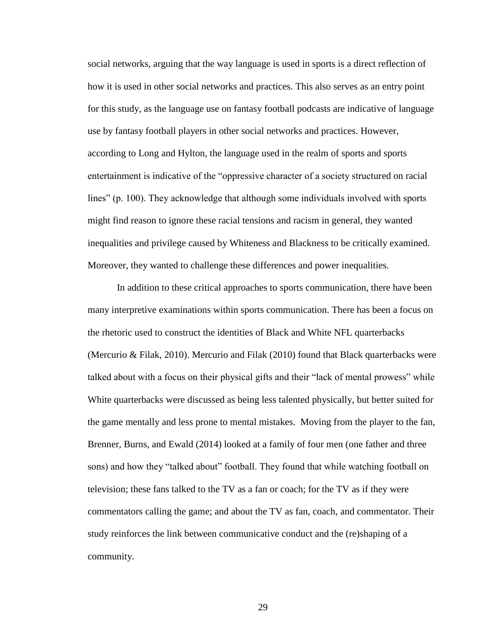social networks, arguing that the way language is used in sports is a direct reflection of how it is used in other social networks and practices. This also serves as an entry point for this study, as the language use on fantasy football podcasts are indicative of language use by fantasy football players in other social networks and practices. However, according to Long and Hylton, the language used in the realm of sports and sports entertainment is indicative of the "oppressive character of a society structured on racial lines" (p. 100). They acknowledge that although some individuals involved with sports might find reason to ignore these racial tensions and racism in general, they wanted inequalities and privilege caused by Whiteness and Blackness to be critically examined. Moreover, they wanted to challenge these differences and power inequalities.

In addition to these critical approaches to sports communication, there have been many interpretive examinations within sports communication. There has been a focus on the rhetoric used to construct the identities of Black and White NFL quarterbacks (Mercurio & Filak, 2010). Mercurio and Filak (2010) found that Black quarterbacks were talked about with a focus on their physical gifts and their "lack of mental prowess" while White quarterbacks were discussed as being less talented physically, but better suited for the game mentally and less prone to mental mistakes. Moving from the player to the fan, Brenner, Burns, and Ewald (2014) looked at a family of four men (one father and three sons) and how they "talked about" football. They found that while watching football on television; these fans talked to the TV as a fan or coach; for the TV as if they were commentators calling the game; and about the TV as fan, coach, and commentator. Their study reinforces the link between communicative conduct and the (re)shaping of a community.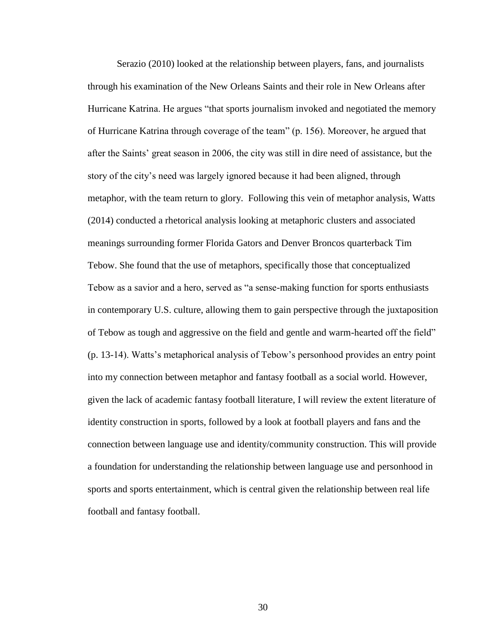Serazio (2010) looked at the relationship between players, fans, and journalists through his examination of the New Orleans Saints and their role in New Orleans after Hurricane Katrina. He argues "that sports journalism invoked and negotiated the memory of Hurricane Katrina through coverage of the team" (p. 156). Moreover, he argued that after the Saints' great season in 2006, the city was still in dire need of assistance, but the story of the city's need was largely ignored because it had been aligned, through metaphor, with the team return to glory. Following this vein of metaphor analysis, Watts (2014) conducted a rhetorical analysis looking at metaphoric clusters and associated meanings surrounding former Florida Gators and Denver Broncos quarterback Tim Tebow. She found that the use of metaphors, specifically those that conceptualized Tebow as a savior and a hero, served as "a sense-making function for sports enthusiasts in contemporary U.S. culture, allowing them to gain perspective through the juxtaposition of Tebow as tough and aggressive on the field and gentle and warm-hearted off the field" (p. 13-14). Watts's metaphorical analysis of Tebow's personhood provides an entry point into my connection between metaphor and fantasy football as a social world. However, given the lack of academic fantasy football literature, I will review the extent literature of identity construction in sports, followed by a look at football players and fans and the connection between language use and identity/community construction. This will provide a foundation for understanding the relationship between language use and personhood in sports and sports entertainment, which is central given the relationship between real life football and fantasy football.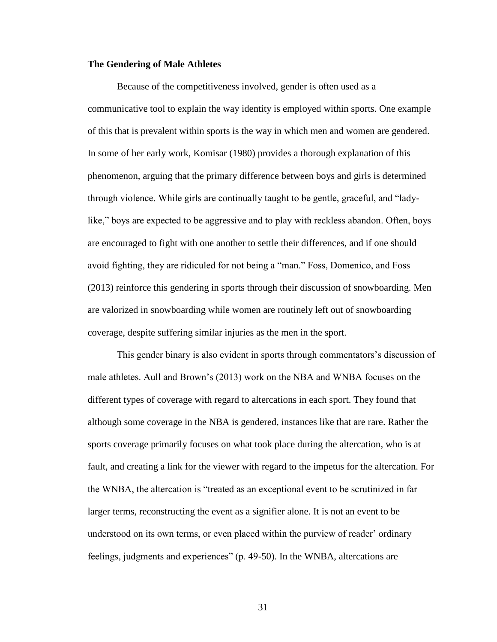# **The Gendering of Male Athletes**

Because of the competitiveness involved, gender is often used as a communicative tool to explain the way identity is employed within sports. One example of this that is prevalent within sports is the way in which men and women are gendered. In some of her early work, Komisar (1980) provides a thorough explanation of this phenomenon, arguing that the primary difference between boys and girls is determined through violence. While girls are continually taught to be gentle, graceful, and "ladylike," boys are expected to be aggressive and to play with reckless abandon. Often, boys are encouraged to fight with one another to settle their differences, and if one should avoid fighting, they are ridiculed for not being a "man." Foss, Domenico, and Foss (2013) reinforce this gendering in sports through their discussion of snowboarding. Men are valorized in snowboarding while women are routinely left out of snowboarding coverage, despite suffering similar injuries as the men in the sport.

This gender binary is also evident in sports through commentators's discussion of male athletes. Aull and Brown's (2013) work on the NBA and WNBA focuses on the different types of coverage with regard to altercations in each sport. They found that although some coverage in the NBA is gendered, instances like that are rare. Rather the sports coverage primarily focuses on what took place during the altercation, who is at fault, and creating a link for the viewer with regard to the impetus for the altercation. For the WNBA, the altercation is "treated as an exceptional event to be scrutinized in far larger terms, reconstructing the event as a signifier alone. It is not an event to be understood on its own terms, or even placed within the purview of reader' ordinary feelings, judgments and experiences" (p. 49-50). In the WNBA, altercations are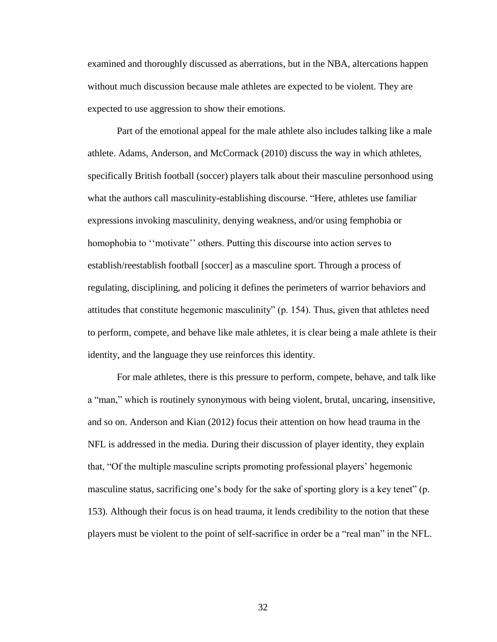examined and thoroughly discussed as aberrations, but in the NBA, altercations happen without much discussion because male athletes are expected to be violent. They are expected to use aggression to show their emotions.

Part of the emotional appeal for the male athlete also includes talking like a male athlete. Adams, Anderson, and McCormack (2010) discuss the way in which athletes, specifically British football (soccer) players talk about their masculine personhood using what the authors call masculinity-establishing discourse. "Here, athletes use familiar expressions invoking masculinity, denying weakness, and/or using femphobia or homophobia to "motivate" others. Putting this discourse into action serves to establish/reestablish football [soccer] as a masculine sport. Through a process of regulating, disciplining, and policing it defines the perimeters of warrior behaviors and attitudes that constitute hegemonic masculinity" (p. 154). Thus, given that athletes need to perform, compete, and behave like male athletes, it is clear being a male athlete is their identity, and the language they use reinforces this identity.

For male athletes, there is this pressure to perform, compete, behave, and talk like a "man," which is routinely synonymous with being violent, brutal, uncaring, insensitive, and so on. Anderson and Kian (2012) focus their attention on how head trauma in the NFL is addressed in the media. During their discussion of player identity, they explain that, ―Of the multiple masculine scripts promoting professional players' hegemonic masculine status, sacrificing one's body for the sake of sporting glory is a key tenet" (p. 153). Although their focus is on head trauma, it lends credibility to the notion that these players must be violent to the point of self-sacrifice in order be a "real man" in the NFL.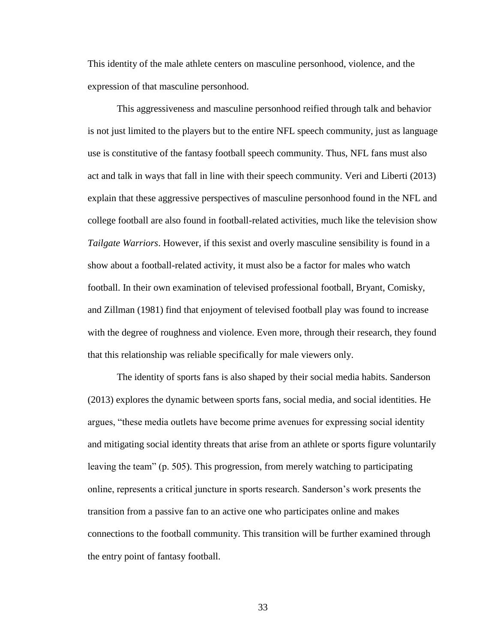This identity of the male athlete centers on masculine personhood, violence, and the expression of that masculine personhood.

This aggressiveness and masculine personhood reified through talk and behavior is not just limited to the players but to the entire NFL speech community, just as language use is constitutive of the fantasy football speech community. Thus, NFL fans must also act and talk in ways that fall in line with their speech community. Veri and Liberti (2013) explain that these aggressive perspectives of masculine personhood found in the NFL and college football are also found in football-related activities, much like the television show *Tailgate Warriors*. However, if this sexist and overly masculine sensibility is found in a show about a football-related activity, it must also be a factor for males who watch football. In their own examination of televised professional football, Bryant, Comisky, and Zillman (1981) find that enjoyment of televised football play was found to increase with the degree of roughness and violence. Even more, through their research, they found that this relationship was reliable specifically for male viewers only.

The identity of sports fans is also shaped by their social media habits. Sanderson (2013) explores the dynamic between sports fans, social media, and social identities. He argues, "these media outlets have become prime avenues for expressing social identity and mitigating social identity threats that arise from an athlete or sports figure voluntarily leaving the team" (p. 505). This progression, from merely watching to participating online, represents a critical juncture in sports research. Sanderson's work presents the transition from a passive fan to an active one who participates online and makes connections to the football community. This transition will be further examined through the entry point of fantasy football.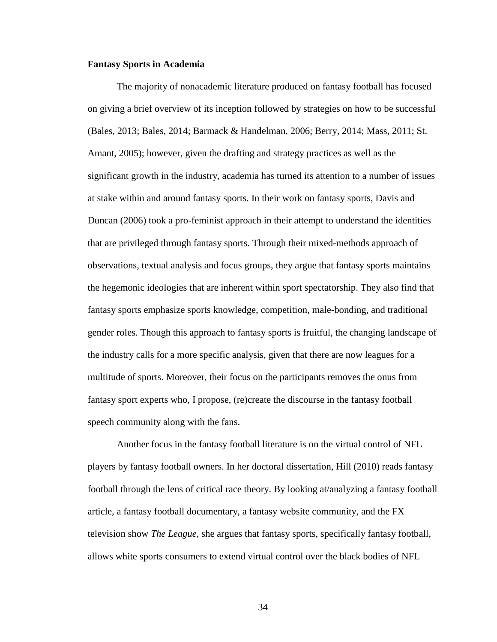# **Fantasy Sports in Academia**

The majority of nonacademic literature produced on fantasy football has focused on giving a brief overview of its inception followed by strategies on how to be successful (Bales, 2013; Bales, 2014; Barmack & Handelman, 2006; Berry, 2014; Mass, 2011; St. Amant, 2005); however, given the drafting and strategy practices as well as the significant growth in the industry, academia has turned its attention to a number of issues at stake within and around fantasy sports. In their work on fantasy sports, Davis and Duncan (2006) took a pro-feminist approach in their attempt to understand the identities that are privileged through fantasy sports. Through their mixed-methods approach of observations, textual analysis and focus groups, they argue that fantasy sports maintains the hegemonic ideologies that are inherent within sport spectatorship. They also find that fantasy sports emphasize sports knowledge, competition, male-bonding, and traditional gender roles. Though this approach to fantasy sports is fruitful, the changing landscape of the industry calls for a more specific analysis, given that there are now leagues for a multitude of sports. Moreover, their focus on the participants removes the onus from fantasy sport experts who, I propose, (re)create the discourse in the fantasy football speech community along with the fans.

Another focus in the fantasy football literature is on the virtual control of NFL players by fantasy football owners. In her doctoral dissertation, Hill (2010) reads fantasy football through the lens of critical race theory. By looking at/analyzing a fantasy football article, a fantasy football documentary, a fantasy website community, and the FX television show *The League*, she argues that fantasy sports, specifically fantasy football, allows white sports consumers to extend virtual control over the black bodies of NFL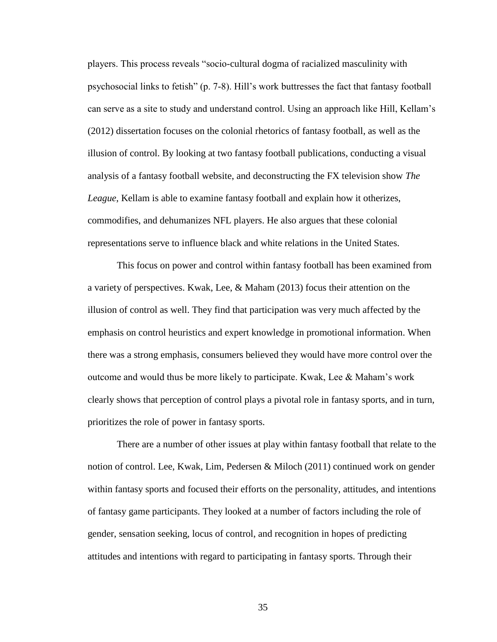players. This process reveals "socio-cultural dogma of racialized masculinity with psychosocial links to fetish" (p. 7-8). Hill's work buttresses the fact that fantasy football can serve as a site to study and understand control. Using an approach like Hill, Kellam's (2012) dissertation focuses on the colonial rhetorics of fantasy football, as well as the illusion of control. By looking at two fantasy football publications, conducting a visual analysis of a fantasy football website, and deconstructing the FX television show *The League*, Kellam is able to examine fantasy football and explain how it otherizes, commodifies, and dehumanizes NFL players. He also argues that these colonial representations serve to influence black and white relations in the United States.

This focus on power and control within fantasy football has been examined from a variety of perspectives. Kwak, Lee, & Maham (2013) focus their attention on the illusion of control as well. They find that participation was very much affected by the emphasis on control heuristics and expert knowledge in promotional information. When there was a strong emphasis, consumers believed they would have more control over the outcome and would thus be more likely to participate. Kwak, Lee & Maham's work clearly shows that perception of control plays a pivotal role in fantasy sports, and in turn, prioritizes the role of power in fantasy sports.

There are a number of other issues at play within fantasy football that relate to the notion of control. Lee, Kwak, Lim, Pedersen & Miloch (2011) continued work on gender within fantasy sports and focused their efforts on the personality, attitudes, and intentions of fantasy game participants. They looked at a number of factors including the role of gender, sensation seeking, locus of control, and recognition in hopes of predicting attitudes and intentions with regard to participating in fantasy sports. Through their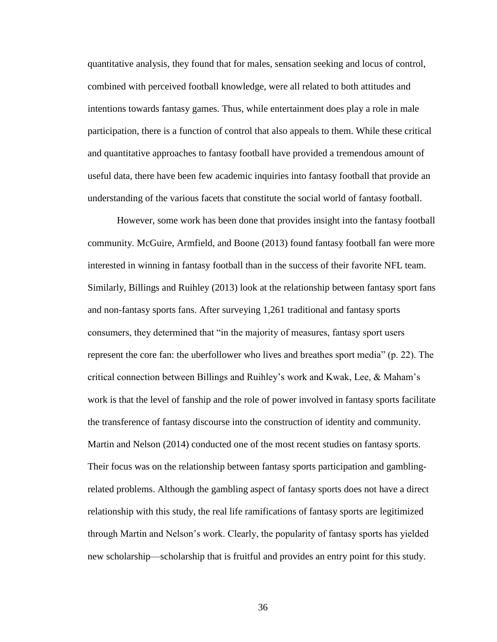quantitative analysis, they found that for males, sensation seeking and locus of control, combined with perceived football knowledge, were all related to both attitudes and intentions towards fantasy games. Thus, while entertainment does play a role in male participation, there is a function of control that also appeals to them. While these critical and quantitative approaches to fantasy football have provided a tremendous amount of useful data, there have been few academic inquiries into fantasy football that provide an understanding of the various facets that constitute the social world of fantasy football.

However, some work has been done that provides insight into the fantasy football community. McGuire, Armfield, and Boone (2013) found fantasy football fan were more interested in winning in fantasy football than in the success of their favorite NFL team. Similarly, Billings and Ruihley (2013) look at the relationship between fantasy sport fans and non-fantasy sports fans. After surveying 1,261 traditional and fantasy sports consumers, they determined that "in the majority of measures, fantasy sport users represent the core fan: the uberfollower who lives and breathes sport media" (p. 22). The critical connection between Billings and Ruihley's work and Kwak, Lee, & Maham's work is that the level of fanship and the role of power involved in fantasy sports facilitate the transference of fantasy discourse into the construction of identity and community. Martin and Nelson (2014) conducted one of the most recent studies on fantasy sports. Their focus was on the relationship between fantasy sports participation and gamblingrelated problems. Although the gambling aspect of fantasy sports does not have a direct relationship with this study, the real life ramifications of fantasy sports are legitimized through Martin and Nelson's work. Clearly, the popularity of fantasy sports has yielded new scholarship—scholarship that is fruitful and provides an entry point for this study.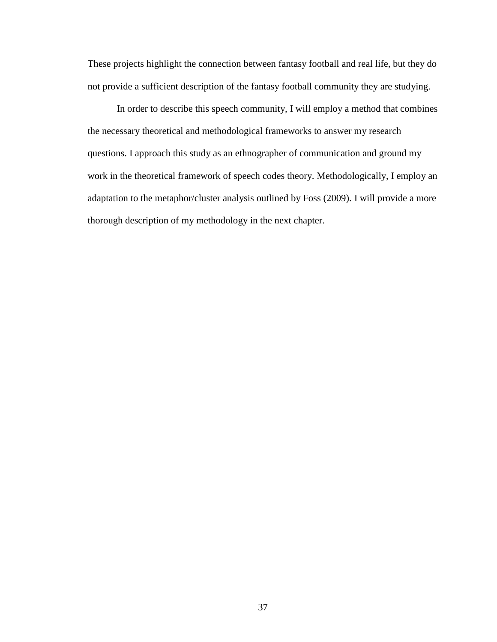These projects highlight the connection between fantasy football and real life, but they do not provide a sufficient description of the fantasy football community they are studying.

In order to describe this speech community, I will employ a method that combines the necessary theoretical and methodological frameworks to answer my research questions. I approach this study as an ethnographer of communication and ground my work in the theoretical framework of speech codes theory. Methodologically, I employ an adaptation to the metaphor/cluster analysis outlined by Foss (2009). I will provide a more thorough description of my methodology in the next chapter.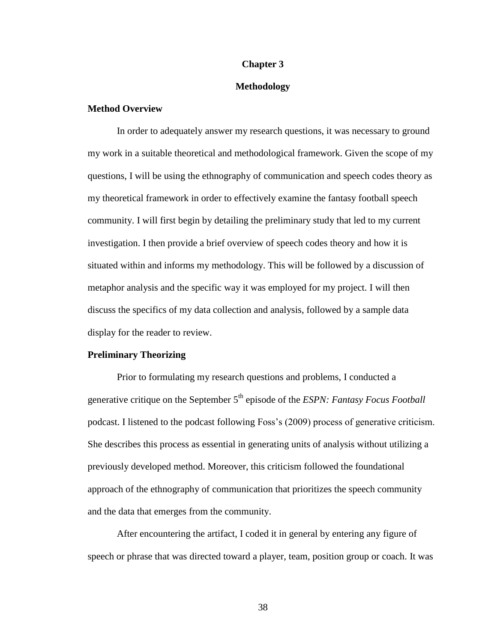#### **Chapter 3**

#### **Methodology**

# **Method Overview**

In order to adequately answer my research questions, it was necessary to ground my work in a suitable theoretical and methodological framework. Given the scope of my questions, I will be using the ethnography of communication and speech codes theory as my theoretical framework in order to effectively examine the fantasy football speech community. I will first begin by detailing the preliminary study that led to my current investigation. I then provide a brief overview of speech codes theory and how it is situated within and informs my methodology. This will be followed by a discussion of metaphor analysis and the specific way it was employed for my project. I will then discuss the specifics of my data collection and analysis, followed by a sample data display for the reader to review.

# **Preliminary Theorizing**

Prior to formulating my research questions and problems, I conducted a generative critique on the September 5<sup>th</sup> episode of the *ESPN: Fantasy Focus Football* podcast. I listened to the podcast following Foss's (2009) process of generative criticism. She describes this process as essential in generating units of analysis without utilizing a previously developed method. Moreover, this criticism followed the foundational approach of the ethnography of communication that prioritizes the speech community and the data that emerges from the community.

After encountering the artifact, I coded it in general by entering any figure of speech or phrase that was directed toward a player, team, position group or coach. It was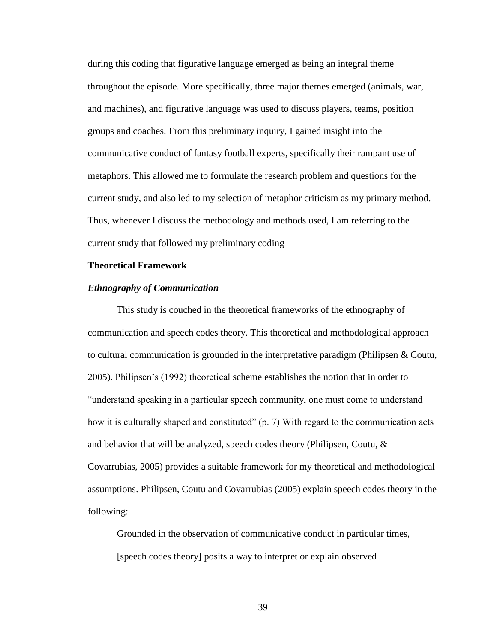during this coding that figurative language emerged as being an integral theme throughout the episode. More specifically, three major themes emerged (animals, war, and machines), and figurative language was used to discuss players, teams, position groups and coaches. From this preliminary inquiry, I gained insight into the communicative conduct of fantasy football experts, specifically their rampant use of metaphors. This allowed me to formulate the research problem and questions for the current study, and also led to my selection of metaphor criticism as my primary method. Thus, whenever I discuss the methodology and methods used, I am referring to the current study that followed my preliminary coding

#### **Theoretical Framework**

#### *Ethnography of Communication*

This study is couched in the theoretical frameworks of the ethnography of communication and speech codes theory. This theoretical and methodological approach to cultural communication is grounded in the interpretative paradigm (Philipsen & Coutu, 2005). Philipsen's (1992) theoretical scheme establishes the notion that in order to "understand speaking in a particular speech community, one must come to understand how it is culturally shaped and constituted"  $(p, 7)$  With regard to the communication acts and behavior that will be analyzed, speech codes theory (Philipsen, Coutu, & Covarrubias, 2005) provides a suitable framework for my theoretical and methodological assumptions. Philipsen, Coutu and Covarrubias (2005) explain speech codes theory in the following:

Grounded in the observation of communicative conduct in particular times, [speech codes theory] posits a way to interpret or explain observed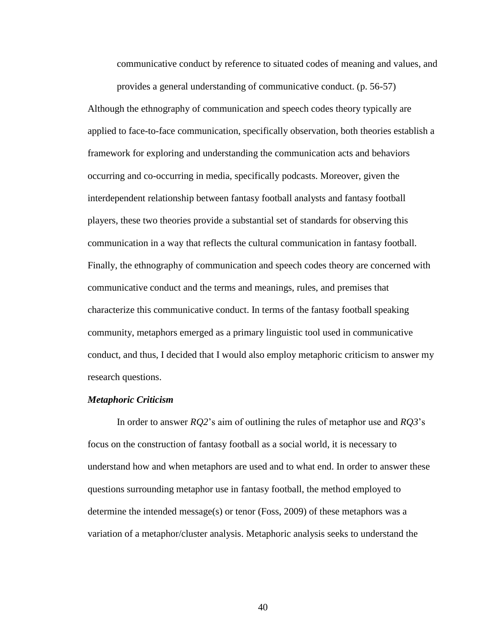communicative conduct by reference to situated codes of meaning and values, and

provides a general understanding of communicative conduct. (p. 56-57) Although the ethnography of communication and speech codes theory typically are applied to face-to-face communication, specifically observation, both theories establish a framework for exploring and understanding the communication acts and behaviors occurring and co-occurring in media, specifically podcasts. Moreover, given the interdependent relationship between fantasy football analysts and fantasy football players, these two theories provide a substantial set of standards for observing this communication in a way that reflects the cultural communication in fantasy football. Finally, the ethnography of communication and speech codes theory are concerned with communicative conduct and the terms and meanings, rules, and premises that characterize this communicative conduct. In terms of the fantasy football speaking community, metaphors emerged as a primary linguistic tool used in communicative conduct, and thus, I decided that I would also employ metaphoric criticism to answer my research questions.

#### *Metaphoric Criticism*

In order to answer *RQ2*'s aim of outlining the rules of metaphor use and *RQ3*'s focus on the construction of fantasy football as a social world, it is necessary to understand how and when metaphors are used and to what end. In order to answer these questions surrounding metaphor use in fantasy football, the method employed to determine the intended message(s) or tenor (Foss, 2009) of these metaphors was a variation of a metaphor/cluster analysis. Metaphoric analysis seeks to understand the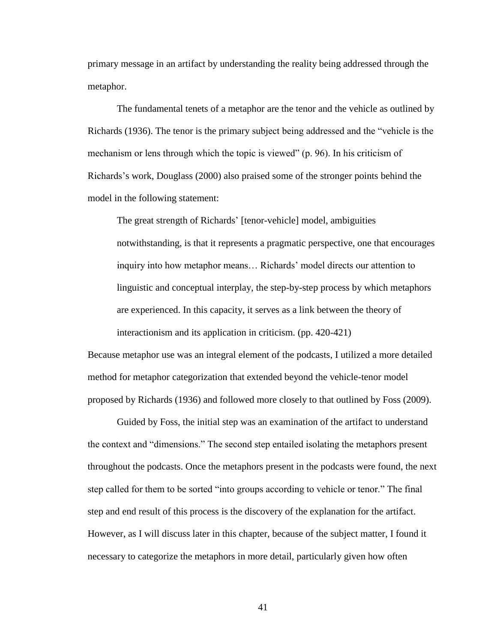primary message in an artifact by understanding the reality being addressed through the metaphor.

The fundamental tenets of a metaphor are the tenor and the vehicle as outlined by Richards (1936). The tenor is the primary subject being addressed and the "vehicle is the mechanism or lens through which the topic is viewed" (p. 96). In his criticism of Richards's work, Douglass (2000) also praised some of the stronger points behind the model in the following statement:

The great strength of Richards' [tenor-vehicle] model, ambiguities notwithstanding, is that it represents a pragmatic perspective, one that encourages inquiry into how metaphor means… Richards' model directs our attention to linguistic and conceptual interplay, the step-by-step process by which metaphors are experienced. In this capacity, it serves as a link between the theory of interactionism and its application in criticism. (pp. 420-421)

Because metaphor use was an integral element of the podcasts, I utilized a more detailed method for metaphor categorization that extended beyond the vehicle-tenor model proposed by Richards (1936) and followed more closely to that outlined by Foss (2009).

Guided by Foss, the initial step was an examination of the artifact to understand the context and "dimensions." The second step entailed isolating the metaphors present throughout the podcasts. Once the metaphors present in the podcasts were found, the next step called for them to be sorted "into groups according to vehicle or tenor." The final step and end result of this process is the discovery of the explanation for the artifact. However, as I will discuss later in this chapter, because of the subject matter, I found it necessary to categorize the metaphors in more detail, particularly given how often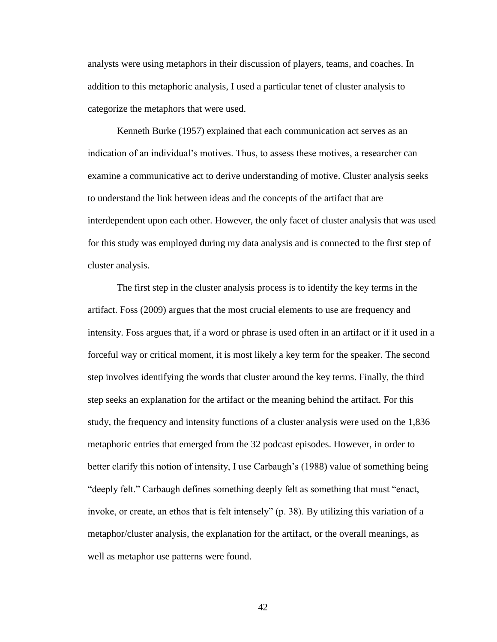analysts were using metaphors in their discussion of players, teams, and coaches. In addition to this metaphoric analysis, I used a particular tenet of cluster analysis to categorize the metaphors that were used.

Kenneth Burke (1957) explained that each communication act serves as an indication of an individual's motives. Thus, to assess these motives, a researcher can examine a communicative act to derive understanding of motive. Cluster analysis seeks to understand the link between ideas and the concepts of the artifact that are interdependent upon each other. However, the only facet of cluster analysis that was used for this study was employed during my data analysis and is connected to the first step of cluster analysis.

The first step in the cluster analysis process is to identify the key terms in the artifact. Foss (2009) argues that the most crucial elements to use are frequency and intensity. Foss argues that, if a word or phrase is used often in an artifact or if it used in a forceful way or critical moment, it is most likely a key term for the speaker. The second step involves identifying the words that cluster around the key terms. Finally, the third step seeks an explanation for the artifact or the meaning behind the artifact. For this study, the frequency and intensity functions of a cluster analysis were used on the 1,836 metaphoric entries that emerged from the 32 podcast episodes. However, in order to better clarify this notion of intensity, I use Carbaugh's (1988) value of something being "deeply felt." Carbaugh defines something deeply felt as something that must "enact, invoke, or create, an ethos that is felt intensely" (p. 38). By utilizing this variation of a metaphor/cluster analysis, the explanation for the artifact, or the overall meanings, as well as metaphor use patterns were found.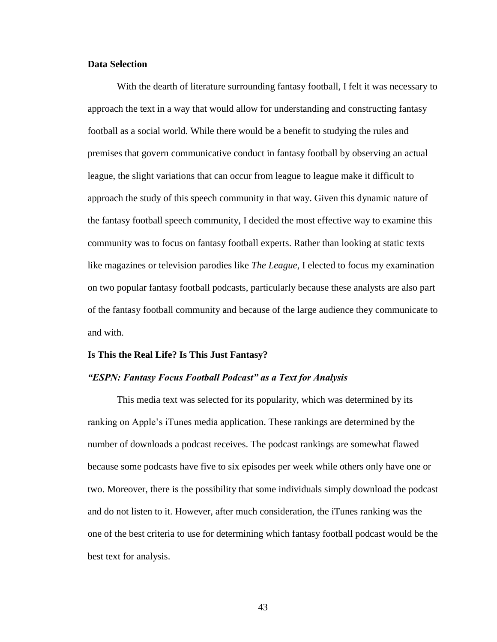# **Data Selection**

With the dearth of literature surrounding fantasy football, I felt it was necessary to approach the text in a way that would allow for understanding and constructing fantasy football as a social world. While there would be a benefit to studying the rules and premises that govern communicative conduct in fantasy football by observing an actual league, the slight variations that can occur from league to league make it difficult to approach the study of this speech community in that way. Given this dynamic nature of the fantasy football speech community, I decided the most effective way to examine this community was to focus on fantasy football experts. Rather than looking at static texts like magazines or television parodies like *The League*, I elected to focus my examination on two popular fantasy football podcasts, particularly because these analysts are also part of the fantasy football community and because of the large audience they communicate to and with.

#### **Is This the Real Life? Is This Just Fantasy?**

#### *"ESPN: Fantasy Focus Football Podcast" as a Text for Analysis*

This media text was selected for its popularity, which was determined by its ranking on Apple's iTunes media application. These rankings are determined by the number of downloads a podcast receives. The podcast rankings are somewhat flawed because some podcasts have five to six episodes per week while others only have one or two. Moreover, there is the possibility that some individuals simply download the podcast and do not listen to it. However, after much consideration, the iTunes ranking was the one of the best criteria to use for determining which fantasy football podcast would be the best text for analysis.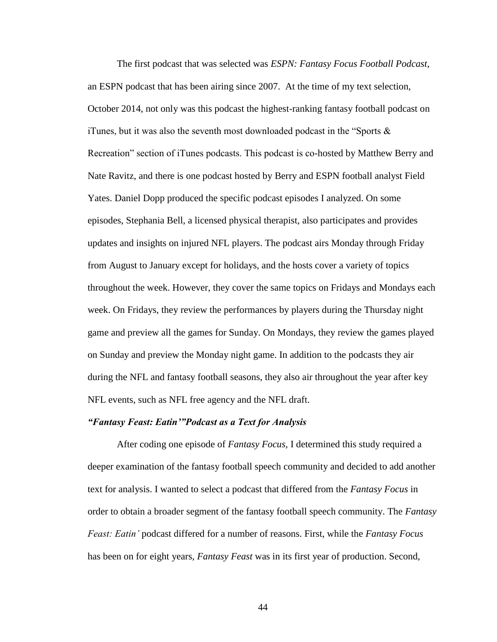The first podcast that was selected was *ESPN: Fantasy Focus Football Podcast*, an ESPN podcast that has been airing since 2007. At the time of my text selection, October 2014, not only was this podcast the highest-ranking fantasy football podcast on iTunes, but it was also the seventh most downloaded podcast in the "Sports  $\&$ Recreation" section of iTunes podcasts. This podcast is co-hosted by Matthew Berry and Nate Ravitz, and there is one podcast hosted by Berry and ESPN football analyst Field Yates. Daniel Dopp produced the specific podcast episodes I analyzed. On some episodes, Stephania Bell, a licensed physical therapist, also participates and provides updates and insights on injured NFL players. The podcast airs Monday through Friday from August to January except for holidays, and the hosts cover a variety of topics throughout the week. However, they cover the same topics on Fridays and Mondays each week. On Fridays, they review the performances by players during the Thursday night game and preview all the games for Sunday. On Mondays, they review the games played on Sunday and preview the Monday night game. In addition to the podcasts they air during the NFL and fantasy football seasons, they also air throughout the year after key NFL events, such as NFL free agency and the NFL draft.

#### *"Fantasy Feast: Eatin'"Podcast as a Text for Analysis*

After coding one episode of *Fantasy Focus*, I determined this study required a deeper examination of the fantasy football speech community and decided to add another text for analysis. I wanted to select a podcast that differed from the *Fantasy Focus* in order to obtain a broader segment of the fantasy football speech community. The *Fantasy Feast: Eatin'* podcast differed for a number of reasons. First, while the *Fantasy Focus*  has been on for eight years, *Fantasy Feast* was in its first year of production. Second,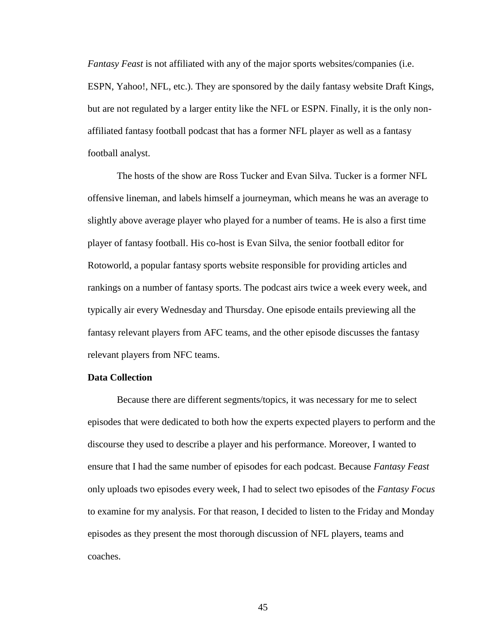*Fantasy Feast* is not affiliated with any of the major sports websites/companies (i.e. ESPN, Yahoo!, NFL, etc.). They are sponsored by the daily fantasy website Draft Kings, but are not regulated by a larger entity like the NFL or ESPN. Finally, it is the only nonaffiliated fantasy football podcast that has a former NFL player as well as a fantasy football analyst.

The hosts of the show are Ross Tucker and Evan Silva. Tucker is a former NFL offensive lineman, and labels himself a journeyman, which means he was an average to slightly above average player who played for a number of teams. He is also a first time player of fantasy football. His co-host is Evan Silva, the senior football editor for Rotoworld, a popular fantasy sports website responsible for providing articles and rankings on a number of fantasy sports. The podcast airs twice a week every week, and typically air every Wednesday and Thursday. One episode entails previewing all the fantasy relevant players from AFC teams, and the other episode discusses the fantasy relevant players from NFC teams.

# **Data Collection**

Because there are different segments/topics, it was necessary for me to select episodes that were dedicated to both how the experts expected players to perform and the discourse they used to describe a player and his performance. Moreover, I wanted to ensure that I had the same number of episodes for each podcast. Because *Fantasy Feast*  only uploads two episodes every week, I had to select two episodes of the *Fantasy Focus* to examine for my analysis. For that reason, I decided to listen to the Friday and Monday episodes as they present the most thorough discussion of NFL players, teams and coaches.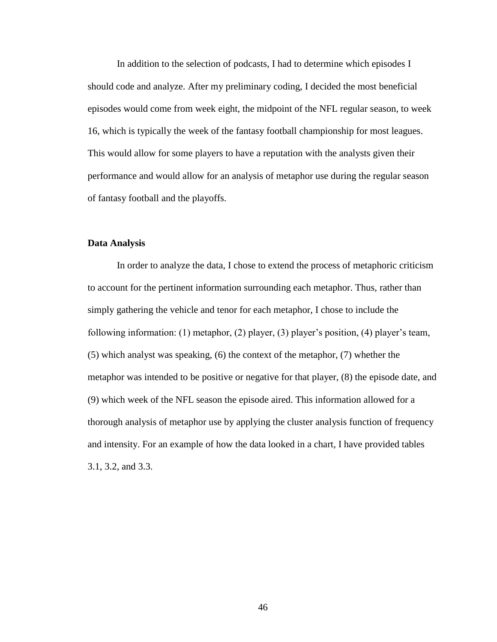In addition to the selection of podcasts, I had to determine which episodes I should code and analyze. After my preliminary coding, I decided the most beneficial episodes would come from week eight, the midpoint of the NFL regular season, to week 16, which is typically the week of the fantasy football championship for most leagues. This would allow for some players to have a reputation with the analysts given their performance and would allow for an analysis of metaphor use during the regular season of fantasy football and the playoffs.

# **Data Analysis**

In order to analyze the data, I chose to extend the process of metaphoric criticism to account for the pertinent information surrounding each metaphor. Thus, rather than simply gathering the vehicle and tenor for each metaphor, I chose to include the following information: (1) metaphor, (2) player, (3) player's position, (4) player's team, (5) which analyst was speaking, (6) the context of the metaphor, (7) whether the metaphor was intended to be positive or negative for that player, (8) the episode date, and (9) which week of the NFL season the episode aired. This information allowed for a thorough analysis of metaphor use by applying the cluster analysis function of frequency and intensity. For an example of how the data looked in a chart, I have provided tables 3.1, 3.2, and 3.3.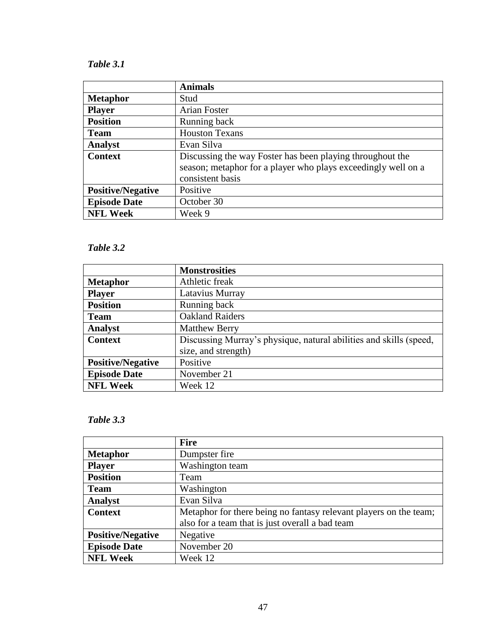# *Table 3.1*

|                          | <b>Animals</b>                                                                                                                                 |  |
|--------------------------|------------------------------------------------------------------------------------------------------------------------------------------------|--|
| <b>Metaphor</b>          | Stud                                                                                                                                           |  |
| <b>Player</b>            | Arian Foster                                                                                                                                   |  |
| <b>Position</b>          | Running back                                                                                                                                   |  |
| <b>Team</b>              | <b>Houston Texans</b>                                                                                                                          |  |
| <b>Analyst</b>           | Evan Silva                                                                                                                                     |  |
| <b>Context</b>           | Discussing the way Foster has been playing throughout the<br>season; metaphor for a player who plays exceedingly well on a<br>consistent basis |  |
| <b>Positive/Negative</b> | Positive                                                                                                                                       |  |
| <b>Episode Date</b>      | October 30                                                                                                                                     |  |
| <b>NFL Week</b>          | Week 9                                                                                                                                         |  |

# *Table 3.2*

|                          | <b>Monstrosities</b>                                               |  |
|--------------------------|--------------------------------------------------------------------|--|
| <b>Metaphor</b>          | Athletic freak                                                     |  |
| <b>Player</b>            | Latavius Murray                                                    |  |
| <b>Position</b>          | Running back                                                       |  |
| <b>Team</b>              | <b>Oakland Raiders</b>                                             |  |
| <b>Analyst</b>           | <b>Matthew Berry</b>                                               |  |
| <b>Context</b>           | Discussing Murray's physique, natural abilities and skills (speed, |  |
|                          | size, and strength)                                                |  |
| <b>Positive/Negative</b> | Positive                                                           |  |
| <b>Episode Date</b>      | November 21                                                        |  |
| <b>NFL Week</b>          | Week 12                                                            |  |

# *Table 3.3*

|                          | <b>Fire</b>                                                       |  |
|--------------------------|-------------------------------------------------------------------|--|
| <b>Metaphor</b>          | Dumpster fire                                                     |  |
| <b>Player</b>            | Washington team                                                   |  |
| <b>Position</b>          | Team                                                              |  |
| <b>Team</b>              | Washington                                                        |  |
| <b>Analyst</b>           | Evan Silva                                                        |  |
| <b>Context</b>           | Metaphor for there being no fantasy relevant players on the team; |  |
|                          | also for a team that is just overall a bad team                   |  |
| <b>Positive/Negative</b> | Negative                                                          |  |
| <b>Episode Date</b>      | November 20                                                       |  |
| <b>NFL Week</b>          | Week 12                                                           |  |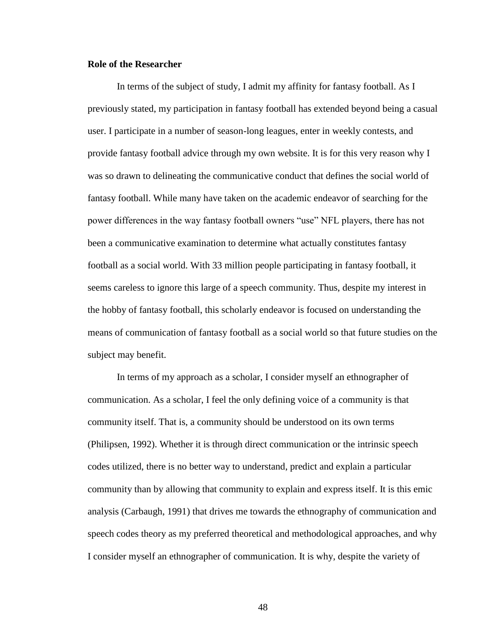# **Role of the Researcher**

In terms of the subject of study, I admit my affinity for fantasy football. As I previously stated, my participation in fantasy football has extended beyond being a casual user. I participate in a number of season-long leagues, enter in weekly contests, and provide fantasy football advice through my own website. It is for this very reason why I was so drawn to delineating the communicative conduct that defines the social world of fantasy football. While many have taken on the academic endeavor of searching for the power differences in the way fantasy football owners "use" NFL players, there has not been a communicative examination to determine what actually constitutes fantasy football as a social world. With 33 million people participating in fantasy football, it seems careless to ignore this large of a speech community. Thus, despite my interest in the hobby of fantasy football, this scholarly endeavor is focused on understanding the means of communication of fantasy football as a social world so that future studies on the subject may benefit.

In terms of my approach as a scholar, I consider myself an ethnographer of communication. As a scholar, I feel the only defining voice of a community is that community itself. That is, a community should be understood on its own terms (Philipsen, 1992). Whether it is through direct communication or the intrinsic speech codes utilized, there is no better way to understand, predict and explain a particular community than by allowing that community to explain and express itself. It is this emic analysis (Carbaugh, 1991) that drives me towards the ethnography of communication and speech codes theory as my preferred theoretical and methodological approaches, and why I consider myself an ethnographer of communication. It is why, despite the variety of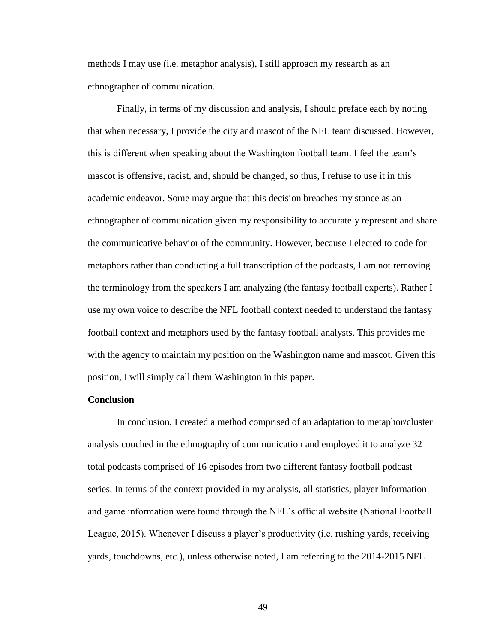methods I may use (i.e. metaphor analysis), I still approach my research as an ethnographer of communication.

Finally, in terms of my discussion and analysis, I should preface each by noting that when necessary, I provide the city and mascot of the NFL team discussed. However, this is different when speaking about the Washington football team. I feel the team's mascot is offensive, racist, and, should be changed, so thus, I refuse to use it in this academic endeavor. Some may argue that this decision breaches my stance as an ethnographer of communication given my responsibility to accurately represent and share the communicative behavior of the community. However, because I elected to code for metaphors rather than conducting a full transcription of the podcasts, I am not removing the terminology from the speakers I am analyzing (the fantasy football experts). Rather I use my own voice to describe the NFL football context needed to understand the fantasy football context and metaphors used by the fantasy football analysts. This provides me with the agency to maintain my position on the Washington name and mascot. Given this position, I will simply call them Washington in this paper.

#### **Conclusion**

In conclusion, I created a method comprised of an adaptation to metaphor/cluster analysis couched in the ethnography of communication and employed it to analyze 32 total podcasts comprised of 16 episodes from two different fantasy football podcast series. In terms of the context provided in my analysis, all statistics, player information and game information were found through the NFL's official website (National Football League, 2015). Whenever I discuss a player's productivity (i.e. rushing yards, receiving yards, touchdowns, etc.), unless otherwise noted, I am referring to the 2014-2015 NFL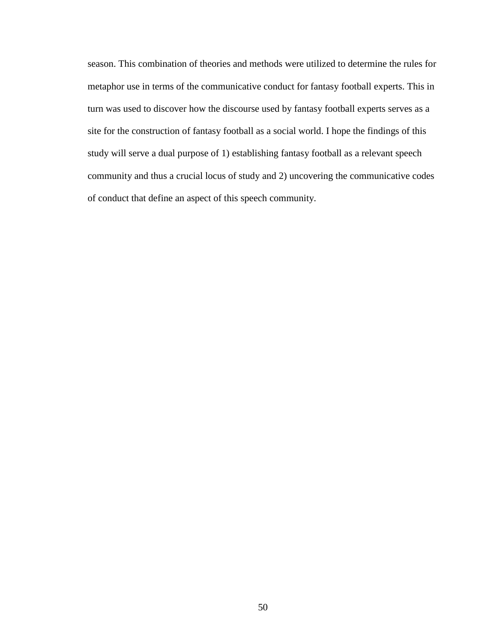season. This combination of theories and methods were utilized to determine the rules for metaphor use in terms of the communicative conduct for fantasy football experts. This in turn was used to discover how the discourse used by fantasy football experts serves as a site for the construction of fantasy football as a social world. I hope the findings of this study will serve a dual purpose of 1) establishing fantasy football as a relevant speech community and thus a crucial locus of study and 2) uncovering the communicative codes of conduct that define an aspect of this speech community.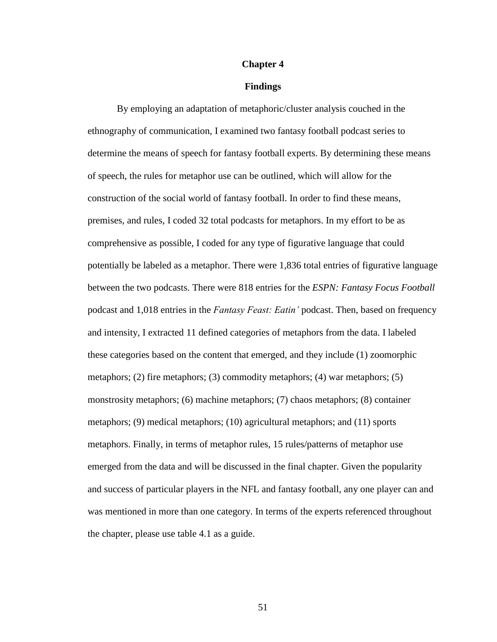#### **Chapter 4**

#### **Findings**

By employing an adaptation of metaphoric/cluster analysis couched in the ethnography of communication, I examined two fantasy football podcast series to determine the means of speech for fantasy football experts. By determining these means of speech, the rules for metaphor use can be outlined, which will allow for the construction of the social world of fantasy football. In order to find these means, premises, and rules, I coded 32 total podcasts for metaphors. In my effort to be as comprehensive as possible, I coded for any type of figurative language that could potentially be labeled as a metaphor. There were 1,836 total entries of figurative language between the two podcasts. There were 818 entries for the *ESPN: Fantasy Focus Football*  podcast and 1,018 entries in the *Fantasy Feast: Eatin'* podcast. Then, based on frequency and intensity, I extracted 11 defined categories of metaphors from the data. I labeled these categories based on the content that emerged, and they include (1) zoomorphic metaphors; (2) fire metaphors; (3) commodity metaphors; (4) war metaphors; (5) monstrosity metaphors; (6) machine metaphors; (7) chaos metaphors; (8) container metaphors; (9) medical metaphors; (10) agricultural metaphors; and (11) sports metaphors. Finally, in terms of metaphor rules, 15 rules/patterns of metaphor use emerged from the data and will be discussed in the final chapter. Given the popularity and success of particular players in the NFL and fantasy football, any one player can and was mentioned in more than one category. In terms of the experts referenced throughout the chapter, please use table 4.1 as a guide.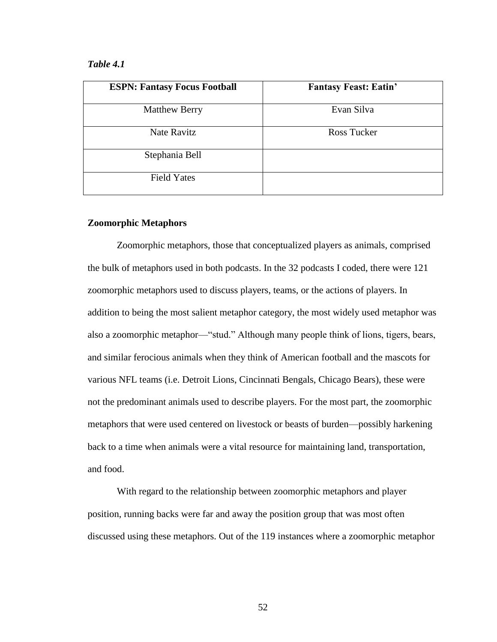# *Table 4.1*

| <b>ESPN: Fantasy Focus Football</b> | <b>Fantasy Feast: Eatin'</b> |
|-------------------------------------|------------------------------|
| <b>Matthew Berry</b>                | Evan Silva                   |
| Nate Ravitz                         | Ross Tucker                  |
| Stephania Bell                      |                              |
| <b>Field Yates</b>                  |                              |

# **Zoomorphic Metaphors**

Zoomorphic metaphors, those that conceptualized players as animals, comprised the bulk of metaphors used in both podcasts. In the 32 podcasts I coded, there were 121 zoomorphic metaphors used to discuss players, teams, or the actions of players. In addition to being the most salient metaphor category, the most widely used metaphor was also a zoomorphic metaphor—"stud." Although many people think of lions, tigers, bears, and similar ferocious animals when they think of American football and the mascots for various NFL teams (i.e. Detroit Lions, Cincinnati Bengals, Chicago Bears), these were not the predominant animals used to describe players. For the most part, the zoomorphic metaphors that were used centered on livestock or beasts of burden—possibly harkening back to a time when animals were a vital resource for maintaining land, transportation, and food.

With regard to the relationship between zoomorphic metaphors and player position, running backs were far and away the position group that was most often discussed using these metaphors. Out of the 119 instances where a zoomorphic metaphor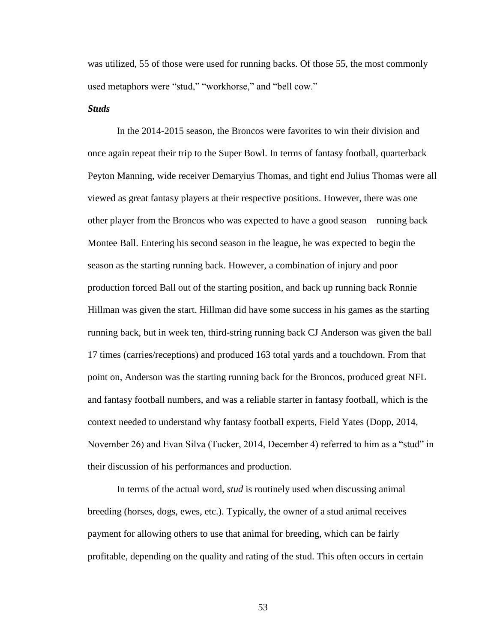was utilized, 55 of those were used for running backs. Of those 55, the most commonly used metaphors were "stud," "workhorse," and "bell cow."

#### *Studs*

In the 2014-2015 season, the Broncos were favorites to win their division and once again repeat their trip to the Super Bowl. In terms of fantasy football, quarterback Peyton Manning, wide receiver Demaryius Thomas, and tight end Julius Thomas were all viewed as great fantasy players at their respective positions. However, there was one other player from the Broncos who was expected to have a good season—running back Montee Ball. Entering his second season in the league, he was expected to begin the season as the starting running back. However, a combination of injury and poor production forced Ball out of the starting position, and back up running back Ronnie Hillman was given the start. Hillman did have some success in his games as the starting running back, but in week ten, third-string running back CJ Anderson was given the ball 17 times (carries/receptions) and produced 163 total yards and a touchdown. From that point on, Anderson was the starting running back for the Broncos, produced great NFL and fantasy football numbers, and was a reliable starter in fantasy football, which is the context needed to understand why fantasy football experts, Field Yates (Dopp, 2014, November 26) and Evan Silva (Tucker, 2014, December 4) referred to him as a "stud" in their discussion of his performances and production.

In terms of the actual word, *stud* is routinely used when discussing animal breeding (horses, dogs, ewes, etc.). Typically, the owner of a stud animal receives payment for allowing others to use that animal for breeding, which can be fairly profitable, depending on the quality and rating of the stud. This often occurs in certain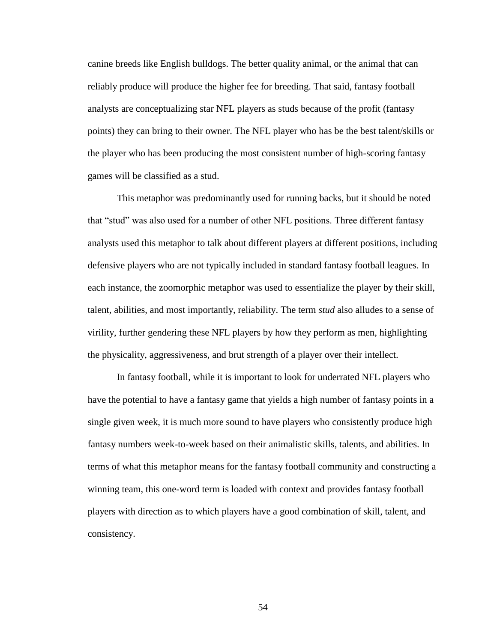canine breeds like English bulldogs. The better quality animal, or the animal that can reliably produce will produce the higher fee for breeding. That said, fantasy football analysts are conceptualizing star NFL players as studs because of the profit (fantasy points) they can bring to their owner. The NFL player who has be the best talent/skills or the player who has been producing the most consistent number of high-scoring fantasy games will be classified as a stud.

This metaphor was predominantly used for running backs, but it should be noted that "stud" was also used for a number of other NFL positions. Three different fantasy analysts used this metaphor to talk about different players at different positions, including defensive players who are not typically included in standard fantasy football leagues. In each instance, the zoomorphic metaphor was used to essentialize the player by their skill, talent, abilities, and most importantly, reliability. The term *stud* also alludes to a sense of virility, further gendering these NFL players by how they perform as men, highlighting the physicality, aggressiveness, and brut strength of a player over their intellect.

In fantasy football, while it is important to look for underrated NFL players who have the potential to have a fantasy game that yields a high number of fantasy points in a single given week, it is much more sound to have players who consistently produce high fantasy numbers week-to-week based on their animalistic skills, talents, and abilities. In terms of what this metaphor means for the fantasy football community and constructing a winning team, this one-word term is loaded with context and provides fantasy football players with direction as to which players have a good combination of skill, talent, and consistency.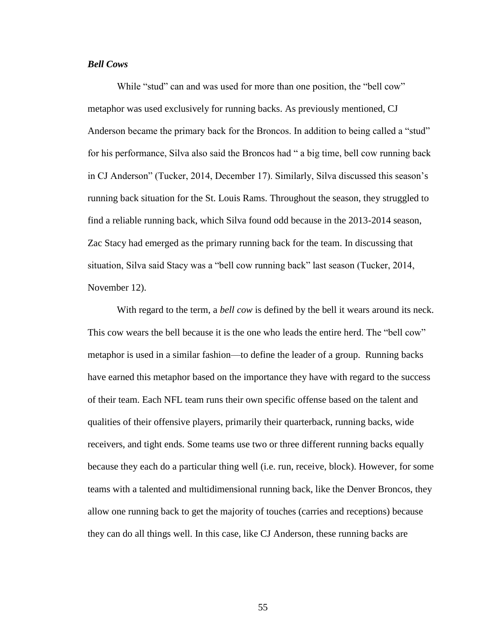# *Bell Cows*

While "stud" can and was used for more than one position, the "bell cow" metaphor was used exclusively for running backs. As previously mentioned, CJ Anderson became the primary back for the Broncos. In addition to being called a "stud" for his performance, Silva also said the Broncos had " a big time, bell cow running back in CJ Anderson" (Tucker, 2014, December 17). Similarly, Silva discussed this season's running back situation for the St. Louis Rams. Throughout the season, they struggled to find a reliable running back, which Silva found odd because in the 2013-2014 season, Zac Stacy had emerged as the primary running back for the team. In discussing that situation, Silva said Stacy was a "bell cow running back" last season (Tucker, 2014, November 12).

With regard to the term, a *bell cow* is defined by the bell it wears around its neck. This cow wears the bell because it is the one who leads the entire herd. The "bell cow" metaphor is used in a similar fashion—to define the leader of a group. Running backs have earned this metaphor based on the importance they have with regard to the success of their team. Each NFL team runs their own specific offense based on the talent and qualities of their offensive players, primarily their quarterback, running backs, wide receivers, and tight ends. Some teams use two or three different running backs equally because they each do a particular thing well (i.e. run, receive, block). However, for some teams with a talented and multidimensional running back, like the Denver Broncos, they allow one running back to get the majority of touches (carries and receptions) because they can do all things well. In this case, like CJ Anderson, these running backs are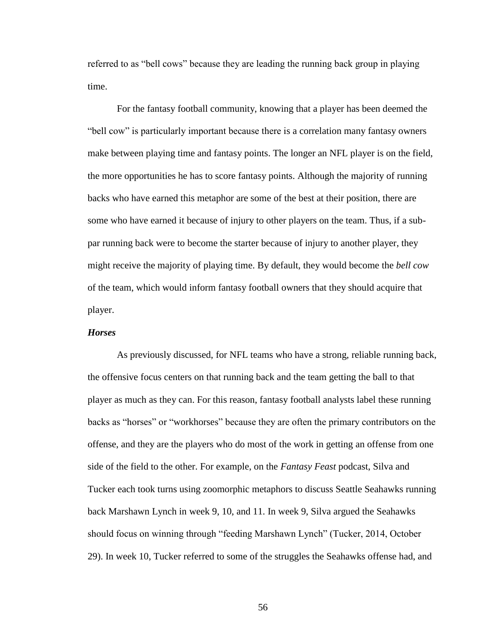referred to as "bell cows" because they are leading the running back group in playing time.

For the fantasy football community, knowing that a player has been deemed the "bell cow" is particularly important because there is a correlation many fantasy owners make between playing time and fantasy points. The longer an NFL player is on the field, the more opportunities he has to score fantasy points. Although the majority of running backs who have earned this metaphor are some of the best at their position, there are some who have earned it because of injury to other players on the team. Thus, if a subpar running back were to become the starter because of injury to another player, they might receive the majority of playing time. By default, they would become the *bell cow* of the team, which would inform fantasy football owners that they should acquire that player.

# *Horses*

As previously discussed, for NFL teams who have a strong, reliable running back, the offensive focus centers on that running back and the team getting the ball to that player as much as they can. For this reason, fantasy football analysts label these running backs as "horses" or "workhorses" because they are often the primary contributors on the offense, and they are the players who do most of the work in getting an offense from one side of the field to the other. For example, on the *Fantasy Feast* podcast, Silva and Tucker each took turns using zoomorphic metaphors to discuss Seattle Seahawks running back Marshawn Lynch in week 9, 10, and 11. In week 9, Silva argued the Seahawks should focus on winning through "feeding Marshawn Lynch" (Tucker, 2014, October 29). In week 10, Tucker referred to some of the struggles the Seahawks offense had, and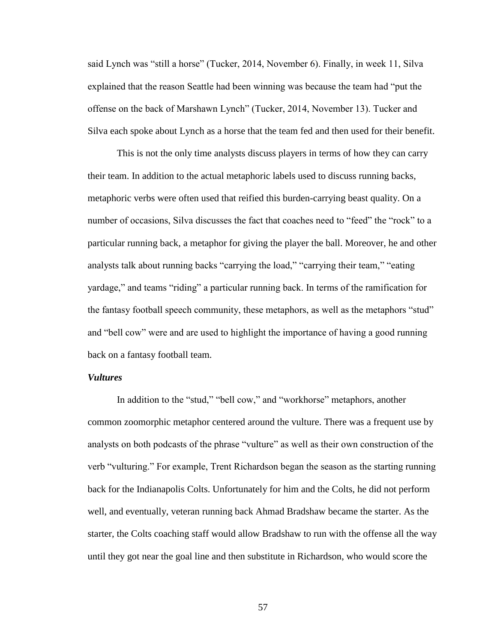said Lynch was "still a horse" (Tucker, 2014, November 6). Finally, in week 11, Silva explained that the reason Seattle had been winning was because the team had "put the offense on the back of Marshawn Lynch‖ (Tucker, 2014, November 13). Tucker and Silva each spoke about Lynch as a horse that the team fed and then used for their benefit.

This is not the only time analysts discuss players in terms of how they can carry their team. In addition to the actual metaphoric labels used to discuss running backs, metaphoric verbs were often used that reified this burden-carrying beast quality. On a number of occasions, Silva discusses the fact that coaches need to "feed" the "rock" to a particular running back, a metaphor for giving the player the ball. Moreover, he and other analysts talk about running backs "carrying the load," "carrying their team," "eating yardage," and teams "riding" a particular running back. In terms of the ramification for the fantasy football speech community, these metaphors, as well as the metaphors "stud" and "bell cow" were and are used to highlight the importance of having a good running back on a fantasy football team.

# *Vultures*

In addition to the "stud," "bell cow," and "workhorse" metaphors, another common zoomorphic metaphor centered around the vulture. There was a frequent use by analysts on both podcasts of the phrase "vulture" as well as their own construction of the verb "vulturing." For example, Trent Richardson began the season as the starting running back for the Indianapolis Colts. Unfortunately for him and the Colts, he did not perform well, and eventually, veteran running back Ahmad Bradshaw became the starter. As the starter, the Colts coaching staff would allow Bradshaw to run with the offense all the way until they got near the goal line and then substitute in Richardson, who would score the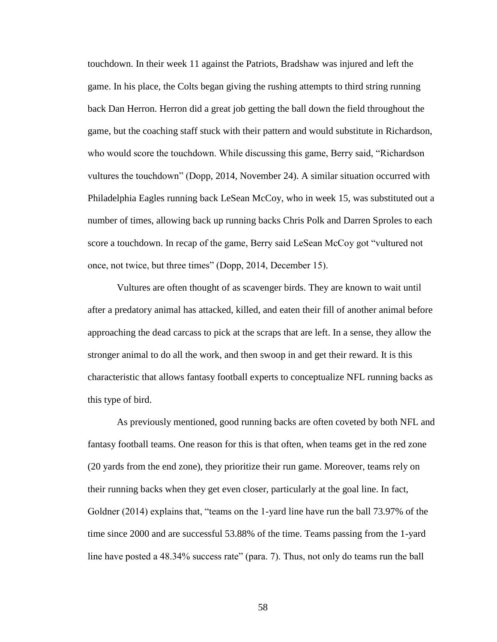touchdown. In their week 11 against the Patriots, Bradshaw was injured and left the game. In his place, the Colts began giving the rushing attempts to third string running back Dan Herron. Herron did a great job getting the ball down the field throughout the game, but the coaching staff stuck with their pattern and would substitute in Richardson, who would score the touchdown. While discussing this game, Berry said, "Richardson" vultures the touchdown‖ (Dopp, 2014, November 24). A similar situation occurred with Philadelphia Eagles running back LeSean McCoy, who in week 15, was substituted out a number of times, allowing back up running backs Chris Polk and Darren Sproles to each score a touchdown. In recap of the game, Berry said LeSean McCoy got "vultured not once, not twice, but three times" (Dopp, 2014, December 15).

Vultures are often thought of as scavenger birds. They are known to wait until after a predatory animal has attacked, killed, and eaten their fill of another animal before approaching the dead carcass to pick at the scraps that are left. In a sense, they allow the stronger animal to do all the work, and then swoop in and get their reward. It is this characteristic that allows fantasy football experts to conceptualize NFL running backs as this type of bird.

As previously mentioned, good running backs are often coveted by both NFL and fantasy football teams. One reason for this is that often, when teams get in the red zone (20 yards from the end zone), they prioritize their run game. Moreover, teams rely on their running backs when they get even closer, particularly at the goal line. In fact, Goldner  $(2014)$  explains that, "teams on the 1-yard line have run the ball 73.97% of the time since 2000 and are successful 53.88% of the time. Teams passing from the 1-yard line have posted a 48.34% success rate" (para. 7). Thus, not only do teams run the ball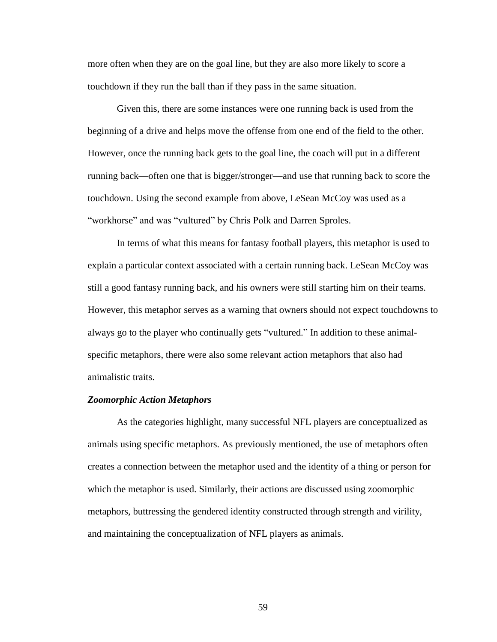more often when they are on the goal line, but they are also more likely to score a touchdown if they run the ball than if they pass in the same situation.

Given this, there are some instances were one running back is used from the beginning of a drive and helps move the offense from one end of the field to the other. However, once the running back gets to the goal line, the coach will put in a different running back—often one that is bigger/stronger—and use that running back to score the touchdown. Using the second example from above, LeSean McCoy was used as a "workhorse" and was "vultured" by Chris Polk and Darren Sproles.

In terms of what this means for fantasy football players, this metaphor is used to explain a particular context associated with a certain running back. LeSean McCoy was still a good fantasy running back, and his owners were still starting him on their teams. However, this metaphor serves as a warning that owners should not expect touchdowns to always go to the player who continually gets "vultured." In addition to these animalspecific metaphors, there were also some relevant action metaphors that also had animalistic traits.

#### *Zoomorphic Action Metaphors*

As the categories highlight, many successful NFL players are conceptualized as animals using specific metaphors. As previously mentioned, the use of metaphors often creates a connection between the metaphor used and the identity of a thing or person for which the metaphor is used. Similarly, their actions are discussed using zoomorphic metaphors, buttressing the gendered identity constructed through strength and virility, and maintaining the conceptualization of NFL players as animals.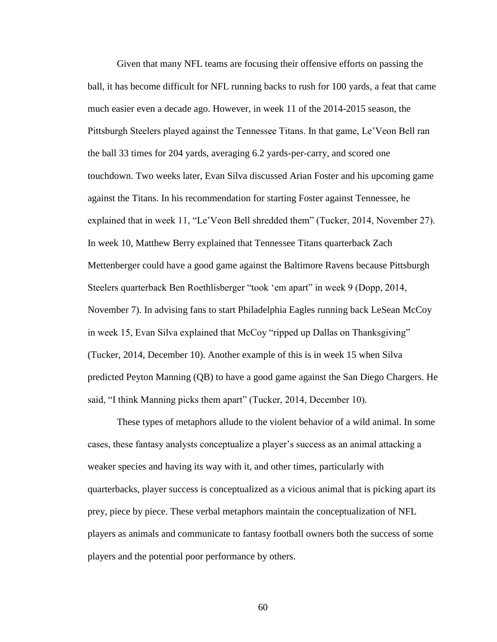Given that many NFL teams are focusing their offensive efforts on passing the ball, it has become difficult for NFL running backs to rush for 100 yards, a feat that came much easier even a decade ago. However, in week 11 of the 2014-2015 season, the Pittsburgh Steelers played against the Tennessee Titans. In that game, Le'Veon Bell ran the ball 33 times for 204 yards, averaging 6.2 yards-per-carry, and scored one touchdown. Two weeks later, Evan Silva discussed Arian Foster and his upcoming game against the Titans. In his recommendation for starting Foster against Tennessee, he explained that in week 11, "Le'Veon Bell shredded them" (Tucker, 2014, November 27). In week 10, Matthew Berry explained that Tennessee Titans quarterback Zach Mettenberger could have a good game against the Baltimore Ravens because Pittsburgh Steelers quarterback Ben Roethlisberger "took 'em apart" in week 9 (Dopp, 2014, November 7). In advising fans to start Philadelphia Eagles running back LeSean McCoy in week 15, Evan Silva explained that McCoy "ripped up Dallas on Thanksgiving" (Tucker, 2014, December 10). Another example of this is in week 15 when Silva predicted Peyton Manning (QB) to have a good game against the San Diego Chargers. He said, "I think Manning picks them apart" (Tucker, 2014, December 10).

These types of metaphors allude to the violent behavior of a wild animal. In some cases, these fantasy analysts conceptualize a player's success as an animal attacking a weaker species and having its way with it, and other times, particularly with quarterbacks, player success is conceptualized as a vicious animal that is picking apart its prey, piece by piece. These verbal metaphors maintain the conceptualization of NFL players as animals and communicate to fantasy football owners both the success of some players and the potential poor performance by others.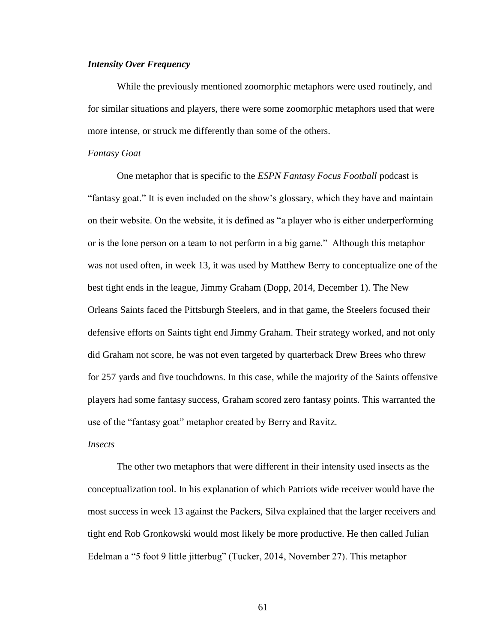# *Intensity Over Frequency*

While the previously mentioned zoomorphic metaphors were used routinely, and for similar situations and players, there were some zoomorphic metaphors used that were more intense, or struck me differently than some of the others.

#### *Fantasy Goat*

One metaphor that is specific to the *ESPN Fantasy Focus Football* podcast is ―fantasy goat.‖ It is even included on the show's glossary, which they have and maintain on their website. On the website, it is defined as "a player who is either underperforming or is the lone person on a team to not perform in a big game." Although this metaphor was not used often, in week 13, it was used by Matthew Berry to conceptualize one of the best tight ends in the league, Jimmy Graham (Dopp, 2014, December 1). The New Orleans Saints faced the Pittsburgh Steelers, and in that game, the Steelers focused their defensive efforts on Saints tight end Jimmy Graham. Their strategy worked, and not only did Graham not score, he was not even targeted by quarterback Drew Brees who threw for 257 yards and five touchdowns. In this case, while the majority of the Saints offensive players had some fantasy success, Graham scored zero fantasy points. This warranted the use of the "fantasy goat" metaphor created by Berry and Ravitz.

#### *Insects*

The other two metaphors that were different in their intensity used insects as the conceptualization tool. In his explanation of which Patriots wide receiver would have the most success in week 13 against the Packers, Silva explained that the larger receivers and tight end Rob Gronkowski would most likely be more productive. He then called Julian Edelman a "5 foot 9 little jitterbug" (Tucker, 2014, November 27). This metaphor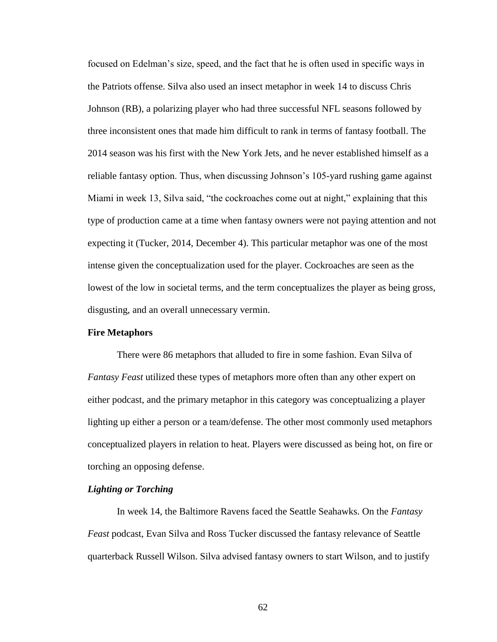focused on Edelman's size, speed, and the fact that he is often used in specific ways in the Patriots offense. Silva also used an insect metaphor in week 14 to discuss Chris Johnson (RB), a polarizing player who had three successful NFL seasons followed by three inconsistent ones that made him difficult to rank in terms of fantasy football. The 2014 season was his first with the New York Jets, and he never established himself as a reliable fantasy option. Thus, when discussing Johnson's 105-yard rushing game against Miami in week 13, Silva said, "the cockroaches come out at night," explaining that this type of production came at a time when fantasy owners were not paying attention and not expecting it (Tucker, 2014, December 4). This particular metaphor was one of the most intense given the conceptualization used for the player. Cockroaches are seen as the lowest of the low in societal terms, and the term conceptualizes the player as being gross, disgusting, and an overall unnecessary vermin.

# **Fire Metaphors**

There were 86 metaphors that alluded to fire in some fashion. Evan Silva of *Fantasy Feast* utilized these types of metaphors more often than any other expert on either podcast, and the primary metaphor in this category was conceptualizing a player lighting up either a person or a team/defense. The other most commonly used metaphors conceptualized players in relation to heat. Players were discussed as being hot, on fire or torching an opposing defense.

#### *Lighting or Torching*

In week 14, the Baltimore Ravens faced the Seattle Seahawks. On the *Fantasy Feast* podcast, Evan Silva and Ross Tucker discussed the fantasy relevance of Seattle quarterback Russell Wilson. Silva advised fantasy owners to start Wilson, and to justify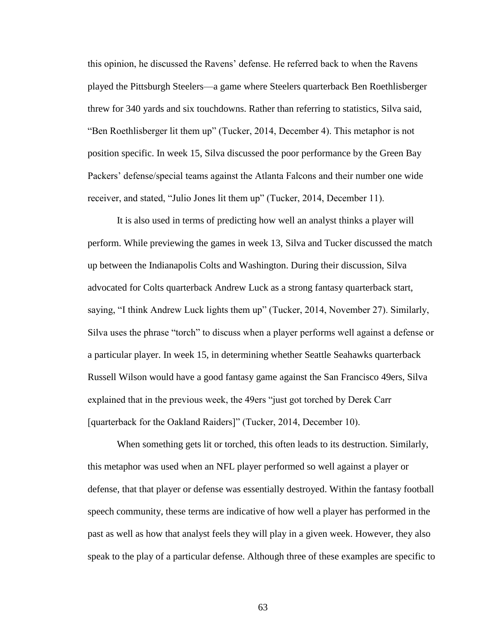this opinion, he discussed the Ravens' defense. He referred back to when the Ravens played the Pittsburgh Steelers—a game where Steelers quarterback Ben Roethlisberger threw for 340 yards and six touchdowns. Rather than referring to statistics, Silva said, "Ben Roethlisberger lit them up" (Tucker, 2014, December 4). This metaphor is not position specific. In week 15, Silva discussed the poor performance by the Green Bay Packers' defense/special teams against the Atlanta Falcons and their number one wide receiver, and stated, "Julio Jones lit them up" (Tucker, 2014, December 11).

It is also used in terms of predicting how well an analyst thinks a player will perform. While previewing the games in week 13, Silva and Tucker discussed the match up between the Indianapolis Colts and Washington. During their discussion, Silva advocated for Colts quarterback Andrew Luck as a strong fantasy quarterback start, saying, "I think Andrew Luck lights them up" (Tucker, 2014, November 27). Similarly, Silva uses the phrase "torch" to discuss when a player performs well against a defense or a particular player. In week 15, in determining whether Seattle Seahawks quarterback Russell Wilson would have a good fantasy game against the San Francisco 49ers, Silva explained that in the previous week, the 49ers "just got torched by Derek Carr" [quarterback for the Oakland Raiders]" (Tucker, 2014, December 10).

When something gets lit or torched, this often leads to its destruction. Similarly, this metaphor was used when an NFL player performed so well against a player or defense, that that player or defense was essentially destroyed. Within the fantasy football speech community, these terms are indicative of how well a player has performed in the past as well as how that analyst feels they will play in a given week. However, they also speak to the play of a particular defense. Although three of these examples are specific to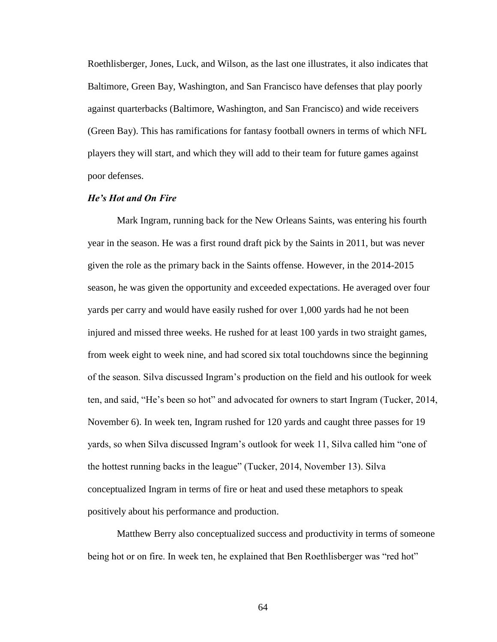Roethlisberger, Jones, Luck, and Wilson, as the last one illustrates, it also indicates that Baltimore, Green Bay, Washington, and San Francisco have defenses that play poorly against quarterbacks (Baltimore, Washington, and San Francisco) and wide receivers (Green Bay). This has ramifications for fantasy football owners in terms of which NFL players they will start, and which they will add to their team for future games against poor defenses.

## *He's Hot and On Fire*

Mark Ingram, running back for the New Orleans Saints, was entering his fourth year in the season. He was a first round draft pick by the Saints in 2011, but was never given the role as the primary back in the Saints offense. However, in the 2014-2015 season, he was given the opportunity and exceeded expectations. He averaged over four yards per carry and would have easily rushed for over 1,000 yards had he not been injured and missed three weeks. He rushed for at least 100 yards in two straight games, from week eight to week nine, and had scored six total touchdowns since the beginning of the season. Silva discussed Ingram's production on the field and his outlook for week ten, and said, "He's been so hot" and advocated for owners to start Ingram (Tucker, 2014, November 6). In week ten, Ingram rushed for 120 yards and caught three passes for 19 yards, so when Silva discussed Ingram's outlook for week 11, Silva called him "one of the hottest running backs in the league" (Tucker, 2014, November 13). Silva conceptualized Ingram in terms of fire or heat and used these metaphors to speak positively about his performance and production.

Matthew Berry also conceptualized success and productivity in terms of someone being hot or on fire. In week ten, he explained that Ben Roethlisberger was "red hot"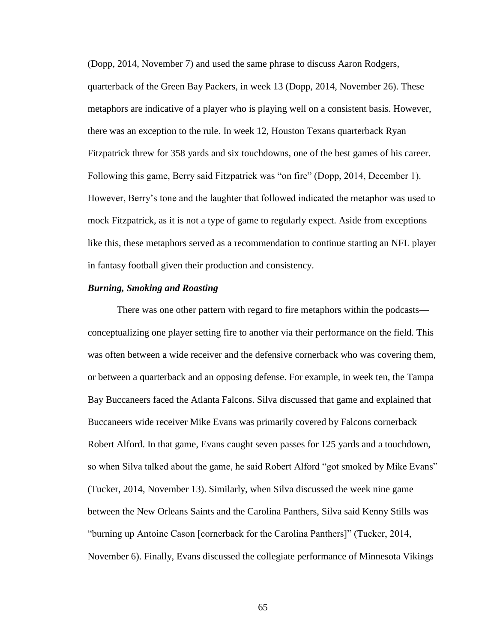(Dopp, 2014, November 7) and used the same phrase to discuss Aaron Rodgers, quarterback of the Green Bay Packers, in week 13 (Dopp, 2014, November 26). These metaphors are indicative of a player who is playing well on a consistent basis. However, there was an exception to the rule. In week 12, Houston Texans quarterback Ryan Fitzpatrick threw for 358 yards and six touchdowns, one of the best games of his career. Following this game, Berry said Fitzpatrick was "on fire" (Dopp, 2014, December 1). However, Berry's tone and the laughter that followed indicated the metaphor was used to mock Fitzpatrick, as it is not a type of game to regularly expect. Aside from exceptions like this, these metaphors served as a recommendation to continue starting an NFL player in fantasy football given their production and consistency.

## *Burning, Smoking and Roasting*

There was one other pattern with regard to fire metaphors within the podcasts conceptualizing one player setting fire to another via their performance on the field. This was often between a wide receiver and the defensive cornerback who was covering them, or between a quarterback and an opposing defense. For example, in week ten, the Tampa Bay Buccaneers faced the Atlanta Falcons. Silva discussed that game and explained that Buccaneers wide receiver Mike Evans was primarily covered by Falcons cornerback Robert Alford. In that game, Evans caught seven passes for 125 yards and a touchdown, so when Silva talked about the game, he said Robert Alford "got smoked by Mike Evans" (Tucker, 2014, November 13). Similarly, when Silva discussed the week nine game between the New Orleans Saints and the Carolina Panthers, Silva said Kenny Stills was ―burning up Antoine Cason [cornerback for the Carolina Panthers]‖ (Tucker, 2014, November 6). Finally, Evans discussed the collegiate performance of Minnesota Vikings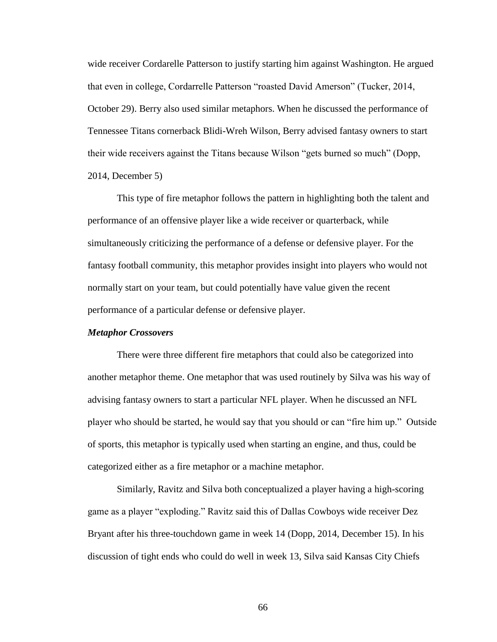wide receiver Cordarelle Patterson to justify starting him against Washington. He argued that even in college, Cordarrelle Patterson "roasted David Amerson" (Tucker, 2014, October 29). Berry also used similar metaphors. When he discussed the performance of Tennessee Titans cornerback Blidi-Wreh Wilson, Berry advised fantasy owners to start their wide receivers against the Titans because Wilson "gets burned so much" (Dopp, 2014, December 5)

This type of fire metaphor follows the pattern in highlighting both the talent and performance of an offensive player like a wide receiver or quarterback, while simultaneously criticizing the performance of a defense or defensive player. For the fantasy football community, this metaphor provides insight into players who would not normally start on your team, but could potentially have value given the recent performance of a particular defense or defensive player.

### *Metaphor Crossovers*

There were three different fire metaphors that could also be categorized into another metaphor theme. One metaphor that was used routinely by Silva was his way of advising fantasy owners to start a particular NFL player. When he discussed an NFL player who should be started, he would say that you should or can "fire him up." Outside of sports, this metaphor is typically used when starting an engine, and thus, could be categorized either as a fire metaphor or a machine metaphor.

Similarly, Ravitz and Silva both conceptualized a player having a high-scoring game as a player "exploding." Ravitz said this of Dallas Cowboys wide receiver Dez Bryant after his three-touchdown game in week 14 (Dopp, 2014, December 15). In his discussion of tight ends who could do well in week 13, Silva said Kansas City Chiefs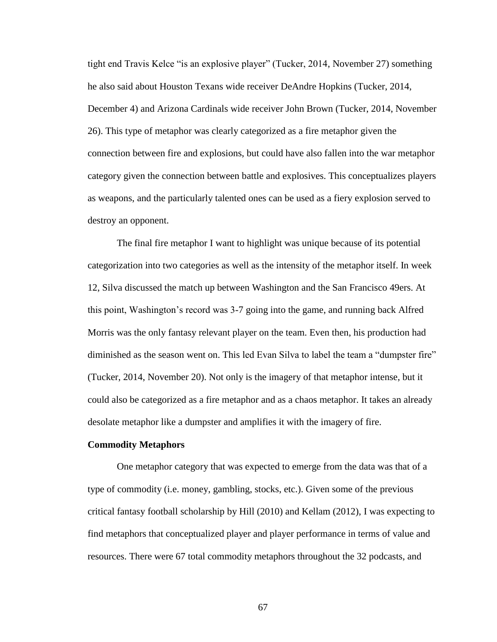tight end Travis Kelce "is an explosive player" (Tucker, 2014, November 27) something he also said about Houston Texans wide receiver DeAndre Hopkins (Tucker, 2014, December 4) and Arizona Cardinals wide receiver John Brown (Tucker, 2014, November 26). This type of metaphor was clearly categorized as a fire metaphor given the connection between fire and explosions, but could have also fallen into the war metaphor category given the connection between battle and explosives. This conceptualizes players as weapons, and the particularly talented ones can be used as a fiery explosion served to destroy an opponent.

The final fire metaphor I want to highlight was unique because of its potential categorization into two categories as well as the intensity of the metaphor itself. In week 12, Silva discussed the match up between Washington and the San Francisco 49ers. At this point, Washington's record was 3-7 going into the game, and running back Alfred Morris was the only fantasy relevant player on the team. Even then, his production had diminished as the season went on. This led Evan Silva to label the team a "dumpster fire" (Tucker, 2014, November 20). Not only is the imagery of that metaphor intense, but it could also be categorized as a fire metaphor and as a chaos metaphor. It takes an already desolate metaphor like a dumpster and amplifies it with the imagery of fire.

### **Commodity Metaphors**

One metaphor category that was expected to emerge from the data was that of a type of commodity (i.e. money, gambling, stocks, etc.). Given some of the previous critical fantasy football scholarship by Hill (2010) and Kellam (2012), I was expecting to find metaphors that conceptualized player and player performance in terms of value and resources. There were 67 total commodity metaphors throughout the 32 podcasts, and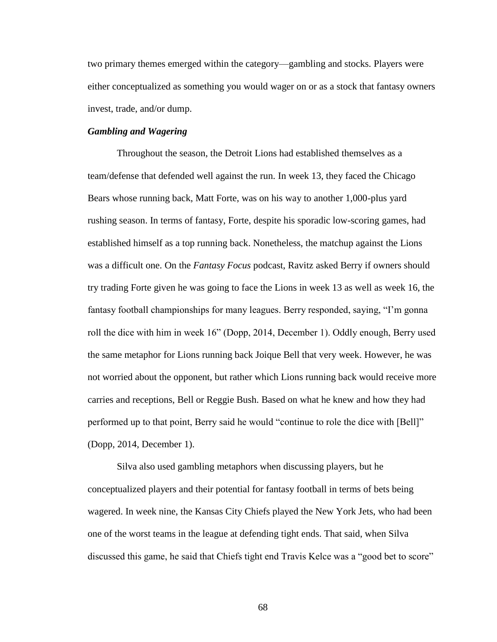two primary themes emerged within the category—gambling and stocks. Players were either conceptualized as something you would wager on or as a stock that fantasy owners invest, trade, and/or dump.

# *Gambling and Wagering*

Throughout the season, the Detroit Lions had established themselves as a team/defense that defended well against the run. In week 13, they faced the Chicago Bears whose running back, Matt Forte, was on his way to another 1,000-plus yard rushing season. In terms of fantasy, Forte, despite his sporadic low-scoring games, had established himself as a top running back. Nonetheless, the matchup against the Lions was a difficult one. On the *Fantasy Focus* podcast, Ravitz asked Berry if owners should try trading Forte given he was going to face the Lions in week 13 as well as week 16, the fantasy football championships for many leagues. Berry responded, saying, "I'm gonna" roll the dice with him in week 16" (Dopp, 2014, December 1). Oddly enough, Berry used the same metaphor for Lions running back Joique Bell that very week. However, he was not worried about the opponent, but rather which Lions running back would receive more carries and receptions, Bell or Reggie Bush. Based on what he knew and how they had performed up to that point, Berry said he would "continue to role the dice with [Bell]" (Dopp, 2014, December 1).

Silva also used gambling metaphors when discussing players, but he conceptualized players and their potential for fantasy football in terms of bets being wagered. In week nine, the Kansas City Chiefs played the New York Jets, who had been one of the worst teams in the league at defending tight ends. That said, when Silva discussed this game, he said that Chiefs tight end Travis Kelce was a "good bet to score"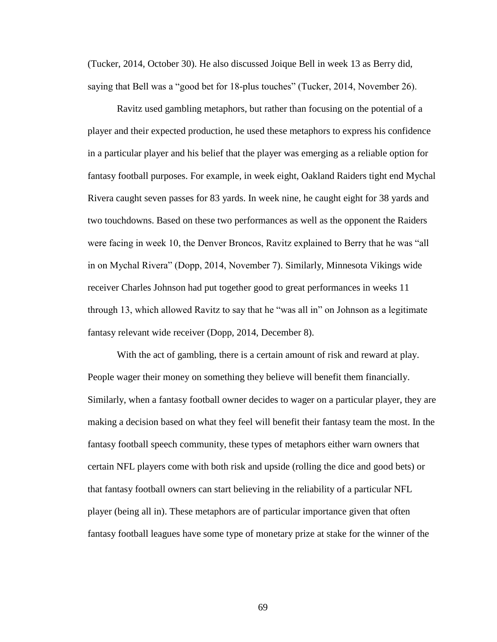(Tucker, 2014, October 30). He also discussed Joique Bell in week 13 as Berry did, saying that Bell was a "good bet for 18-plus touches" (Tucker, 2014, November 26).

Ravitz used gambling metaphors, but rather than focusing on the potential of a player and their expected production, he used these metaphors to express his confidence in a particular player and his belief that the player was emerging as a reliable option for fantasy football purposes. For example, in week eight, Oakland Raiders tight end Mychal Rivera caught seven passes for 83 yards. In week nine, he caught eight for 38 yards and two touchdowns. Based on these two performances as well as the opponent the Raiders were facing in week 10, the Denver Broncos, Ravitz explained to Berry that he was "all in on Mychal Rivera" (Dopp, 2014, November 7). Similarly, Minnesota Vikings wide receiver Charles Johnson had put together good to great performances in weeks 11 through 13, which allowed Ravitz to say that he "was all in" on Johnson as a legitimate fantasy relevant wide receiver (Dopp, 2014, December 8).

With the act of gambling, there is a certain amount of risk and reward at play. People wager their money on something they believe will benefit them financially. Similarly, when a fantasy football owner decides to wager on a particular player, they are making a decision based on what they feel will benefit their fantasy team the most. In the fantasy football speech community, these types of metaphors either warn owners that certain NFL players come with both risk and upside (rolling the dice and good bets) or that fantasy football owners can start believing in the reliability of a particular NFL player (being all in). These metaphors are of particular importance given that often fantasy football leagues have some type of monetary prize at stake for the winner of the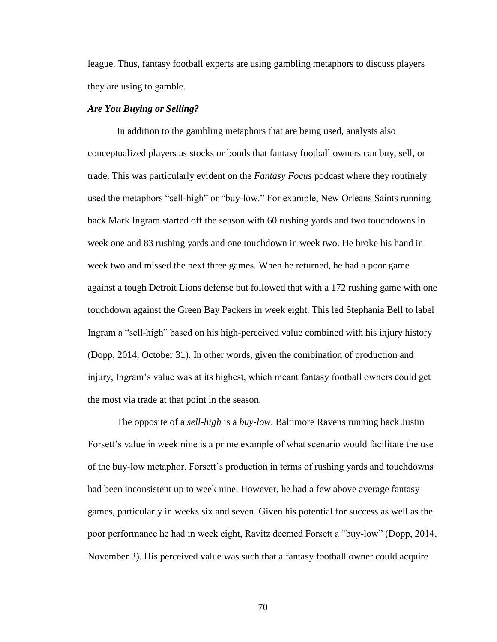league. Thus, fantasy football experts are using gambling metaphors to discuss players they are using to gamble.

# *Are You Buying or Selling?*

In addition to the gambling metaphors that are being used, analysts also conceptualized players as stocks or bonds that fantasy football owners can buy, sell, or trade. This was particularly evident on the *Fantasy Focus* podcast where they routinely used the metaphors "sell-high" or "buy-low." For example, New Orleans Saints running back Mark Ingram started off the season with 60 rushing yards and two touchdowns in week one and 83 rushing yards and one touchdown in week two. He broke his hand in week two and missed the next three games. When he returned, he had a poor game against a tough Detroit Lions defense but followed that with a 172 rushing game with one touchdown against the Green Bay Packers in week eight. This led Stephania Bell to label Ingram a "sell-high" based on his high-perceived value combined with his injury history (Dopp, 2014, October 31). In other words, given the combination of production and injury, Ingram's value was at its highest, which meant fantasy football owners could get the most via trade at that point in the season.

The opposite of a *sell-high* is a *buy-low*. Baltimore Ravens running back Justin Forsett's value in week nine is a prime example of what scenario would facilitate the use of the buy-low metaphor. Forsett's production in terms of rushing yards and touchdowns had been inconsistent up to week nine. However, he had a few above average fantasy games, particularly in weeks six and seven. Given his potential for success as well as the poor performance he had in week eight, Ravitz deemed Forsett a "buy-low" (Dopp, 2014, November 3). His perceived value was such that a fantasy football owner could acquire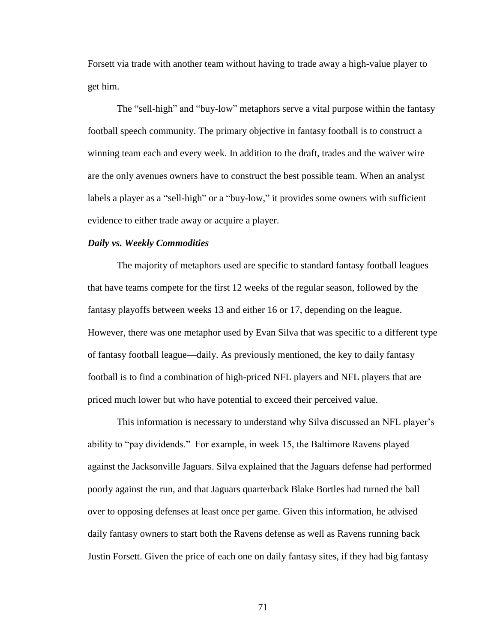Forsett via trade with another team without having to trade away a high-value player to get him.

The "sell-high" and "buy-low" metaphors serve a vital purpose within the fantasy football speech community. The primary objective in fantasy football is to construct a winning team each and every week. In addition to the draft, trades and the waiver wire are the only avenues owners have to construct the best possible team. When an analyst labels a player as a "sell-high" or a "buy-low," it provides some owners with sufficient evidence to either trade away or acquire a player.

## *Daily vs. Weekly Commodities*

The majority of metaphors used are specific to standard fantasy football leagues that have teams compete for the first 12 weeks of the regular season, followed by the fantasy playoffs between weeks 13 and either 16 or 17, depending on the league. However, there was one metaphor used by Evan Silva that was specific to a different type of fantasy football league—daily. As previously mentioned, the key to daily fantasy football is to find a combination of high-priced NFL players and NFL players that are priced much lower but who have potential to exceed their perceived value.

This information is necessary to understand why Silva discussed an NFL player's ability to "pay dividends." For example, in week 15, the Baltimore Ravens played against the Jacksonville Jaguars. Silva explained that the Jaguars defense had performed poorly against the run, and that Jaguars quarterback Blake Bortles had turned the ball over to opposing defenses at least once per game. Given this information, he advised daily fantasy owners to start both the Ravens defense as well as Ravens running back Justin Forsett. Given the price of each one on daily fantasy sites, if they had big fantasy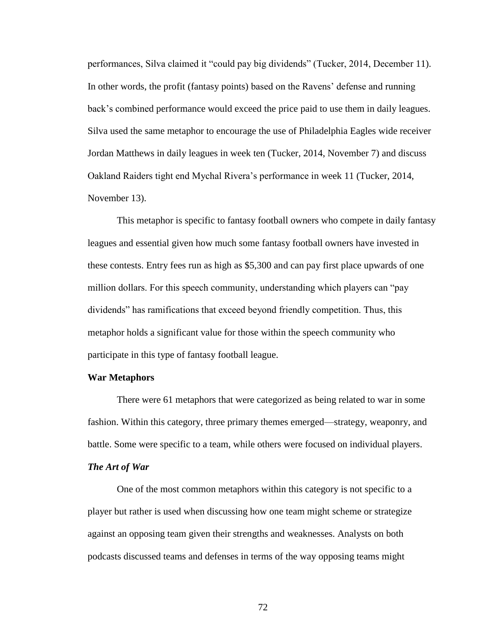performances, Silva claimed it "could pay big dividends" (Tucker, 2014, December 11). In other words, the profit (fantasy points) based on the Ravens' defense and running back's combined performance would exceed the price paid to use them in daily leagues. Silva used the same metaphor to encourage the use of Philadelphia Eagles wide receiver Jordan Matthews in daily leagues in week ten (Tucker, 2014, November 7) and discuss Oakland Raiders tight end Mychal Rivera's performance in week 11 (Tucker, 2014, November 13).

This metaphor is specific to fantasy football owners who compete in daily fantasy leagues and essential given how much some fantasy football owners have invested in these contests. Entry fees run as high as \$5,300 and can pay first place upwards of one million dollars. For this speech community, understanding which players can "pay" dividends" has ramifications that exceed beyond friendly competition. Thus, this metaphor holds a significant value for those within the speech community who participate in this type of fantasy football league.

## **War Metaphors**

There were 61 metaphors that were categorized as being related to war in some fashion. Within this category, three primary themes emerged—strategy, weaponry, and battle. Some were specific to a team, while others were focused on individual players.

# *The Art of War*

One of the most common metaphors within this category is not specific to a player but rather is used when discussing how one team might scheme or strategize against an opposing team given their strengths and weaknesses. Analysts on both podcasts discussed teams and defenses in terms of the way opposing teams might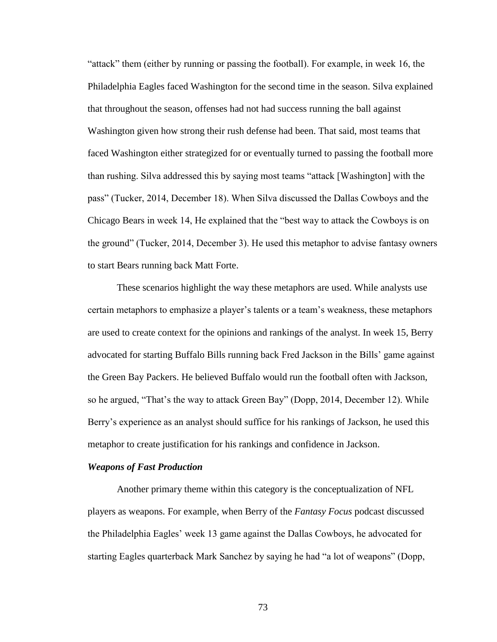"attack" them (either by running or passing the football). For example, in week 16, the Philadelphia Eagles faced Washington for the second time in the season. Silva explained that throughout the season, offenses had not had success running the ball against Washington given how strong their rush defense had been. That said, most teams that faced Washington either strategized for or eventually turned to passing the football more than rushing. Silva addressed this by saying most teams "attack [Washington] with the pass‖ (Tucker, 2014, December 18). When Silva discussed the Dallas Cowboys and the Chicago Bears in week 14, He explained that the "best way to attack the Cowboys is on the ground" (Tucker, 2014, December 3). He used this metaphor to advise fantasy owners to start Bears running back Matt Forte.

These scenarios highlight the way these metaphors are used. While analysts use certain metaphors to emphasize a player's talents or a team's weakness, these metaphors are used to create context for the opinions and rankings of the analyst. In week 15, Berry advocated for starting Buffalo Bills running back Fred Jackson in the Bills' game against the Green Bay Packers. He believed Buffalo would run the football often with Jackson, so he argued, "That's the way to attack Green Bay" (Dopp, 2014, December 12). While Berry's experience as an analyst should suffice for his rankings of Jackson, he used this metaphor to create justification for his rankings and confidence in Jackson.

### *Weapons of Fast Production*

Another primary theme within this category is the conceptualization of NFL players as weapons. For example, when Berry of the *Fantasy Focus* podcast discussed the Philadelphia Eagles' week 13 game against the Dallas Cowboys, he advocated for starting Eagles quarterback Mark Sanchez by saying he had "a lot of weapons" (Dopp,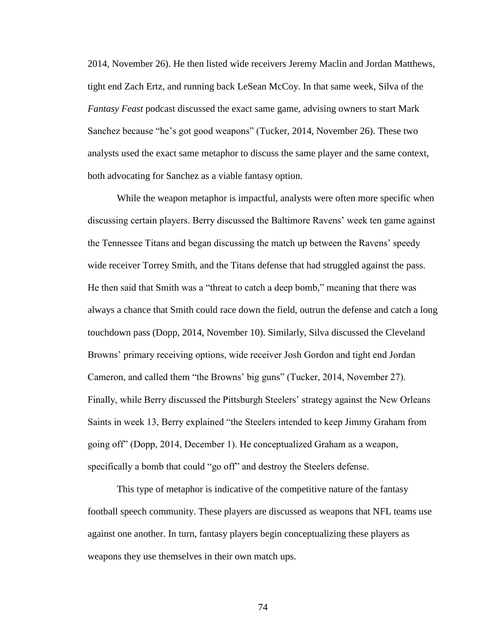2014, November 26). He then listed wide receivers Jeremy Maclin and Jordan Matthews, tight end Zach Ertz, and running back LeSean McCoy. In that same week, Silva of the *Fantasy Feast* podcast discussed the exact same game, advising owners to start Mark Sanchez because "he's got good weapons" (Tucker, 2014, November 26). These two analysts used the exact same metaphor to discuss the same player and the same context, both advocating for Sanchez as a viable fantasy option.

While the weapon metaphor is impactful, analysts were often more specific when discussing certain players. Berry discussed the Baltimore Ravens' week ten game against the Tennessee Titans and began discussing the match up between the Ravens' speedy wide receiver Torrey Smith, and the Titans defense that had struggled against the pass. He then said that Smith was a "threat to catch a deep bomb," meaning that there was always a chance that Smith could race down the field, outrun the defense and catch a long touchdown pass (Dopp, 2014, November 10). Similarly, Silva discussed the Cleveland Browns' primary receiving options, wide receiver Josh Gordon and tight end Jordan Cameron, and called them "the Browns' big guns" (Tucker, 2014, November 27). Finally, while Berry discussed the Pittsburgh Steelers' strategy against the New Orleans Saints in week 13, Berry explained "the Steelers intended to keep Jimmy Graham from going off" (Dopp, 2014, December 1). He conceptualized Graham as a weapon, specifically a bomb that could "go off" and destroy the Steelers defense.

This type of metaphor is indicative of the competitive nature of the fantasy football speech community. These players are discussed as weapons that NFL teams use against one another. In turn, fantasy players begin conceptualizing these players as weapons they use themselves in their own match ups.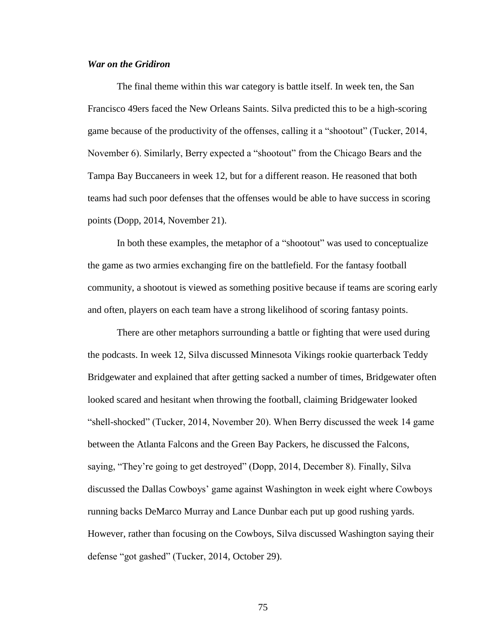# *War on the Gridiron*

The final theme within this war category is battle itself. In week ten, the San Francisco 49ers faced the New Orleans Saints. Silva predicted this to be a high-scoring game because of the productivity of the offenses, calling it a "shootout" (Tucker, 2014, November 6). Similarly, Berry expected a "shootout" from the Chicago Bears and the Tampa Bay Buccaneers in week 12, but for a different reason. He reasoned that both teams had such poor defenses that the offenses would be able to have success in scoring points (Dopp, 2014, November 21).

In both these examples, the metaphor of a "shootout" was used to conceptualize the game as two armies exchanging fire on the battlefield. For the fantasy football community, a shootout is viewed as something positive because if teams are scoring early and often, players on each team have a strong likelihood of scoring fantasy points.

There are other metaphors surrounding a battle or fighting that were used during the podcasts. In week 12, Silva discussed Minnesota Vikings rookie quarterback Teddy Bridgewater and explained that after getting sacked a number of times, Bridgewater often looked scared and hesitant when throwing the football, claiming Bridgewater looked ―shell-shocked‖ (Tucker, 2014, November 20). When Berry discussed the week 14 game between the Atlanta Falcons and the Green Bay Packers, he discussed the Falcons, saying, "They're going to get destroyed" (Dopp, 2014, December 8). Finally, Silva discussed the Dallas Cowboys' game against Washington in week eight where Cowboys running backs DeMarco Murray and Lance Dunbar each put up good rushing yards. However, rather than focusing on the Cowboys, Silva discussed Washington saying their defense "got gashed" (Tucker, 2014, October 29).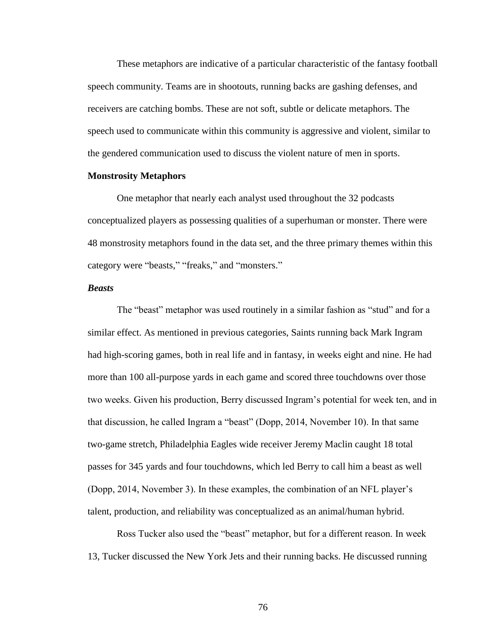These metaphors are indicative of a particular characteristic of the fantasy football speech community. Teams are in shootouts, running backs are gashing defenses, and receivers are catching bombs. These are not soft, subtle or delicate metaphors. The speech used to communicate within this community is aggressive and violent, similar to the gendered communication used to discuss the violent nature of men in sports.

## **Monstrosity Metaphors**

One metaphor that nearly each analyst used throughout the 32 podcasts conceptualized players as possessing qualities of a superhuman or monster. There were 48 monstrosity metaphors found in the data set, and the three primary themes within this category were "beasts," "freaks," and "monsters."

## *Beasts*

The "beast" metaphor was used routinely in a similar fashion as "stud" and for a similar effect. As mentioned in previous categories, Saints running back Mark Ingram had high-scoring games, both in real life and in fantasy, in weeks eight and nine. He had more than 100 all-purpose yards in each game and scored three touchdowns over those two weeks. Given his production, Berry discussed Ingram's potential for week ten, and in that discussion, he called Ingram a "beast" (Dopp, 2014, November 10). In that same two-game stretch, Philadelphia Eagles wide receiver Jeremy Maclin caught 18 total passes for 345 yards and four touchdowns, which led Berry to call him a beast as well (Dopp, 2014, November 3). In these examples, the combination of an NFL player's talent, production, and reliability was conceptualized as an animal/human hybrid.

Ross Tucker also used the "beast" metaphor, but for a different reason. In week 13, Tucker discussed the New York Jets and their running backs. He discussed running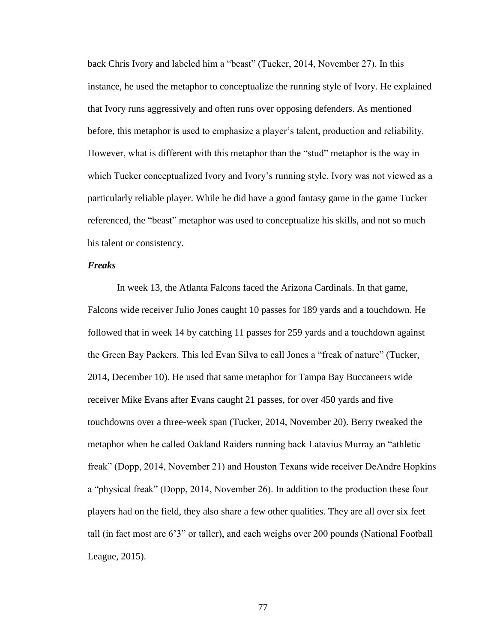back Chris Ivory and labeled him a "beast" (Tucker, 2014, November 27). In this instance, he used the metaphor to conceptualize the running style of Ivory. He explained that Ivory runs aggressively and often runs over opposing defenders. As mentioned before, this metaphor is used to emphasize a player's talent, production and reliability. However, what is different with this metaphor than the "stud" metaphor is the way in which Tucker conceptualized Ivory and Ivory's running style. Ivory was not viewed as a particularly reliable player. While he did have a good fantasy game in the game Tucker referenced, the "beast" metaphor was used to conceptualize his skills, and not so much his talent or consistency.

## *Freaks*

In week 13, the Atlanta Falcons faced the Arizona Cardinals. In that game, Falcons wide receiver Julio Jones caught 10 passes for 189 yards and a touchdown. He followed that in week 14 by catching 11 passes for 259 yards and a touchdown against the Green Bay Packers. This led Evan Silva to call Jones a "freak of nature" (Tucker, 2014, December 10). He used that same metaphor for Tampa Bay Buccaneers wide receiver Mike Evans after Evans caught 21 passes, for over 450 yards and five touchdowns over a three-week span (Tucker, 2014, November 20). Berry tweaked the metaphor when he called Oakland Raiders running back Latavius Murray an "athletic freak" (Dopp, 2014, November 21) and Houston Texans wide receiver DeAndre Hopkins a "physical freak" (Dopp, 2014, November 26). In addition to the production these four players had on the field, they also share a few other qualities. They are all over six feet tall (in fact most are 6'3" or taller), and each weighs over 200 pounds (National Football League, 2015).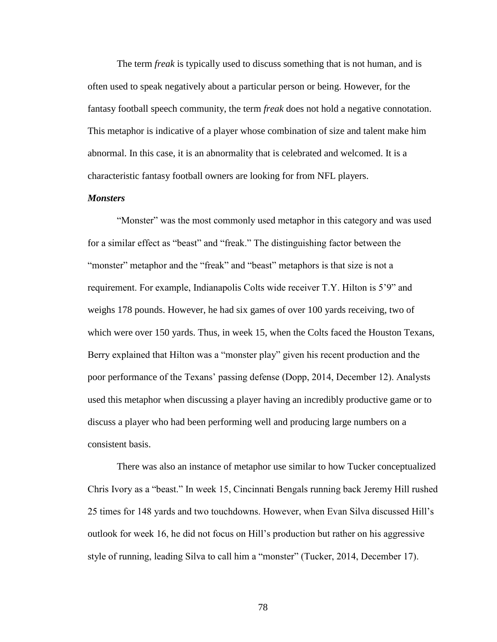The term *freak* is typically used to discuss something that is not human, and is often used to speak negatively about a particular person or being. However, for the fantasy football speech community, the term *freak* does not hold a negative connotation. This metaphor is indicative of a player whose combination of size and talent make him abnormal. In this case, it is an abnormality that is celebrated and welcomed. It is a characteristic fantasy football owners are looking for from NFL players.

## *Monsters*

"Monster" was the most commonly used metaphor in this category and was used for a similar effect as "beast" and "freak." The distinguishing factor between the "monster" metaphor and the "freak" and "beast" metaphors is that size is not a requirement. For example, Indianapolis Colts wide receiver T.Y. Hilton is 5'9" and weighs 178 pounds. However, he had six games of over 100 yards receiving, two of which were over 150 yards. Thus, in week 15, when the Colts faced the Houston Texans, Berry explained that Hilton was a "monster play" given his recent production and the poor performance of the Texans' passing defense (Dopp, 2014, December 12). Analysts used this metaphor when discussing a player having an incredibly productive game or to discuss a player who had been performing well and producing large numbers on a consistent basis.

There was also an instance of metaphor use similar to how Tucker conceptualized Chris Ivory as a "beast." In week 15, Cincinnati Bengals running back Jeremy Hill rushed 25 times for 148 yards and two touchdowns. However, when Evan Silva discussed Hill's outlook for week 16, he did not focus on Hill's production but rather on his aggressive style of running, leading Silva to call him a "monster" (Tucker, 2014, December 17).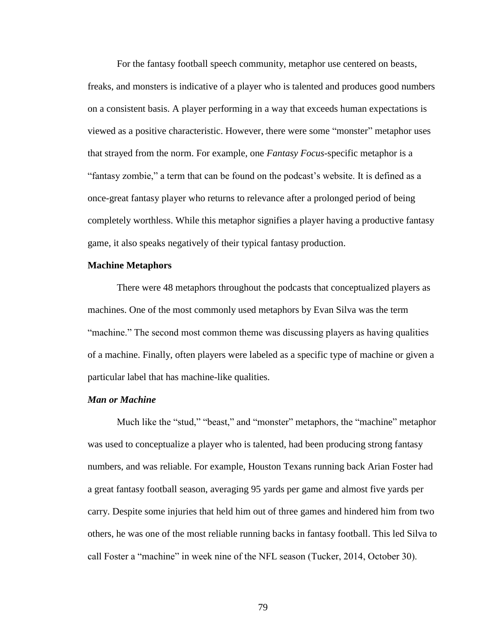For the fantasy football speech community, metaphor use centered on beasts, freaks, and monsters is indicative of a player who is talented and produces good numbers on a consistent basis. A player performing in a way that exceeds human expectations is viewed as a positive characteristic. However, there were some "monster" metaphor uses that strayed from the norm. For example, one *Fantasy Focus*-specific metaphor is a "fantasy zombie," a term that can be found on the podcast's website. It is defined as a once-great fantasy player who returns to relevance after a prolonged period of being completely worthless. While this metaphor signifies a player having a productive fantasy game, it also speaks negatively of their typical fantasy production.

# **Machine Metaphors**

There were 48 metaphors throughout the podcasts that conceptualized players as machines. One of the most commonly used metaphors by Evan Silva was the term "machine." The second most common theme was discussing players as having qualities of a machine. Finally, often players were labeled as a specific type of machine or given a particular label that has machine-like qualities.

### *Man or Machine*

Much like the "stud," "beast," and "monster" metaphors, the "machine" metaphor was used to conceptualize a player who is talented, had been producing strong fantasy numbers, and was reliable. For example, Houston Texans running back Arian Foster had a great fantasy football season, averaging 95 yards per game and almost five yards per carry. Despite some injuries that held him out of three games and hindered him from two others, he was one of the most reliable running backs in fantasy football. This led Silva to call Foster a "machine" in week nine of the NFL season (Tucker, 2014, October 30).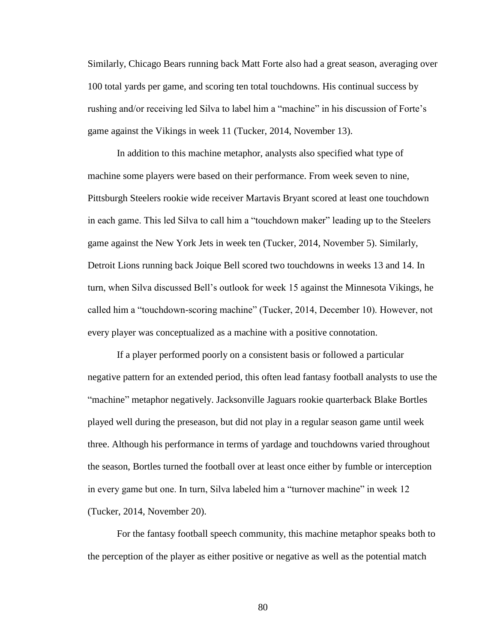Similarly, Chicago Bears running back Matt Forte also had a great season, averaging over 100 total yards per game, and scoring ten total touchdowns. His continual success by rushing and/or receiving led Silva to label him a "machine" in his discussion of Forte's game against the Vikings in week 11 (Tucker, 2014, November 13).

In addition to this machine metaphor, analysts also specified what type of machine some players were based on their performance. From week seven to nine, Pittsburgh Steelers rookie wide receiver Martavis Bryant scored at least one touchdown in each game. This led Silva to call him a "touchdown maker" leading up to the Steelers game against the New York Jets in week ten (Tucker, 2014, November 5). Similarly, Detroit Lions running back Joique Bell scored two touchdowns in weeks 13 and 14. In turn, when Silva discussed Bell's outlook for week 15 against the Minnesota Vikings, he called him a "touchdown-scoring machine" (Tucker, 2014, December 10). However, not every player was conceptualized as a machine with a positive connotation.

If a player performed poorly on a consistent basis or followed a particular negative pattern for an extended period, this often lead fantasy football analysts to use the "machine" metaphor negatively. Jacksonville Jaguars rookie quarterback Blake Bortles played well during the preseason, but did not play in a regular season game until week three. Although his performance in terms of yardage and touchdowns varied throughout the season, Bortles turned the football over at least once either by fumble or interception in every game but one. In turn, Silva labeled him a "turnover machine" in week 12 (Tucker, 2014, November 20).

For the fantasy football speech community, this machine metaphor speaks both to the perception of the player as either positive or negative as well as the potential match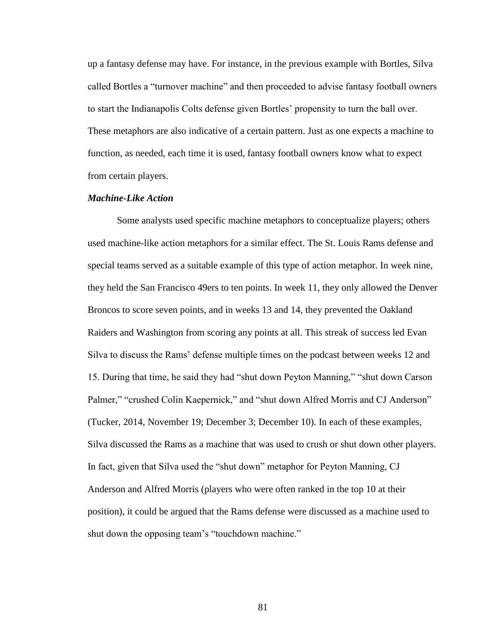up a fantasy defense may have. For instance, in the previous example with Bortles, Silva called Bortles a "turnover machine" and then proceeded to advise fantasy football owners to start the Indianapolis Colts defense given Bortles' propensity to turn the ball over. These metaphors are also indicative of a certain pattern. Just as one expects a machine to function, as needed, each time it is used, fantasy football owners know what to expect from certain players.

## *Machine-Like Action*

Some analysts used specific machine metaphors to conceptualize players; others used machine-like action metaphors for a similar effect. The St. Louis Rams defense and special teams served as a suitable example of this type of action metaphor. In week nine, they held the San Francisco 49ers to ten points. In week 11, they only allowed the Denver Broncos to score seven points, and in weeks 13 and 14, they prevented the Oakland Raiders and Washington from scoring any points at all. This streak of success led Evan Silva to discuss the Rams' defense multiple times on the podcast between weeks 12 and 15. During that time, he said they had "shut down Peyton Manning," "shut down Carson Palmer," "crushed Colin Kaepernick," and "shut down Alfred Morris and CJ Anderson" (Tucker, 2014, November 19; December 3; December 10). In each of these examples, Silva discussed the Rams as a machine that was used to crush or shut down other players. In fact, given that Silva used the "shut down" metaphor for Peyton Manning, CJ Anderson and Alfred Morris (players who were often ranked in the top 10 at their position), it could be argued that the Rams defense were discussed as a machine used to shut down the opposing team's "touchdown machine."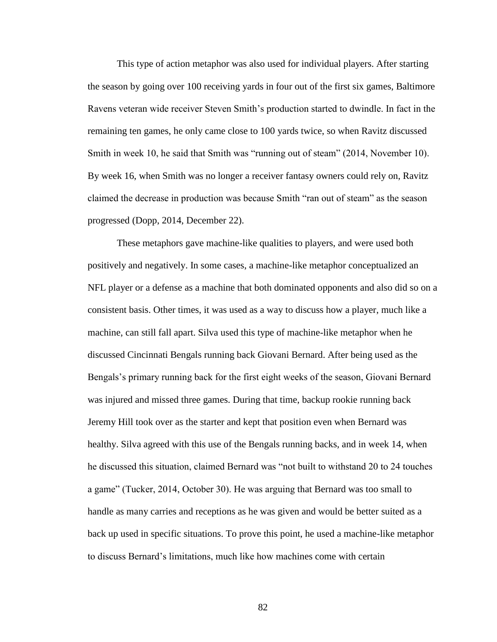This type of action metaphor was also used for individual players. After starting the season by going over 100 receiving yards in four out of the first six games, Baltimore Ravens veteran wide receiver Steven Smith's production started to dwindle. In fact in the remaining ten games, he only came close to 100 yards twice, so when Ravitz discussed Smith in week 10, he said that Smith was "running out of steam" (2014, November 10). By week 16, when Smith was no longer a receiver fantasy owners could rely on, Ravitz claimed the decrease in production was because Smith "ran out of steam" as the season progressed (Dopp, 2014, December 22).

These metaphors gave machine-like qualities to players, and were used both positively and negatively. In some cases, a machine-like metaphor conceptualized an NFL player or a defense as a machine that both dominated opponents and also did so on a consistent basis. Other times, it was used as a way to discuss how a player, much like a machine, can still fall apart. Silva used this type of machine-like metaphor when he discussed Cincinnati Bengals running back Giovani Bernard. After being used as the Bengals's primary running back for the first eight weeks of the season, Giovani Bernard was injured and missed three games. During that time, backup rookie running back Jeremy Hill took over as the starter and kept that position even when Bernard was healthy. Silva agreed with this use of the Bengals running backs, and in week 14, when he discussed this situation, claimed Bernard was "not built to withstand 20 to 24 touches a game" (Tucker, 2014, October 30). He was arguing that Bernard was too small to handle as many carries and receptions as he was given and would be better suited as a back up used in specific situations. To prove this point, he used a machine-like metaphor to discuss Bernard's limitations, much like how machines come with certain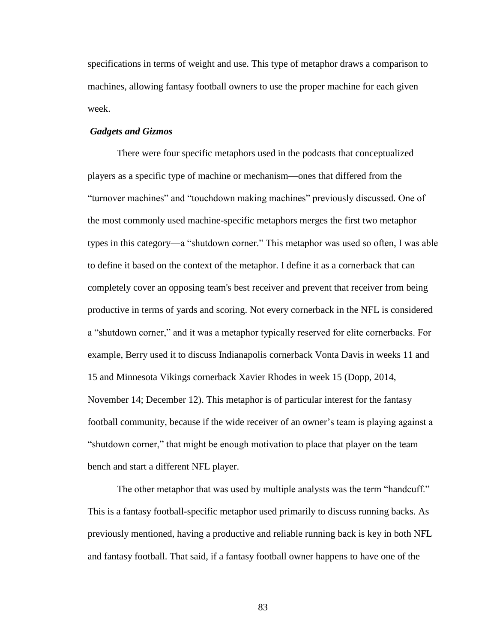specifications in terms of weight and use. This type of metaphor draws a comparison to machines, allowing fantasy football owners to use the proper machine for each given week.

# *Gadgets and Gizmos*

There were four specific metaphors used in the podcasts that conceptualized players as a specific type of machine or mechanism—ones that differed from the "turnover machines" and "touchdown making machines" previously discussed. One of the most commonly used machine-specific metaphors merges the first two metaphor types in this category—a "shutdown corner." This metaphor was used so often, I was able to define it based on the context of the metaphor. I define it as a cornerback that can completely cover an opposing team's best receiver and prevent that receiver from being productive in terms of yards and scoring. Not every cornerback in the NFL is considered a "shutdown corner," and it was a metaphor typically reserved for elite cornerbacks. For example, Berry used it to discuss Indianapolis cornerback Vonta Davis in weeks 11 and 15 and Minnesota Vikings cornerback Xavier Rhodes in week 15 (Dopp, 2014, November 14; December 12). This metaphor is of particular interest for the fantasy football community, because if the wide receiver of an owner's team is playing against a ―shutdown corner,‖ that might be enough motivation to place that player on the team bench and start a different NFL player.

The other metaphor that was used by multiple analysts was the term "handcuff." This is a fantasy football-specific metaphor used primarily to discuss running backs. As previously mentioned, having a productive and reliable running back is key in both NFL and fantasy football. That said, if a fantasy football owner happens to have one of the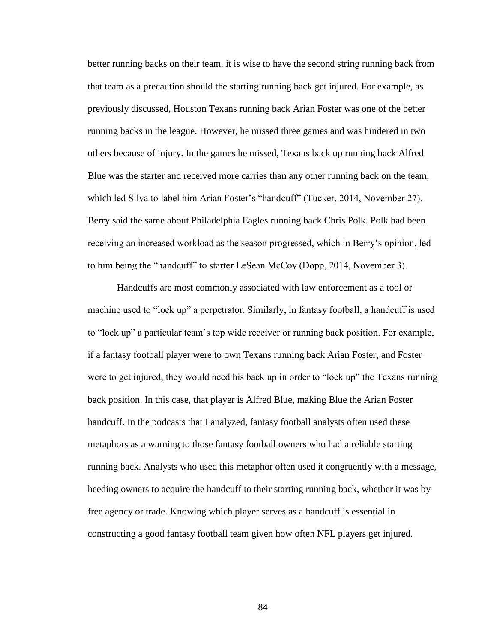better running backs on their team, it is wise to have the second string running back from that team as a precaution should the starting running back get injured. For example, as previously discussed, Houston Texans running back Arian Foster was one of the better running backs in the league. However, he missed three games and was hindered in two others because of injury. In the games he missed, Texans back up running back Alfred Blue was the starter and received more carries than any other running back on the team, which led Silva to label him Arian Foster's "handcuff" (Tucker, 2014, November 27). Berry said the same about Philadelphia Eagles running back Chris Polk. Polk had been receiving an increased workload as the season progressed, which in Berry's opinion, led to him being the "handcuff" to starter LeSean McCoy (Dopp, 2014, November 3).

Handcuffs are most commonly associated with law enforcement as a tool or machine used to "lock up" a perpetrator. Similarly, in fantasy football, a handcuff is used to "lock up" a particular team's top wide receiver or running back position. For example, if a fantasy football player were to own Texans running back Arian Foster, and Foster were to get injured, they would need his back up in order to "lock up" the Texans running back position. In this case, that player is Alfred Blue, making Blue the Arian Foster handcuff. In the podcasts that I analyzed, fantasy football analysts often used these metaphors as a warning to those fantasy football owners who had a reliable starting running back. Analysts who used this metaphor often used it congruently with a message, heeding owners to acquire the handcuff to their starting running back, whether it was by free agency or trade. Knowing which player serves as a handcuff is essential in constructing a good fantasy football team given how often NFL players get injured.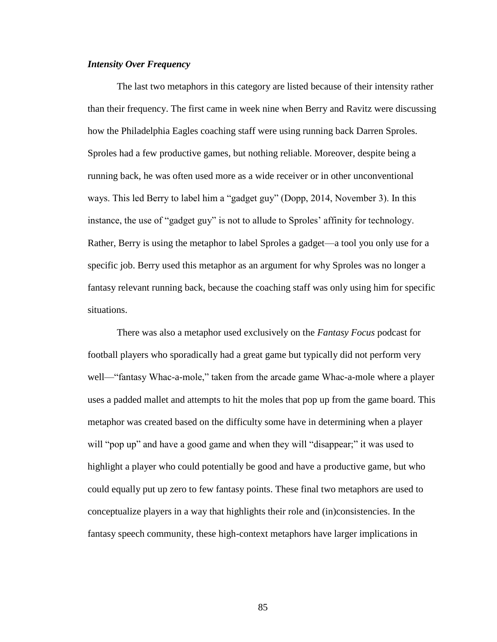# *Intensity Over Frequency*

The last two metaphors in this category are listed because of their intensity rather than their frequency. The first came in week nine when Berry and Ravitz were discussing how the Philadelphia Eagles coaching staff were using running back Darren Sproles. Sproles had a few productive games, but nothing reliable. Moreover, despite being a running back, he was often used more as a wide receiver or in other unconventional ways. This led Berry to label him a "gadget guy" (Dopp, 2014, November 3). In this instance, the use of "gadget guy" is not to allude to Sproles' affinity for technology. Rather, Berry is using the metaphor to label Sproles a gadget—a tool you only use for a specific job. Berry used this metaphor as an argument for why Sproles was no longer a fantasy relevant running back, because the coaching staff was only using him for specific situations.

There was also a metaphor used exclusively on the *Fantasy Focus* podcast for football players who sporadically had a great game but typically did not perform very well— "fantasy Whac-a-mole," taken from the arcade game Whac-a-mole where a player uses a padded mallet and attempts to hit the moles that pop up from the game board. This metaphor was created based on the difficulty some have in determining when a player will "pop up" and have a good game and when they will "disappear;" it was used to highlight a player who could potentially be good and have a productive game, but who could equally put up zero to few fantasy points. These final two metaphors are used to conceptualize players in a way that highlights their role and (in)consistencies. In the fantasy speech community, these high-context metaphors have larger implications in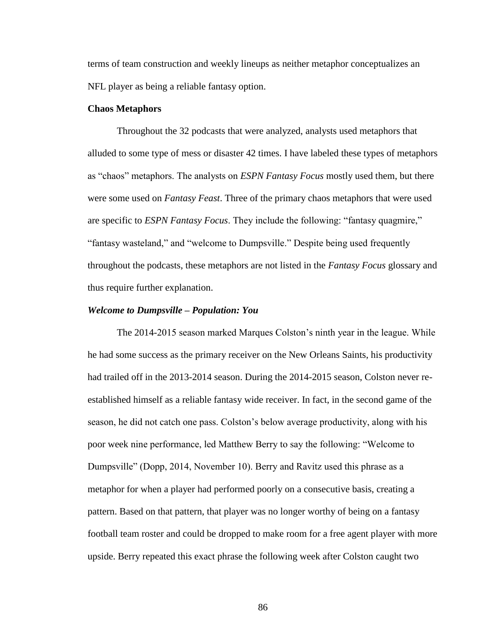terms of team construction and weekly lineups as neither metaphor conceptualizes an NFL player as being a reliable fantasy option.

## **Chaos Metaphors**

Throughout the 32 podcasts that were analyzed, analysts used metaphors that alluded to some type of mess or disaster 42 times. I have labeled these types of metaphors as "chaos" metaphors. The analysts on *ESPN Fantasy Focus* mostly used them, but there were some used on *Fantasy Feast*. Three of the primary chaos metaphors that were used are specific to *ESPN Fantasy Focus*. They include the following: "fantasy quagmire," "fantasy wasteland," and "welcome to Dumpsville." Despite being used frequently throughout the podcasts, these metaphors are not listed in the *Fantasy Focus* glossary and thus require further explanation.

#### *Welcome to Dumpsville – Population: You*

The 2014-2015 season marked Marques Colston's ninth year in the league. While he had some success as the primary receiver on the New Orleans Saints, his productivity had trailed off in the 2013-2014 season. During the 2014-2015 season, Colston never reestablished himself as a reliable fantasy wide receiver. In fact, in the second game of the season, he did not catch one pass. Colston's below average productivity, along with his poor week nine performance, led Matthew Berry to say the following: "Welcome to Dumpsville" (Dopp, 2014, November 10). Berry and Ravitz used this phrase as a metaphor for when a player had performed poorly on a consecutive basis, creating a pattern. Based on that pattern, that player was no longer worthy of being on a fantasy football team roster and could be dropped to make room for a free agent player with more upside. Berry repeated this exact phrase the following week after Colston caught two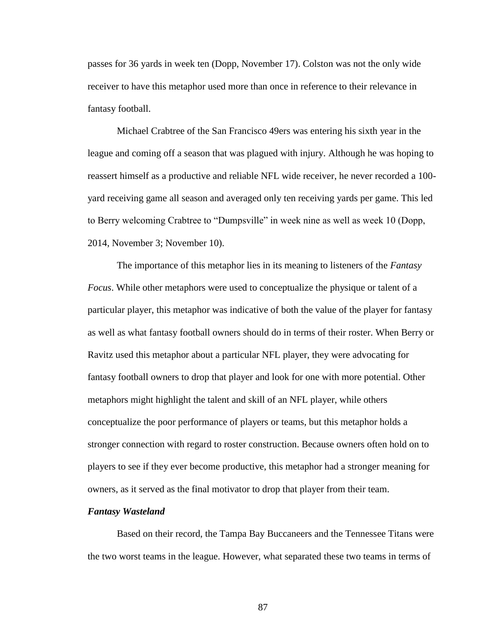passes for 36 yards in week ten (Dopp, November 17). Colston was not the only wide receiver to have this metaphor used more than once in reference to their relevance in fantasy football.

Michael Crabtree of the San Francisco 49ers was entering his sixth year in the league and coming off a season that was plagued with injury. Although he was hoping to reassert himself as a productive and reliable NFL wide receiver, he never recorded a 100 yard receiving game all season and averaged only ten receiving yards per game. This led to Berry welcoming Crabtree to "Dumpsville" in week nine as well as week 10 (Dopp, 2014, November 3; November 10).

The importance of this metaphor lies in its meaning to listeners of the *Fantasy Focus*. While other metaphors were used to conceptualize the physique or talent of a particular player, this metaphor was indicative of both the value of the player for fantasy as well as what fantasy football owners should do in terms of their roster. When Berry or Ravitz used this metaphor about a particular NFL player, they were advocating for fantasy football owners to drop that player and look for one with more potential. Other metaphors might highlight the talent and skill of an NFL player, while others conceptualize the poor performance of players or teams, but this metaphor holds a stronger connection with regard to roster construction. Because owners often hold on to players to see if they ever become productive, this metaphor had a stronger meaning for owners, as it served as the final motivator to drop that player from their team.

#### *Fantasy Wasteland*

Based on their record, the Tampa Bay Buccaneers and the Tennessee Titans were the two worst teams in the league. However, what separated these two teams in terms of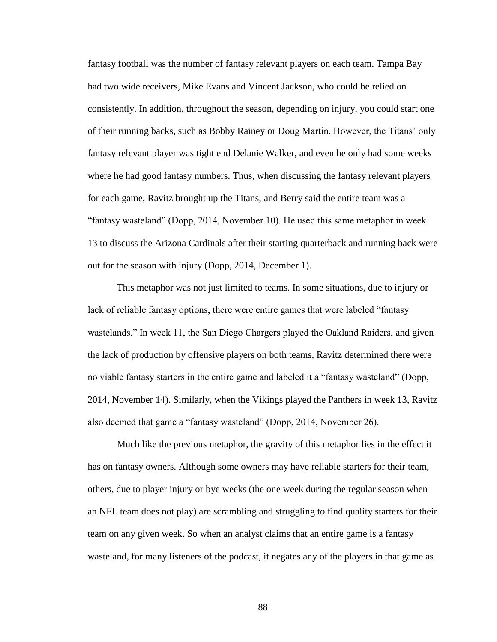fantasy football was the number of fantasy relevant players on each team. Tampa Bay had two wide receivers, Mike Evans and Vincent Jackson, who could be relied on consistently. In addition, throughout the season, depending on injury, you could start one of their running backs, such as Bobby Rainey or Doug Martin. However, the Titans' only fantasy relevant player was tight end Delanie Walker, and even he only had some weeks where he had good fantasy numbers. Thus, when discussing the fantasy relevant players for each game, Ravitz brought up the Titans, and Berry said the entire team was a ―fantasy wasteland‖ (Dopp, 2014, November 10). He used this same metaphor in week 13 to discuss the Arizona Cardinals after their starting quarterback and running back were out for the season with injury (Dopp, 2014, December 1).

This metaphor was not just limited to teams. In some situations, due to injury or lack of reliable fantasy options, there were entire games that were labeled "fantasy" wastelands." In week 11, the San Diego Chargers played the Oakland Raiders, and given the lack of production by offensive players on both teams, Ravitz determined there were no viable fantasy starters in the entire game and labeled it a "fantasy wasteland" (Dopp, 2014, November 14). Similarly, when the Vikings played the Panthers in week 13, Ravitz also deemed that game a "fantasy wasteland" (Dopp, 2014, November 26).

Much like the previous metaphor, the gravity of this metaphor lies in the effect it has on fantasy owners. Although some owners may have reliable starters for their team, others, due to player injury or bye weeks (the one week during the regular season when an NFL team does not play) are scrambling and struggling to find quality starters for their team on any given week. So when an analyst claims that an entire game is a fantasy wasteland, for many listeners of the podcast, it negates any of the players in that game as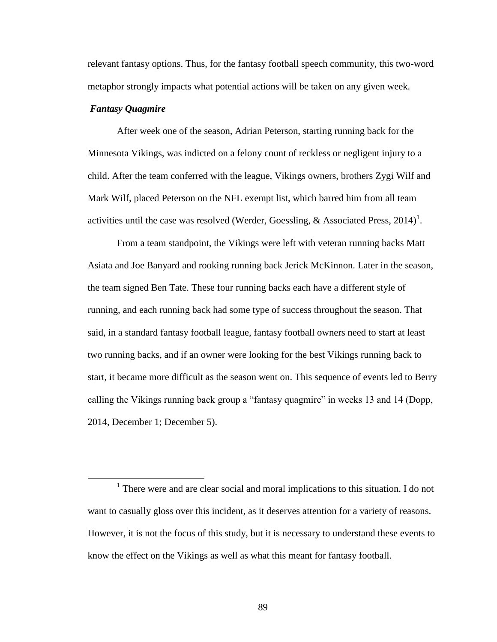relevant fantasy options. Thus, for the fantasy football speech community, this two-word metaphor strongly impacts what potential actions will be taken on any given week.

# *Fantasy Quagmire*

 $\overline{a}$ 

After week one of the season, Adrian Peterson, starting running back for the Minnesota Vikings, was indicted on a felony count of reckless or negligent injury to a child. After the team conferred with the league, Vikings owners, brothers Zygi Wilf and Mark Wilf, placed Peterson on the NFL exempt list, which barred him from all team activities until the case was resolved (Werder, Goessling, & Associated Press, 2014)<sup>1</sup>.

From a team standpoint, the Vikings were left with veteran running backs Matt Asiata and Joe Banyard and rooking running back Jerick McKinnon. Later in the season, the team signed Ben Tate. These four running backs each have a different style of running, and each running back had some type of success throughout the season. That said, in a standard fantasy football league, fantasy football owners need to start at least two running backs, and if an owner were looking for the best Vikings running back to start, it became more difficult as the season went on. This sequence of events led to Berry calling the Vikings running back group a "fantasy quagmire" in weeks 13 and 14 (Dopp, 2014, December 1; December 5).

<sup>&</sup>lt;sup>1</sup> There were and are clear social and moral implications to this situation. I do not want to casually gloss over this incident, as it deserves attention for a variety of reasons. However, it is not the focus of this study, but it is necessary to understand these events to know the effect on the Vikings as well as what this meant for fantasy football.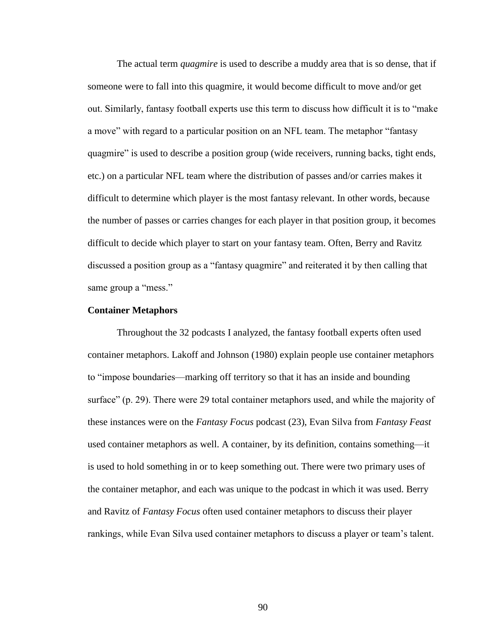The actual term *quagmire* is used to describe a muddy area that is so dense, that if someone were to fall into this quagmire, it would become difficult to move and/or get out. Similarly, fantasy football experts use this term to discuss how difficult it is to "make" a move" with regard to a particular position on an NFL team. The metaphor "fantasy" quagmire" is used to describe a position group (wide receivers, running backs, tight ends, etc.) on a particular NFL team where the distribution of passes and/or carries makes it difficult to determine which player is the most fantasy relevant. In other words, because the number of passes or carries changes for each player in that position group, it becomes difficult to decide which player to start on your fantasy team. Often, Berry and Ravitz discussed a position group as a "fantasy quagmire" and reiterated it by then calling that same group a "mess."

## **Container Metaphors**

Throughout the 32 podcasts I analyzed, the fantasy football experts often used container metaphors. Lakoff and Johnson (1980) explain people use container metaphors to "impose boundaries—marking off territory so that it has an inside and bounding surface" (p. 29). There were 29 total container metaphors used, and while the majority of these instances were on the *Fantasy Focus* podcast (23), Evan Silva from *Fantasy Feast* used container metaphors as well. A container, by its definition, contains something—it is used to hold something in or to keep something out. There were two primary uses of the container metaphor, and each was unique to the podcast in which it was used. Berry and Ravitz of *Fantasy Focus* often used container metaphors to discuss their player rankings, while Evan Silva used container metaphors to discuss a player or team's talent.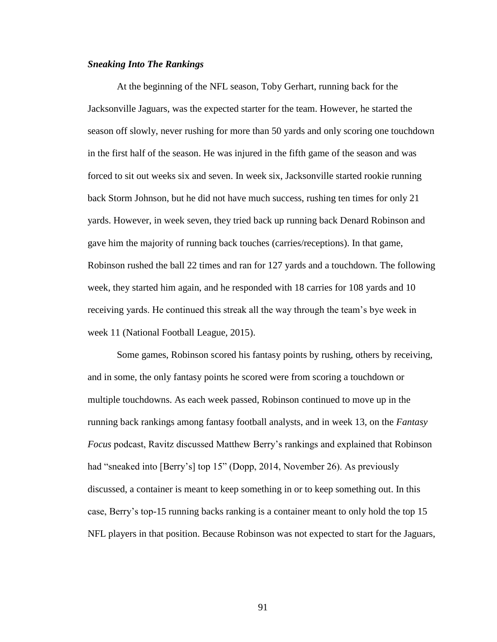# *Sneaking Into The Rankings*

At the beginning of the NFL season, Toby Gerhart, running back for the Jacksonville Jaguars, was the expected starter for the team. However, he started the season off slowly, never rushing for more than 50 yards and only scoring one touchdown in the first half of the season. He was injured in the fifth game of the season and was forced to sit out weeks six and seven. In week six, Jacksonville started rookie running back Storm Johnson, but he did not have much success, rushing ten times for only 21 yards. However, in week seven, they tried back up running back Denard Robinson and gave him the majority of running back touches (carries/receptions). In that game, Robinson rushed the ball 22 times and ran for 127 yards and a touchdown. The following week, they started him again, and he responded with 18 carries for 108 yards and 10 receiving yards. He continued this streak all the way through the team's bye week in week 11 (National Football League, 2015).

Some games, Robinson scored his fantasy points by rushing, others by receiving, and in some, the only fantasy points he scored were from scoring a touchdown or multiple touchdowns. As each week passed, Robinson continued to move up in the running back rankings among fantasy football analysts, and in week 13, on the *Fantasy Focus* podcast, Ravitz discussed Matthew Berry's rankings and explained that Robinson had "sneaked into [Berry's] top 15" (Dopp, 2014, November 26). As previously discussed, a container is meant to keep something in or to keep something out. In this case, Berry's top-15 running backs ranking is a container meant to only hold the top 15 NFL players in that position. Because Robinson was not expected to start for the Jaguars,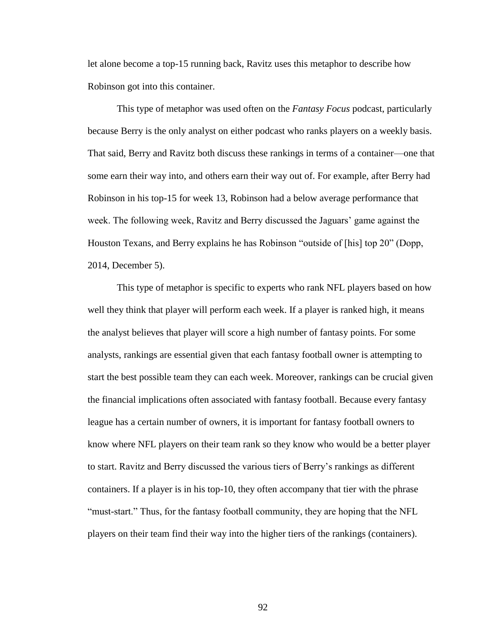let alone become a top-15 running back, Ravitz uses this metaphor to describe how Robinson got into this container.

This type of metaphor was used often on the *Fantasy Focus* podcast, particularly because Berry is the only analyst on either podcast who ranks players on a weekly basis. That said, Berry and Ravitz both discuss these rankings in terms of a container—one that some earn their way into, and others earn their way out of. For example, after Berry had Robinson in his top-15 for week 13, Robinson had a below average performance that week. The following week, Ravitz and Berry discussed the Jaguars' game against the Houston Texans, and Berry explains he has Robinson "outside of [his] top 20" (Dopp, 2014, December 5).

This type of metaphor is specific to experts who rank NFL players based on how well they think that player will perform each week. If a player is ranked high, it means the analyst believes that player will score a high number of fantasy points. For some analysts, rankings are essential given that each fantasy football owner is attempting to start the best possible team they can each week. Moreover, rankings can be crucial given the financial implications often associated with fantasy football. Because every fantasy league has a certain number of owners, it is important for fantasy football owners to know where NFL players on their team rank so they know who would be a better player to start. Ravitz and Berry discussed the various tiers of Berry's rankings as different containers. If a player is in his top-10, they often accompany that tier with the phrase "must-start." Thus, for the fantasy football community, they are hoping that the NFL players on their team find their way into the higher tiers of the rankings (containers).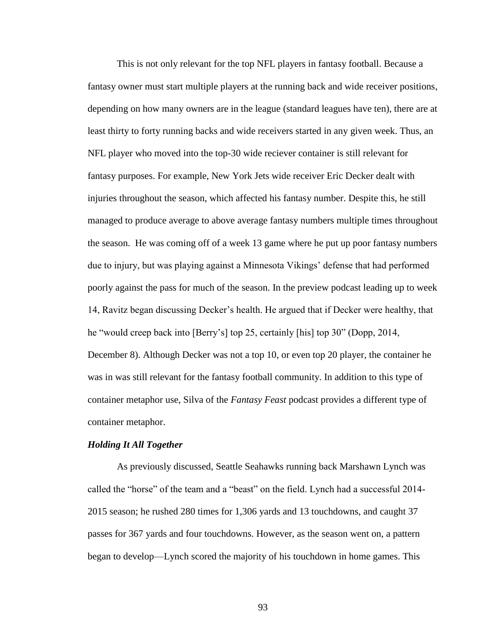This is not only relevant for the top NFL players in fantasy football. Because a fantasy owner must start multiple players at the running back and wide receiver positions, depending on how many owners are in the league (standard leagues have ten), there are at least thirty to forty running backs and wide receivers started in any given week. Thus, an NFL player who moved into the top-30 wide reciever container is still relevant for fantasy purposes. For example, New York Jets wide receiver Eric Decker dealt with injuries throughout the season, which affected his fantasy number. Despite this, he still managed to produce average to above average fantasy numbers multiple times throughout the season. He was coming off of a week 13 game where he put up poor fantasy numbers due to injury, but was playing against a Minnesota Vikings' defense that had performed poorly against the pass for much of the season. In the preview podcast leading up to week 14, Ravitz began discussing Decker's health. He argued that if Decker were healthy, that he "would creep back into [Berry's] top 25, certainly [his] top 30" (Dopp, 2014, December 8). Although Decker was not a top 10, or even top 20 player, the container he was in was still relevant for the fantasy football community. In addition to this type of container metaphor use, Silva of the *Fantasy Feast* podcast provides a different type of container metaphor.

# *Holding It All Together*

As previously discussed, Seattle Seahawks running back Marshawn Lynch was called the "horse" of the team and a "beast" on the field. Lynch had a successful 2014-2015 season; he rushed 280 times for 1,306 yards and 13 touchdowns, and caught 37 passes for 367 yards and four touchdowns. However, as the season went on, a pattern began to develop—Lynch scored the majority of his touchdown in home games. This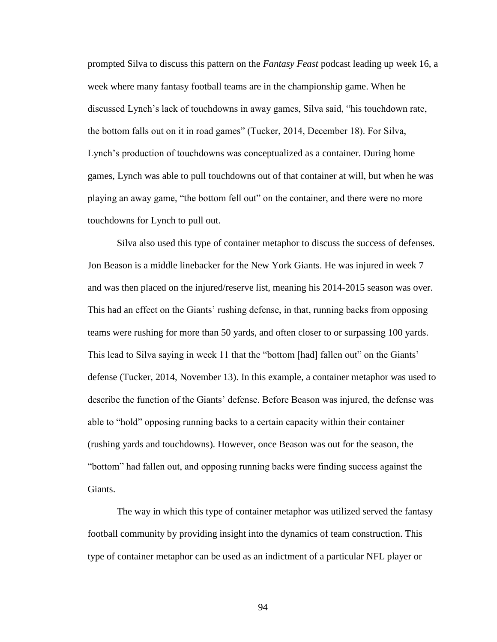prompted Silva to discuss this pattern on the *Fantasy Feast* podcast leading up week 16, a week where many fantasy football teams are in the championship game. When he discussed Lynch's lack of touchdowns in away games, Silva said, ―his touchdown rate, the bottom falls out on it in road games" (Tucker, 2014, December 18). For Silva, Lynch's production of touchdowns was conceptualized as a container. During home games, Lynch was able to pull touchdowns out of that container at will, but when he was playing an away game, "the bottom fell out" on the container, and there were no more touchdowns for Lynch to pull out.

Silva also used this type of container metaphor to discuss the success of defenses. Jon Beason is a middle linebacker for the New York Giants. He was injured in week 7 and was then placed on the injured/reserve list, meaning his 2014-2015 season was over. This had an effect on the Giants' rushing defense, in that, running backs from opposing teams were rushing for more than 50 yards, and often closer to or surpassing 100 yards. This lead to Silva saying in week 11 that the "bottom [had] fallen out" on the Giants' defense (Tucker, 2014, November 13). In this example, a container metaphor was used to describe the function of the Giants' defense. Before Beason was injured, the defense was able to "hold" opposing running backs to a certain capacity within their container (rushing yards and touchdowns). However, once Beason was out for the season, the "bottom" had fallen out, and opposing running backs were finding success against the Giants.

The way in which this type of container metaphor was utilized served the fantasy football community by providing insight into the dynamics of team construction. This type of container metaphor can be used as an indictment of a particular NFL player or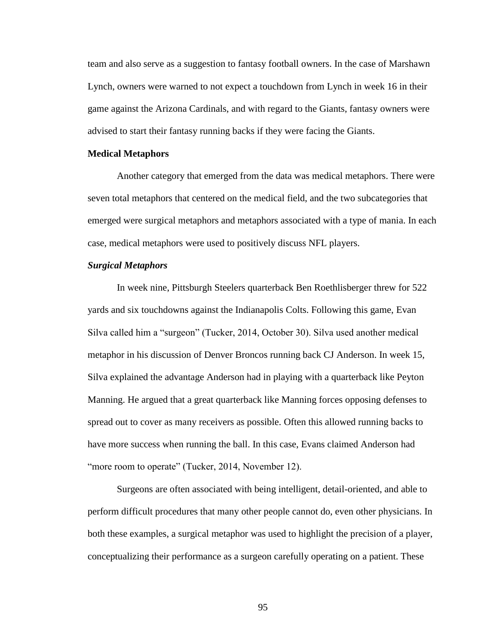team and also serve as a suggestion to fantasy football owners. In the case of Marshawn Lynch, owners were warned to not expect a touchdown from Lynch in week 16 in their game against the Arizona Cardinals, and with regard to the Giants, fantasy owners were advised to start their fantasy running backs if they were facing the Giants.

#### **Medical Metaphors**

Another category that emerged from the data was medical metaphors. There were seven total metaphors that centered on the medical field, and the two subcategories that emerged were surgical metaphors and metaphors associated with a type of mania. In each case, medical metaphors were used to positively discuss NFL players.

## *Surgical Metaphors*

In week nine, Pittsburgh Steelers quarterback Ben Roethlisberger threw for 522 yards and six touchdowns against the Indianapolis Colts. Following this game, Evan Silva called him a "surgeon" (Tucker, 2014, October 30). Silva used another medical metaphor in his discussion of Denver Broncos running back CJ Anderson. In week 15, Silva explained the advantage Anderson had in playing with a quarterback like Peyton Manning. He argued that a great quarterback like Manning forces opposing defenses to spread out to cover as many receivers as possible. Often this allowed running backs to have more success when running the ball. In this case, Evans claimed Anderson had "more room to operate" (Tucker, 2014, November 12).

Surgeons are often associated with being intelligent, detail-oriented, and able to perform difficult procedures that many other people cannot do, even other physicians. In both these examples, a surgical metaphor was used to highlight the precision of a player, conceptualizing their performance as a surgeon carefully operating on a patient. These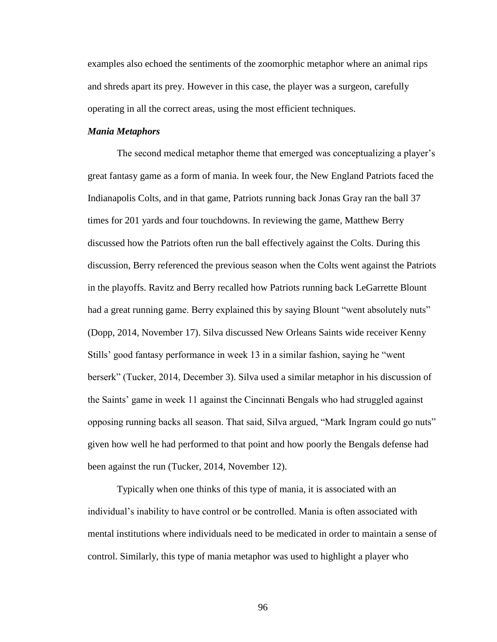examples also echoed the sentiments of the zoomorphic metaphor where an animal rips and shreds apart its prey. However in this case, the player was a surgeon, carefully operating in all the correct areas, using the most efficient techniques.

# *Mania Metaphors*

The second medical metaphor theme that emerged was conceptualizing a player's great fantasy game as a form of mania. In week four, the New England Patriots faced the Indianapolis Colts, and in that game, Patriots running back Jonas Gray ran the ball 37 times for 201 yards and four touchdowns. In reviewing the game, Matthew Berry discussed how the Patriots often run the ball effectively against the Colts. During this discussion, Berry referenced the previous season when the Colts went against the Patriots in the playoffs. Ravitz and Berry recalled how Patriots running back LeGarrette Blount had a great running game. Berry explained this by saying Blount "went absolutely nuts" (Dopp, 2014, November 17). Silva discussed New Orleans Saints wide receiver Kenny Stills' good fantasy performance in week 13 in a similar fashion, saying he "went" berserk‖ (Tucker, 2014, December 3). Silva used a similar metaphor in his discussion of the Saints' game in week 11 against the Cincinnati Bengals who had struggled against opposing running backs all season. That said, Silva argued, "Mark Ingram could go nuts" given how well he had performed to that point and how poorly the Bengals defense had been against the run (Tucker, 2014, November 12).

Typically when one thinks of this type of mania, it is associated with an individual's inability to have control or be controlled. Mania is often associated with mental institutions where individuals need to be medicated in order to maintain a sense of control. Similarly, this type of mania metaphor was used to highlight a player who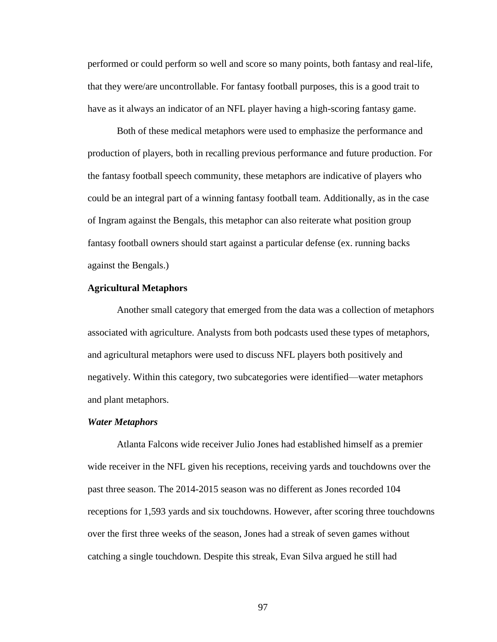performed or could perform so well and score so many points, both fantasy and real-life, that they were/are uncontrollable. For fantasy football purposes, this is a good trait to have as it always an indicator of an NFL player having a high-scoring fantasy game.

Both of these medical metaphors were used to emphasize the performance and production of players, both in recalling previous performance and future production. For the fantasy football speech community, these metaphors are indicative of players who could be an integral part of a winning fantasy football team. Additionally, as in the case of Ingram against the Bengals, this metaphor can also reiterate what position group fantasy football owners should start against a particular defense (ex. running backs against the Bengals.)

## **Agricultural Metaphors**

Another small category that emerged from the data was a collection of metaphors associated with agriculture. Analysts from both podcasts used these types of metaphors, and agricultural metaphors were used to discuss NFL players both positively and negatively. Within this category, two subcategories were identified—water metaphors and plant metaphors.

#### *Water Metaphors*

Atlanta Falcons wide receiver Julio Jones had established himself as a premier wide receiver in the NFL given his receptions, receiving yards and touchdowns over the past three season. The 2014-2015 season was no different as Jones recorded 104 receptions for 1,593 yards and six touchdowns. However, after scoring three touchdowns over the first three weeks of the season, Jones had a streak of seven games without catching a single touchdown. Despite this streak, Evan Silva argued he still had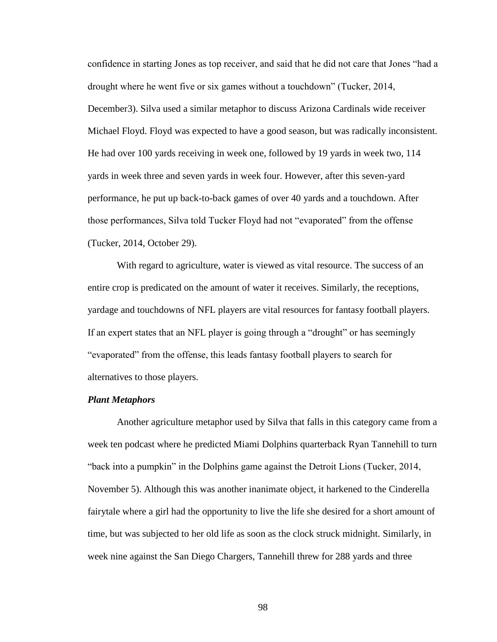confidence in starting Jones as top receiver, and said that he did not care that Jones "had a drought where he went five or six games without a touchdown" (Tucker, 2014, December3). Silva used a similar metaphor to discuss Arizona Cardinals wide receiver Michael Floyd. Floyd was expected to have a good season, but was radically inconsistent. He had over 100 yards receiving in week one, followed by 19 yards in week two, 114 yards in week three and seven yards in week four. However, after this seven-yard performance, he put up back-to-back games of over 40 yards and a touchdown. After those performances, Silva told Tucker Floyd had not "evaporated" from the offense (Tucker, 2014, October 29).

With regard to agriculture, water is viewed as vital resource. The success of an entire crop is predicated on the amount of water it receives. Similarly, the receptions, yardage and touchdowns of NFL players are vital resources for fantasy football players. If an expert states that an NFL player is going through a "drought" or has seemingly ―evaporated‖ from the offense, this leads fantasy football players to search for alternatives to those players.

#### *Plant Metaphors*

Another agriculture metaphor used by Silva that falls in this category came from a week ten podcast where he predicted Miami Dolphins quarterback Ryan Tannehill to turn ―back into a pumpkin‖ in the Dolphins game against the Detroit Lions (Tucker, 2014, November 5). Although this was another inanimate object, it harkened to the Cinderella fairytale where a girl had the opportunity to live the life she desired for a short amount of time, but was subjected to her old life as soon as the clock struck midnight. Similarly, in week nine against the San Diego Chargers, Tannehill threw for 288 yards and three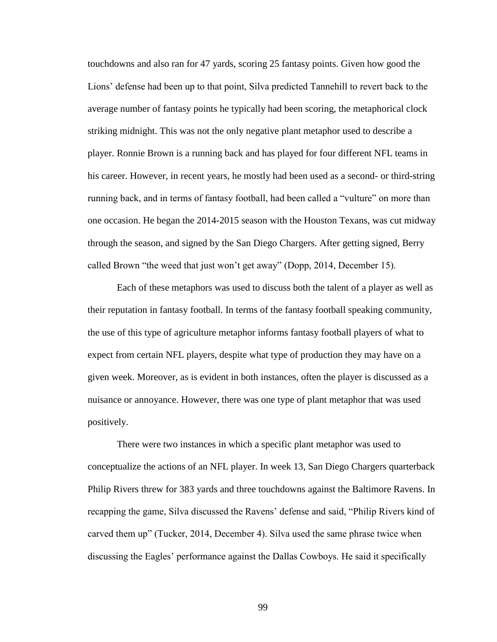touchdowns and also ran for 47 yards, scoring 25 fantasy points. Given how good the Lions' defense had been up to that point, Silva predicted Tannehill to revert back to the average number of fantasy points he typically had been scoring, the metaphorical clock striking midnight. This was not the only negative plant metaphor used to describe a player. Ronnie Brown is a running back and has played for four different NFL teams in his career. However, in recent years, he mostly had been used as a second- or third-string running back, and in terms of fantasy football, had been called a "vulture" on more than one occasion. He began the 2014-2015 season with the Houston Texans, was cut midway through the season, and signed by the San Diego Chargers. After getting signed, Berry called Brown "the weed that just won't get away" (Dopp, 2014, December 15).

Each of these metaphors was used to discuss both the talent of a player as well as their reputation in fantasy football. In terms of the fantasy football speaking community, the use of this type of agriculture metaphor informs fantasy football players of what to expect from certain NFL players, despite what type of production they may have on a given week. Moreover, as is evident in both instances, often the player is discussed as a nuisance or annoyance. However, there was one type of plant metaphor that was used positively.

There were two instances in which a specific plant metaphor was used to conceptualize the actions of an NFL player. In week 13, San Diego Chargers quarterback Philip Rivers threw for 383 yards and three touchdowns against the Baltimore Ravens. In recapping the game, Silva discussed the Ravens' defense and said, "Philip Rivers kind of carved them up" (Tucker, 2014, December 4). Silva used the same phrase twice when discussing the Eagles' performance against the Dallas Cowboys. He said it specifically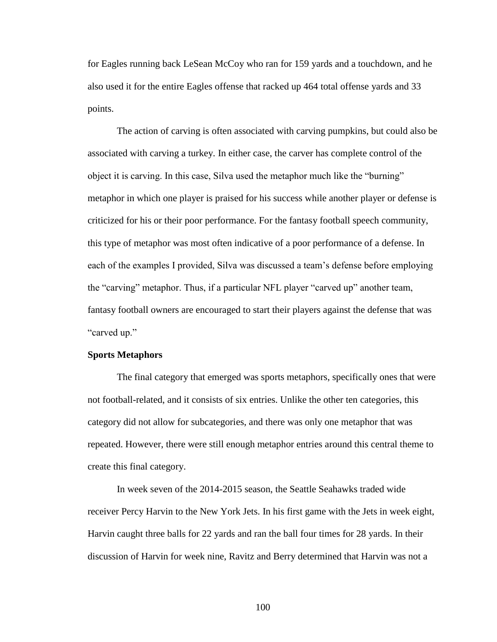for Eagles running back LeSean McCoy who ran for 159 yards and a touchdown, and he also used it for the entire Eagles offense that racked up 464 total offense yards and 33 points.

The action of carving is often associated with carving pumpkins, but could also be associated with carving a turkey. In either case, the carver has complete control of the object it is carving. In this case, Silva used the metaphor much like the "burning" metaphor in which one player is praised for his success while another player or defense is criticized for his or their poor performance. For the fantasy football speech community, this type of metaphor was most often indicative of a poor performance of a defense. In each of the examples I provided, Silva was discussed a team's defense before employing the "carving" metaphor. Thus, if a particular NFL player "carved up" another team, fantasy football owners are encouraged to start their players against the defense that was "carved up."

### **Sports Metaphors**

The final category that emerged was sports metaphors, specifically ones that were not football-related, and it consists of six entries. Unlike the other ten categories, this category did not allow for subcategories, and there was only one metaphor that was repeated. However, there were still enough metaphor entries around this central theme to create this final category.

In week seven of the 2014-2015 season, the Seattle Seahawks traded wide receiver Percy Harvin to the New York Jets. In his first game with the Jets in week eight, Harvin caught three balls for 22 yards and ran the ball four times for 28 yards. In their discussion of Harvin for week nine, Ravitz and Berry determined that Harvin was not a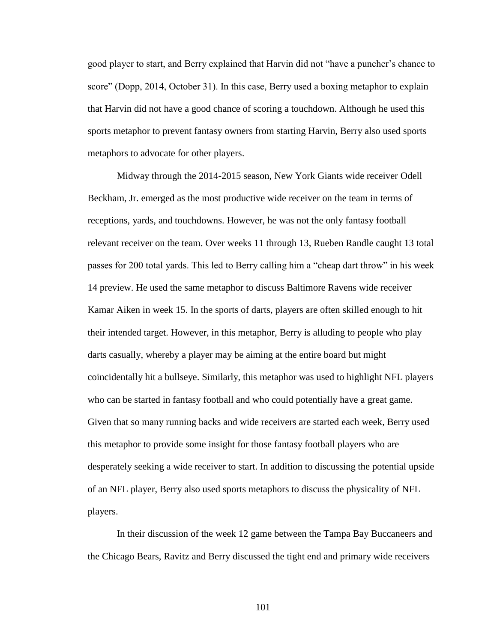good player to start, and Berry explained that Harvin did not "have a puncher's chance to score" (Dopp, 2014, October 31). In this case, Berry used a boxing metaphor to explain that Harvin did not have a good chance of scoring a touchdown. Although he used this sports metaphor to prevent fantasy owners from starting Harvin, Berry also used sports metaphors to advocate for other players.

Midway through the 2014-2015 season, New York Giants wide receiver Odell Beckham, Jr. emerged as the most productive wide receiver on the team in terms of receptions, yards, and touchdowns. However, he was not the only fantasy football relevant receiver on the team. Over weeks 11 through 13, Rueben Randle caught 13 total passes for 200 total yards. This led to Berry calling him a "cheap dart throw" in his week 14 preview. He used the same metaphor to discuss Baltimore Ravens wide receiver Kamar Aiken in week 15. In the sports of darts, players are often skilled enough to hit their intended target. However, in this metaphor, Berry is alluding to people who play darts casually, whereby a player may be aiming at the entire board but might coincidentally hit a bullseye. Similarly, this metaphor was used to highlight NFL players who can be started in fantasy football and who could potentially have a great game. Given that so many running backs and wide receivers are started each week, Berry used this metaphor to provide some insight for those fantasy football players who are desperately seeking a wide receiver to start. In addition to discussing the potential upside of an NFL player, Berry also used sports metaphors to discuss the physicality of NFL players.

In their discussion of the week 12 game between the Tampa Bay Buccaneers and the Chicago Bears, Ravitz and Berry discussed the tight end and primary wide receivers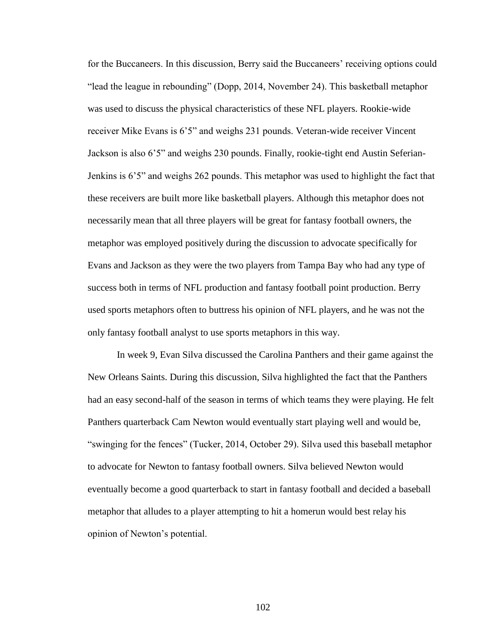for the Buccaneers. In this discussion, Berry said the Buccaneers' receiving options could "lead the league in rebounding" (Dopp, 2014, November 24). This basketball metaphor was used to discuss the physical characteristics of these NFL players. Rookie-wide receiver Mike Evans is 6'5" and weighs 231 pounds. Veteran-wide receiver Vincent Jackson is also 6'5" and weighs 230 pounds. Finally, rookie-tight end Austin Seferian-Jenkins is 6'5" and weighs 262 pounds. This metaphor was used to highlight the fact that these receivers are built more like basketball players. Although this metaphor does not necessarily mean that all three players will be great for fantasy football owners, the metaphor was employed positively during the discussion to advocate specifically for Evans and Jackson as they were the two players from Tampa Bay who had any type of success both in terms of NFL production and fantasy football point production. Berry used sports metaphors often to buttress his opinion of NFL players, and he was not the only fantasy football analyst to use sports metaphors in this way.

In week 9, Evan Silva discussed the Carolina Panthers and their game against the New Orleans Saints. During this discussion, Silva highlighted the fact that the Panthers had an easy second-half of the season in terms of which teams they were playing. He felt Panthers quarterback Cam Newton would eventually start playing well and would be, ―swinging for the fences‖ (Tucker, 2014, October 29). Silva used this baseball metaphor to advocate for Newton to fantasy football owners. Silva believed Newton would eventually become a good quarterback to start in fantasy football and decided a baseball metaphor that alludes to a player attempting to hit a homerun would best relay his opinion of Newton's potential.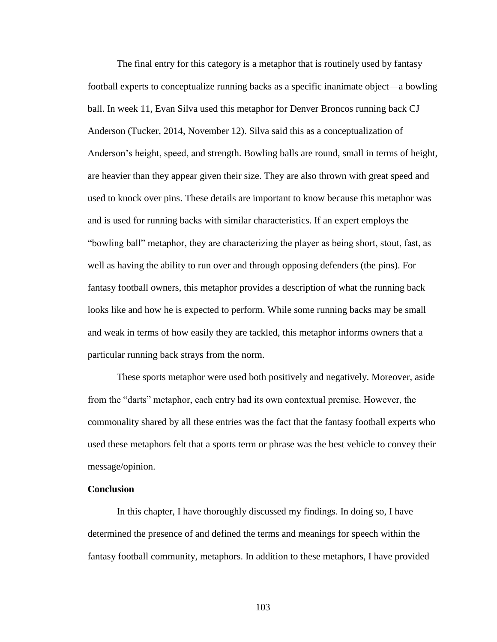The final entry for this category is a metaphor that is routinely used by fantasy football experts to conceptualize running backs as a specific inanimate object—a bowling ball. In week 11, Evan Silva used this metaphor for Denver Broncos running back CJ Anderson (Tucker, 2014, November 12). Silva said this as a conceptualization of Anderson's height, speed, and strength. Bowling balls are round, small in terms of height, are heavier than they appear given their size. They are also thrown with great speed and used to knock over pins. These details are important to know because this metaphor was and is used for running backs with similar characteristics. If an expert employs the "bowling ball" metaphor, they are characterizing the player as being short, stout, fast, as well as having the ability to run over and through opposing defenders (the pins). For fantasy football owners, this metaphor provides a description of what the running back looks like and how he is expected to perform. While some running backs may be small and weak in terms of how easily they are tackled, this metaphor informs owners that a particular running back strays from the norm.

These sports metaphor were used both positively and negatively. Moreover, aside from the "darts" metaphor, each entry had its own contextual premise. However, the commonality shared by all these entries was the fact that the fantasy football experts who used these metaphors felt that a sports term or phrase was the best vehicle to convey their message/opinion.

## **Conclusion**

In this chapter, I have thoroughly discussed my findings. In doing so, I have determined the presence of and defined the terms and meanings for speech within the fantasy football community, metaphors. In addition to these metaphors, I have provided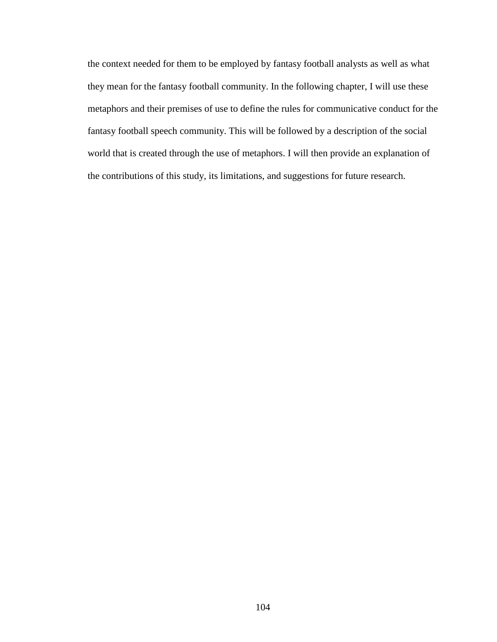the context needed for them to be employed by fantasy football analysts as well as what they mean for the fantasy football community. In the following chapter, I will use these metaphors and their premises of use to define the rules for communicative conduct for the fantasy football speech community. This will be followed by a description of the social world that is created through the use of metaphors. I will then provide an explanation of the contributions of this study, its limitations, and suggestions for future research.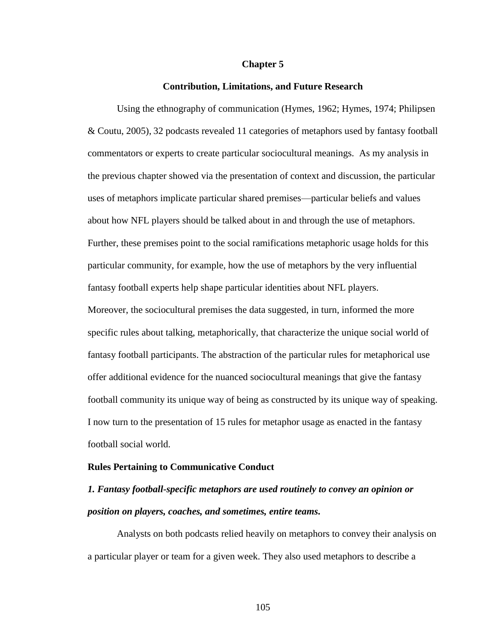#### **Chapter 5**

### **Contribution, Limitations, and Future Research**

Using the ethnography of communication (Hymes, 1962; Hymes, 1974; Philipsen & Coutu, 2005), 32 podcasts revealed 11 categories of metaphors used by fantasy football commentators or experts to create particular sociocultural meanings. As my analysis in the previous chapter showed via the presentation of context and discussion, the particular uses of metaphors implicate particular shared premises—particular beliefs and values about how NFL players should be talked about in and through the use of metaphors. Further, these premises point to the social ramifications metaphoric usage holds for this particular community, for example, how the use of metaphors by the very influential fantasy football experts help shape particular identities about NFL players. Moreover, the sociocultural premises the data suggested, in turn, informed the more specific rules about talking, metaphorically, that characterize the unique social world of fantasy football participants. The abstraction of the particular rules for metaphorical use offer additional evidence for the nuanced sociocultural meanings that give the fantasy football community its unique way of being as constructed by its unique way of speaking. I now turn to the presentation of 15 rules for metaphor usage as enacted in the fantasy football social world.

### **Rules Pertaining to Communicative Conduct**

## *1. Fantasy football-specific metaphors are used routinely to convey an opinion or position on players, coaches, and sometimes, entire teams.*

Analysts on both podcasts relied heavily on metaphors to convey their analysis on a particular player or team for a given week. They also used metaphors to describe a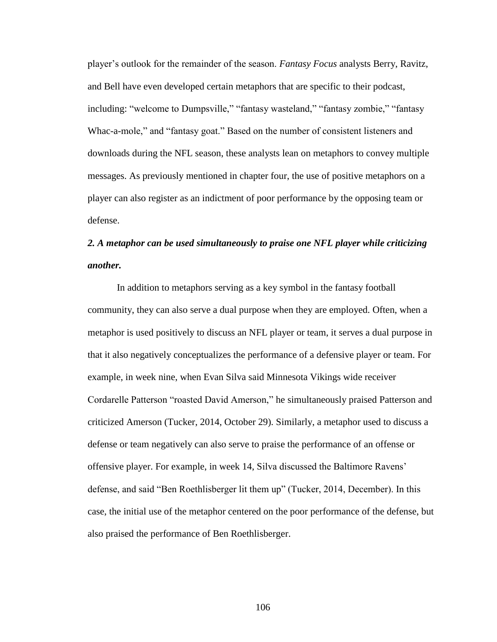player's outlook for the remainder of the season. *Fantasy Focus* analysts Berry, Ravitz, and Bell have even developed certain metaphors that are specific to their podcast, including: "welcome to Dumpsville," "fantasy wasteland," "fantasy zombie," "fantasy Whac-a-mole," and "fantasy goat." Based on the number of consistent listeners and downloads during the NFL season, these analysts lean on metaphors to convey multiple messages. As previously mentioned in chapter four, the use of positive metaphors on a player can also register as an indictment of poor performance by the opposing team or defense.

# *2. A metaphor can be used simultaneously to praise one NFL player while criticizing another.*

In addition to metaphors serving as a key symbol in the fantasy football community, they can also serve a dual purpose when they are employed. Often, when a metaphor is used positively to discuss an NFL player or team, it serves a dual purpose in that it also negatively conceptualizes the performance of a defensive player or team. For example, in week nine, when Evan Silva said Minnesota Vikings wide receiver Cordarelle Patterson "roasted David Amerson," he simultaneously praised Patterson and criticized Amerson (Tucker, 2014, October 29). Similarly, a metaphor used to discuss a defense or team negatively can also serve to praise the performance of an offense or offensive player. For example, in week 14, Silva discussed the Baltimore Ravens' defense, and said "Ben Roethlisberger lit them up" (Tucker, 2014, December). In this case, the initial use of the metaphor centered on the poor performance of the defense, but also praised the performance of Ben Roethlisberger.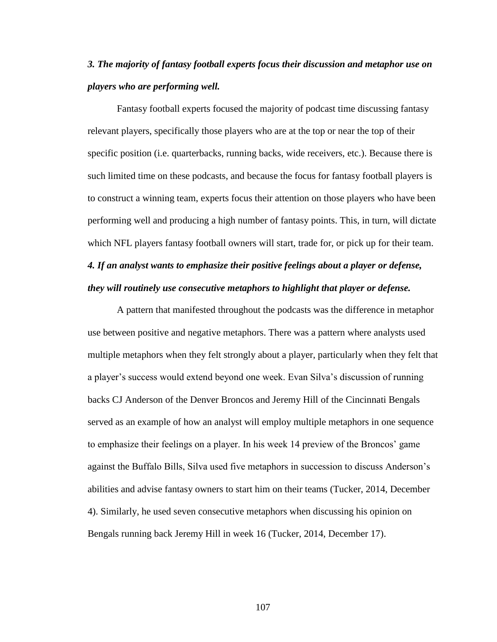## *3. The majority of fantasy football experts focus their discussion and metaphor use on players who are performing well.*

Fantasy football experts focused the majority of podcast time discussing fantasy relevant players, specifically those players who are at the top or near the top of their specific position (i.e. quarterbacks, running backs, wide receivers, etc.). Because there is such limited time on these podcasts, and because the focus for fantasy football players is to construct a winning team, experts focus their attention on those players who have been performing well and producing a high number of fantasy points. This, in turn, will dictate which NFL players fantasy football owners will start, trade for, or pick up for their team.

# *4. If an analyst wants to emphasize their positive feelings about a player or defense, they will routinely use consecutive metaphors to highlight that player or defense.*

A pattern that manifested throughout the podcasts was the difference in metaphor use between positive and negative metaphors. There was a pattern where analysts used multiple metaphors when they felt strongly about a player, particularly when they felt that a player's success would extend beyond one week. Evan Silva's discussion of running backs CJ Anderson of the Denver Broncos and Jeremy Hill of the Cincinnati Bengals served as an example of how an analyst will employ multiple metaphors in one sequence to emphasize their feelings on a player. In his week 14 preview of the Broncos' game against the Buffalo Bills, Silva used five metaphors in succession to discuss Anderson's abilities and advise fantasy owners to start him on their teams (Tucker, 2014, December 4). Similarly, he used seven consecutive metaphors when discussing his opinion on Bengals running back Jeremy Hill in week 16 (Tucker, 2014, December 17).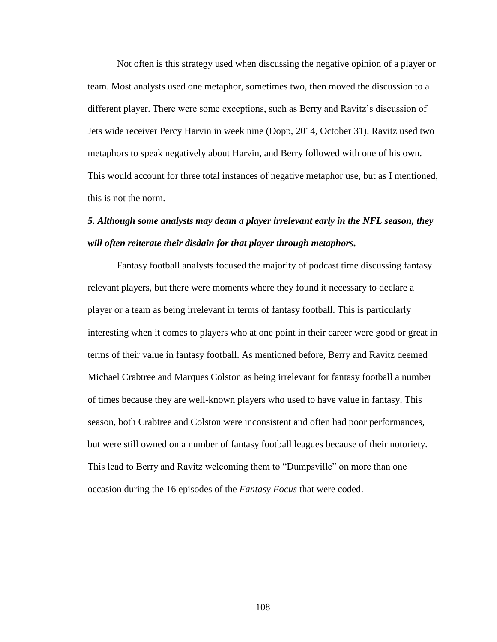Not often is this strategy used when discussing the negative opinion of a player or team. Most analysts used one metaphor, sometimes two, then moved the discussion to a different player. There were some exceptions, such as Berry and Ravitz's discussion of Jets wide receiver Percy Harvin in week nine (Dopp, 2014, October 31). Ravitz used two metaphors to speak negatively about Harvin, and Berry followed with one of his own. This would account for three total instances of negative metaphor use, but as I mentioned, this is not the norm.

## *5. Although some analysts may deam a player irrelevant early in the NFL season, they will often reiterate their disdain for that player through metaphors.*

Fantasy football analysts focused the majority of podcast time discussing fantasy relevant players, but there were moments where they found it necessary to declare a player or a team as being irrelevant in terms of fantasy football. This is particularly interesting when it comes to players who at one point in their career were good or great in terms of their value in fantasy football. As mentioned before, Berry and Ravitz deemed Michael Crabtree and Marques Colston as being irrelevant for fantasy football a number of times because they are well-known players who used to have value in fantasy. This season, both Crabtree and Colston were inconsistent and often had poor performances, but were still owned on a number of fantasy football leagues because of their notoriety. This lead to Berry and Ravitz welcoming them to "Dumpsville" on more than one occasion during the 16 episodes of the *Fantasy Focus* that were coded.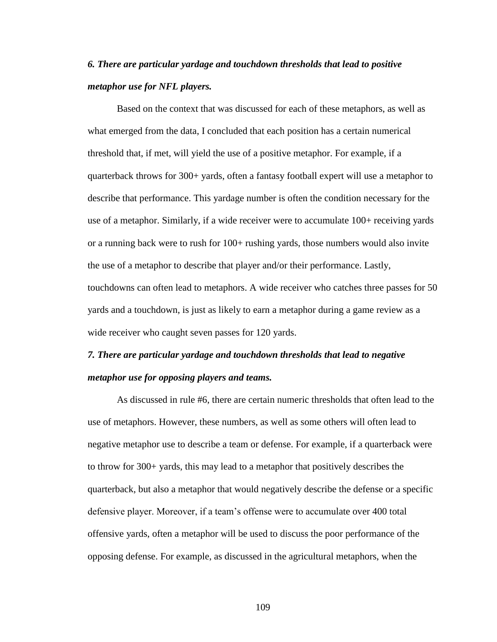## *6. There are particular yardage and touchdown thresholds that lead to positive metaphor use for NFL players.*

Based on the context that was discussed for each of these metaphors, as well as what emerged from the data, I concluded that each position has a certain numerical threshold that, if met, will yield the use of a positive metaphor. For example, if a quarterback throws for 300+ yards, often a fantasy football expert will use a metaphor to describe that performance. This yardage number is often the condition necessary for the use of a metaphor. Similarly, if a wide receiver were to accumulate 100+ receiving yards or a running back were to rush for 100+ rushing yards, those numbers would also invite the use of a metaphor to describe that player and/or their performance. Lastly, touchdowns can often lead to metaphors. A wide receiver who catches three passes for 50 yards and a touchdown, is just as likely to earn a metaphor during a game review as a wide receiver who caught seven passes for 120 yards.

## *7. There are particular yardage and touchdown thresholds that lead to negative metaphor use for opposing players and teams.*

As discussed in rule #6, there are certain numeric thresholds that often lead to the use of metaphors. However, these numbers, as well as some others will often lead to negative metaphor use to describe a team or defense. For example, if a quarterback were to throw for 300+ yards, this may lead to a metaphor that positively describes the quarterback, but also a metaphor that would negatively describe the defense or a specific defensive player. Moreover, if a team's offense were to accumulate over 400 total offensive yards, often a metaphor will be used to discuss the poor performance of the opposing defense. For example, as discussed in the agricultural metaphors, when the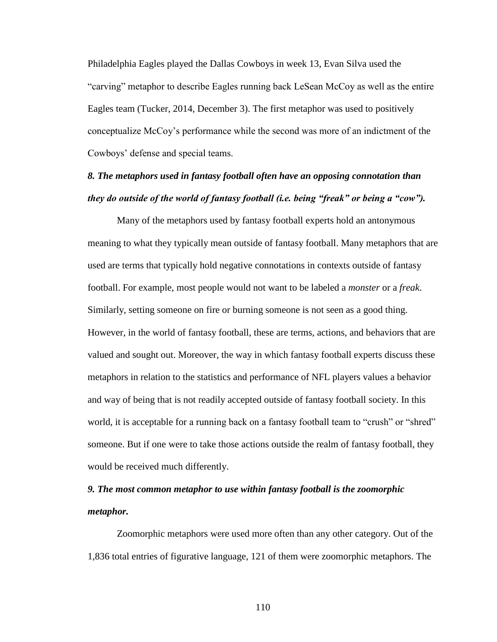Philadelphia Eagles played the Dallas Cowboys in week 13, Evan Silva used the "carving" metaphor to describe Eagles running back LeSean McCoy as well as the entire Eagles team (Tucker, 2014, December 3). The first metaphor was used to positively conceptualize McCoy's performance while the second was more of an indictment of the Cowboys' defense and special teams.

## *8. The metaphors used in fantasy football often have an opposing connotation than they do outside of the world of fantasy football (i.e. being "freak" or being a "cow").*

Many of the metaphors used by fantasy football experts hold an antonymous meaning to what they typically mean outside of fantasy football. Many metaphors that are used are terms that typically hold negative connotations in contexts outside of fantasy football. For example, most people would not want to be labeled a *monster* or a *freak*. Similarly, setting someone on fire or burning someone is not seen as a good thing. However, in the world of fantasy football, these are terms, actions, and behaviors that are valued and sought out. Moreover, the way in which fantasy football experts discuss these metaphors in relation to the statistics and performance of NFL players values a behavior and way of being that is not readily accepted outside of fantasy football society. In this world, it is acceptable for a running back on a fantasy football team to "crush" or "shred" someone. But if one were to take those actions outside the realm of fantasy football, they would be received much differently.

## *9. The most common metaphor to use within fantasy football is the zoomorphic metaphor.*

Zoomorphic metaphors were used more often than any other category. Out of the 1,836 total entries of figurative language, 121 of them were zoomorphic metaphors. The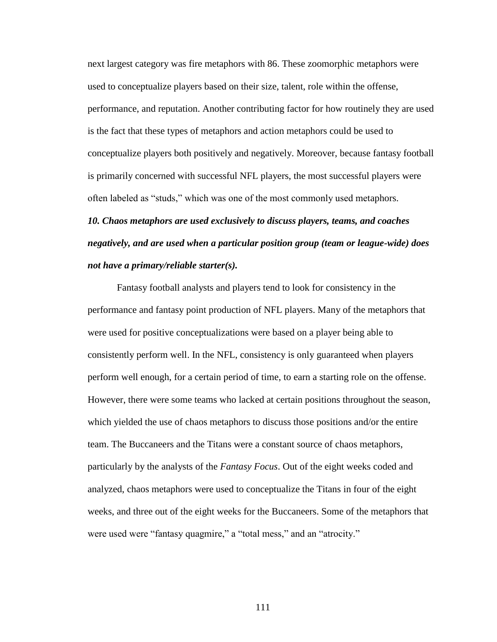next largest category was fire metaphors with 86. These zoomorphic metaphors were used to conceptualize players based on their size, talent, role within the offense, performance, and reputation. Another contributing factor for how routinely they are used is the fact that these types of metaphors and action metaphors could be used to conceptualize players both positively and negatively. Moreover, because fantasy football is primarily concerned with successful NFL players, the most successful players were often labeled as "studs," which was one of the most commonly used metaphors.

*10. Chaos metaphors are used exclusively to discuss players, teams, and coaches negatively, and are used when a particular position group (team or league-wide) does not have a primary/reliable starter(s).*

Fantasy football analysts and players tend to look for consistency in the performance and fantasy point production of NFL players. Many of the metaphors that were used for positive conceptualizations were based on a player being able to consistently perform well. In the NFL, consistency is only guaranteed when players perform well enough, for a certain period of time, to earn a starting role on the offense. However, there were some teams who lacked at certain positions throughout the season, which yielded the use of chaos metaphors to discuss those positions and/or the entire team. The Buccaneers and the Titans were a constant source of chaos metaphors, particularly by the analysts of the *Fantasy Focus*. Out of the eight weeks coded and analyzed, chaos metaphors were used to conceptualize the Titans in four of the eight weeks, and three out of the eight weeks for the Buccaneers. Some of the metaphors that were used were "fantasy quagmire," a "total mess," and an "atrocity."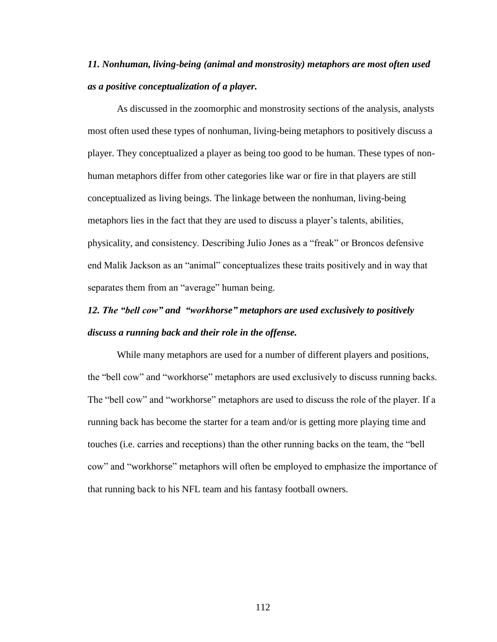# *11. Nonhuman, living-being (animal and monstrosity) metaphors are most often used as a positive conceptualization of a player.*

As discussed in the zoomorphic and monstrosity sections of the analysis, analysts most often used these types of nonhuman, living-being metaphors to positively discuss a player. They conceptualized a player as being too good to be human. These types of nonhuman metaphors differ from other categories like war or fire in that players are still conceptualized as living beings. The linkage between the nonhuman, living-being metaphors lies in the fact that they are used to discuss a player's talents, abilities, physicality, and consistency. Describing Julio Jones as a "freak" or Broncos defensive end Malik Jackson as an "animal" conceptualizes these traits positively and in way that separates them from an "average" human being.

# *12. The "bell cow" and "workhorse" metaphors are used exclusively to positively discuss a running back and their role in the offense.*

While many metaphors are used for a number of different players and positions, the "bell cow" and "workhorse" metaphors are used exclusively to discuss running backs. The "bell cow" and "workhorse" metaphors are used to discuss the role of the player. If a running back has become the starter for a team and/or is getting more playing time and touches (i.e. carries and receptions) than the other running backs on the team, the "bell cow" and "workhorse" metaphors will often be employed to emphasize the importance of that running back to his NFL team and his fantasy football owners.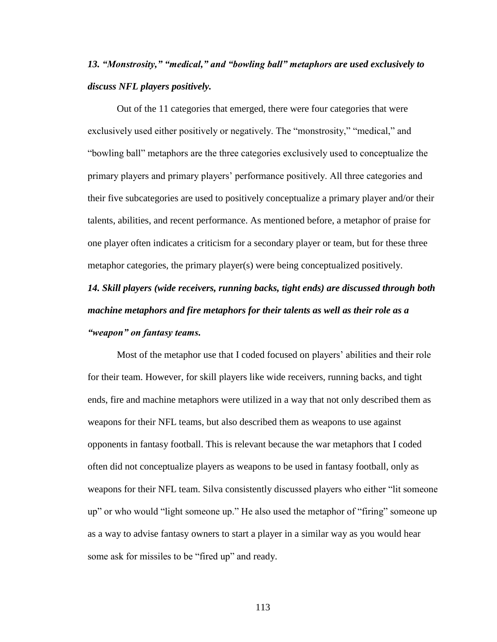## *13. "Monstrosity," "medical," and "bowling ball" metaphors are used exclusively to discuss NFL players positively.*

Out of the 11 categories that emerged, there were four categories that were exclusively used either positively or negatively. The "monstrosity," "medical," and ―bowling ball‖ metaphors are the three categories exclusively used to conceptualize the primary players and primary players' performance positively. All three categories and their five subcategories are used to positively conceptualize a primary player and/or their talents, abilities, and recent performance. As mentioned before, a metaphor of praise for one player often indicates a criticism for a secondary player or team, but for these three metaphor categories, the primary player(s) were being conceptualized positively.

# *14. Skill players (wide receivers, running backs, tight ends) are discussed through both machine metaphors and fire metaphors for their talents as well as their role as a "weapon" on fantasy teams.*

Most of the metaphor use that I coded focused on players' abilities and their role for their team. However, for skill players like wide receivers, running backs, and tight ends, fire and machine metaphors were utilized in a way that not only described them as weapons for their NFL teams, but also described them as weapons to use against opponents in fantasy football. This is relevant because the war metaphors that I coded often did not conceptualize players as weapons to be used in fantasy football, only as weapons for their NFL team. Silva consistently discussed players who either "lit someone" up" or who would "light someone up." He also used the metaphor of "firing" someone up as a way to advise fantasy owners to start a player in a similar way as you would hear some ask for missiles to be "fired up" and ready.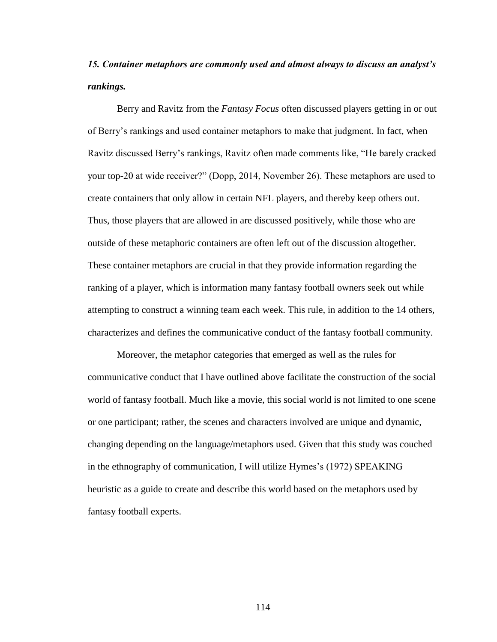## *15. Container metaphors are commonly used and almost always to discuss an analyst's rankings.*

Berry and Ravitz from the *Fantasy Focus* often discussed players getting in or out of Berry's rankings and used container metaphors to make that judgment. In fact, when Ravitz discussed Berry's rankings, Ravitz often made comments like, "He barely cracked your top-20 at wide receiver?" (Dopp, 2014, November 26). These metaphors are used to create containers that only allow in certain NFL players, and thereby keep others out. Thus, those players that are allowed in are discussed positively, while those who are outside of these metaphoric containers are often left out of the discussion altogether. These container metaphors are crucial in that they provide information regarding the ranking of a player, which is information many fantasy football owners seek out while attempting to construct a winning team each week. This rule, in addition to the 14 others, characterizes and defines the communicative conduct of the fantasy football community.

Moreover, the metaphor categories that emerged as well as the rules for communicative conduct that I have outlined above facilitate the construction of the social world of fantasy football. Much like a movie, this social world is not limited to one scene or one participant; rather, the scenes and characters involved are unique and dynamic, changing depending on the language/metaphors used. Given that this study was couched in the ethnography of communication, I will utilize Hymes's (1972) SPEAKING heuristic as a guide to create and describe this world based on the metaphors used by fantasy football experts.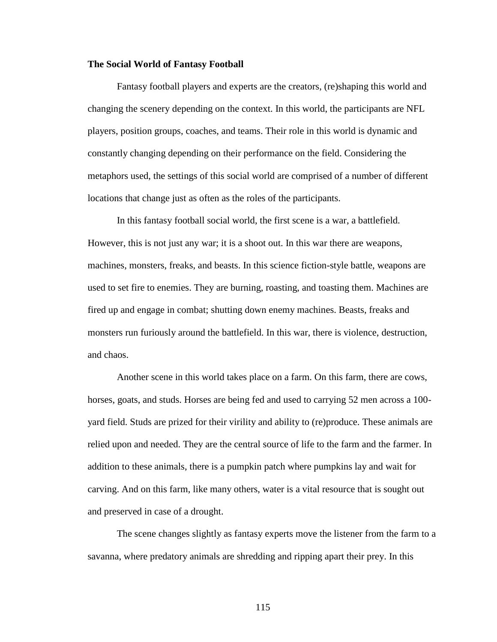## **The Social World of Fantasy Football**

Fantasy football players and experts are the creators, (re)shaping this world and changing the scenery depending on the context. In this world, the participants are NFL players, position groups, coaches, and teams. Their role in this world is dynamic and constantly changing depending on their performance on the field. Considering the metaphors used, the settings of this social world are comprised of a number of different locations that change just as often as the roles of the participants.

In this fantasy football social world, the first scene is a war, a battlefield. However, this is not just any war; it is a shoot out. In this war there are weapons, machines, monsters, freaks, and beasts. In this science fiction-style battle, weapons are used to set fire to enemies. They are burning, roasting, and toasting them. Machines are fired up and engage in combat; shutting down enemy machines. Beasts, freaks and monsters run furiously around the battlefield. In this war, there is violence, destruction, and chaos.

Another scene in this world takes place on a farm. On this farm, there are cows, horses, goats, and studs. Horses are being fed and used to carrying 52 men across a 100 yard field. Studs are prized for their virility and ability to (re)produce. These animals are relied upon and needed. They are the central source of life to the farm and the farmer. In addition to these animals, there is a pumpkin patch where pumpkins lay and wait for carving. And on this farm, like many others, water is a vital resource that is sought out and preserved in case of a drought.

The scene changes slightly as fantasy experts move the listener from the farm to a savanna, where predatory animals are shredding and ripping apart their prey. In this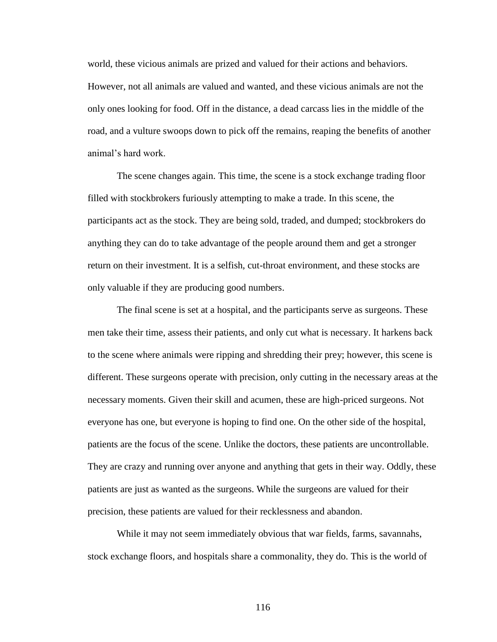world, these vicious animals are prized and valued for their actions and behaviors. However, not all animals are valued and wanted, and these vicious animals are not the only ones looking for food. Off in the distance, a dead carcass lies in the middle of the road, and a vulture swoops down to pick off the remains, reaping the benefits of another animal's hard work.

The scene changes again. This time, the scene is a stock exchange trading floor filled with stockbrokers furiously attempting to make a trade. In this scene, the participants act as the stock. They are being sold, traded, and dumped; stockbrokers do anything they can do to take advantage of the people around them and get a stronger return on their investment. It is a selfish, cut-throat environment, and these stocks are only valuable if they are producing good numbers.

The final scene is set at a hospital, and the participants serve as surgeons. These men take their time, assess their patients, and only cut what is necessary. It harkens back to the scene where animals were ripping and shredding their prey; however, this scene is different. These surgeons operate with precision, only cutting in the necessary areas at the necessary moments. Given their skill and acumen, these are high-priced surgeons. Not everyone has one, but everyone is hoping to find one. On the other side of the hospital, patients are the focus of the scene. Unlike the doctors, these patients are uncontrollable. They are crazy and running over anyone and anything that gets in their way. Oddly, these patients are just as wanted as the surgeons. While the surgeons are valued for their precision, these patients are valued for their recklessness and abandon.

While it may not seem immediately obvious that war fields, farms, savannahs, stock exchange floors, and hospitals share a commonality, they do. This is the world of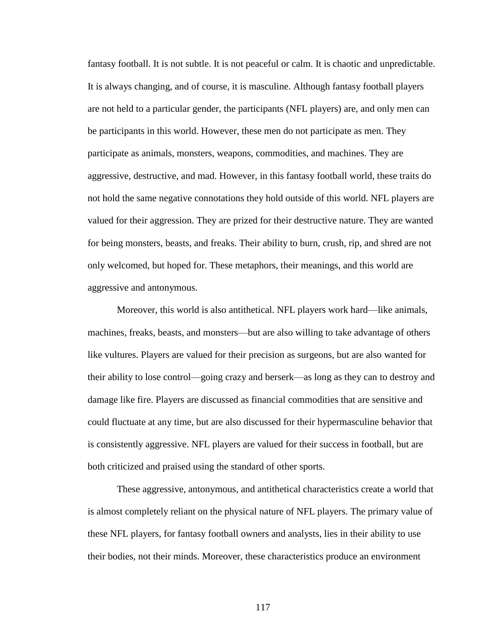fantasy football. It is not subtle. It is not peaceful or calm. It is chaotic and unpredictable. It is always changing, and of course, it is masculine. Although fantasy football players are not held to a particular gender, the participants (NFL players) are, and only men can be participants in this world. However, these men do not participate as men. They participate as animals, monsters, weapons, commodities, and machines. They are aggressive, destructive, and mad. However, in this fantasy football world, these traits do not hold the same negative connotations they hold outside of this world. NFL players are valued for their aggression. They are prized for their destructive nature. They are wanted for being monsters, beasts, and freaks. Their ability to burn, crush, rip, and shred are not only welcomed, but hoped for. These metaphors, their meanings, and this world are aggressive and antonymous.

Moreover, this world is also antithetical. NFL players work hard—like animals, machines, freaks, beasts, and monsters—but are also willing to take advantage of others like vultures. Players are valued for their precision as surgeons, but are also wanted for their ability to lose control—going crazy and berserk—as long as they can to destroy and damage like fire. Players are discussed as financial commodities that are sensitive and could fluctuate at any time, but are also discussed for their hypermasculine behavior that is consistently aggressive. NFL players are valued for their success in football, but are both criticized and praised using the standard of other sports.

These aggressive, antonymous, and antithetical characteristics create a world that is almost completely reliant on the physical nature of NFL players. The primary value of these NFL players, for fantasy football owners and analysts, lies in their ability to use their bodies, not their minds. Moreover, these characteristics produce an environment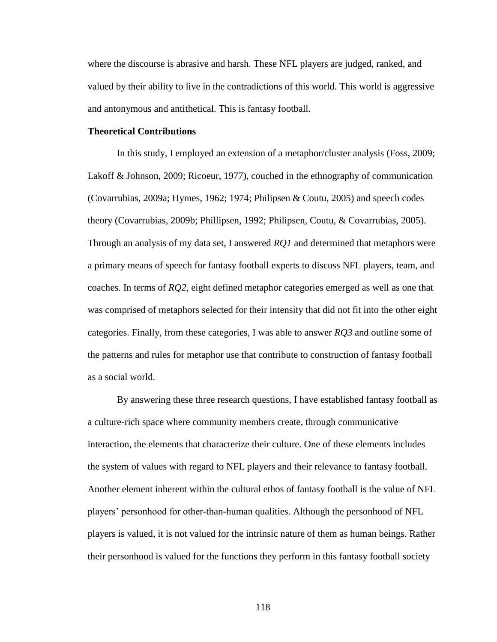where the discourse is abrasive and harsh. These NFL players are judged, ranked, and valued by their ability to live in the contradictions of this world. This world is aggressive and antonymous and antithetical. This is fantasy football.

### **Theoretical Contributions**

In this study, I employed an extension of a metaphor/cluster analysis (Foss, 2009; Lakoff & Johnson, 2009; Ricoeur, 1977), couched in the ethnography of communication (Covarrubias, 2009a; Hymes, 1962; 1974; Philipsen & Coutu, 2005) and speech codes theory (Covarrubias, 2009b; Phillipsen, 1992; Philipsen, Coutu, & Covarrubias, 2005). Through an analysis of my data set, I answered *RQ1* and determined that metaphors were a primary means of speech for fantasy football experts to discuss NFL players, team, and coaches. In terms of *RQ2*, eight defined metaphor categories emerged as well as one that was comprised of metaphors selected for their intensity that did not fit into the other eight categories. Finally, from these categories, I was able to answer *RQ3* and outline some of the patterns and rules for metaphor use that contribute to construction of fantasy football as a social world.

By answering these three research questions, I have established fantasy football as a culture-rich space where community members create, through communicative interaction, the elements that characterize their culture. One of these elements includes the system of values with regard to NFL players and their relevance to fantasy football. Another element inherent within the cultural ethos of fantasy football is the value of NFL players' personhood for other-than-human qualities. Although the personhood of NFL players is valued, it is not valued for the intrinsic nature of them as human beings. Rather their personhood is valued for the functions they perform in this fantasy football society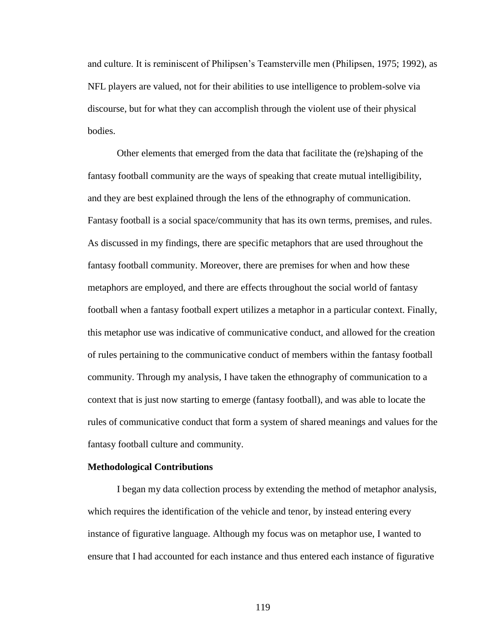and culture. It is reminiscent of Philipsen's Teamsterville men (Philipsen, 1975; 1992), as NFL players are valued, not for their abilities to use intelligence to problem-solve via discourse, but for what they can accomplish through the violent use of their physical bodies.

Other elements that emerged from the data that facilitate the (re)shaping of the fantasy football community are the ways of speaking that create mutual intelligibility, and they are best explained through the lens of the ethnography of communication. Fantasy football is a social space/community that has its own terms, premises, and rules. As discussed in my findings, there are specific metaphors that are used throughout the fantasy football community. Moreover, there are premises for when and how these metaphors are employed, and there are effects throughout the social world of fantasy football when a fantasy football expert utilizes a metaphor in a particular context. Finally, this metaphor use was indicative of communicative conduct, and allowed for the creation of rules pertaining to the communicative conduct of members within the fantasy football community. Through my analysis, I have taken the ethnography of communication to a context that is just now starting to emerge (fantasy football), and was able to locate the rules of communicative conduct that form a system of shared meanings and values for the fantasy football culture and community.

### **Methodological Contributions**

I began my data collection process by extending the method of metaphor analysis, which requires the identification of the vehicle and tenor, by instead entering every instance of figurative language. Although my focus was on metaphor use, I wanted to ensure that I had accounted for each instance and thus entered each instance of figurative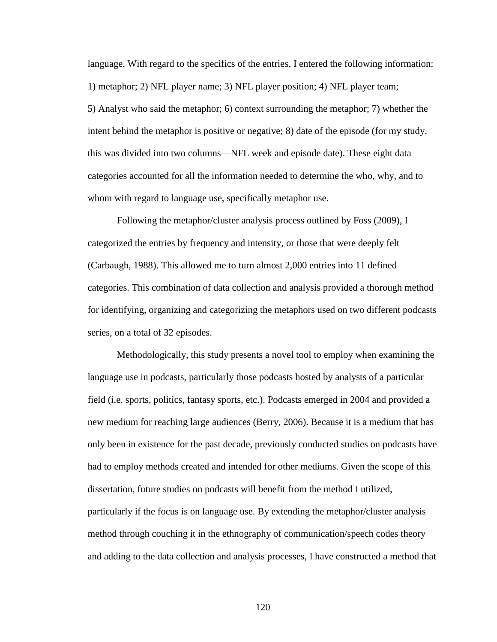language. With regard to the specifics of the entries, I entered the following information: 1) metaphor; 2) NFL player name; 3) NFL player position; 4) NFL player team; 5) Analyst who said the metaphor; 6) context surrounding the metaphor; 7) whether the intent behind the metaphor is positive or negative; 8) date of the episode (for my study, this was divided into two columns—NFL week and episode date). These eight data categories accounted for all the information needed to determine the who, why, and to whom with regard to language use, specifically metaphor use.

Following the metaphor/cluster analysis process outlined by Foss (2009), I categorized the entries by frequency and intensity, or those that were deeply felt (Carbaugh, 1988). This allowed me to turn almost 2,000 entries into 11 defined categories. This combination of data collection and analysis provided a thorough method for identifying, organizing and categorizing the metaphors used on two different podcasts series, on a total of 32 episodes.

Methodologically, this study presents a novel tool to employ when examining the language use in podcasts, particularly those podcasts hosted by analysts of a particular field (i.e. sports, politics, fantasy sports, etc.). Podcasts emerged in 2004 and provided a new medium for reaching large audiences (Berry, 2006). Because it is a medium that has only been in existence for the past decade, previously conducted studies on podcasts have had to employ methods created and intended for other mediums. Given the scope of this dissertation, future studies on podcasts will benefit from the method I utilized, particularly if the focus is on language use. By extending the metaphor/cluster analysis method through couching it in the ethnography of communication/speech codes theory and adding to the data collection and analysis processes, I have constructed a method that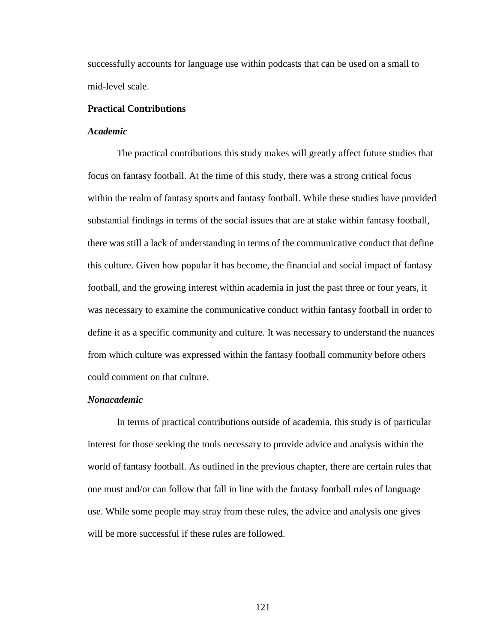successfully accounts for language use within podcasts that can be used on a small to mid-level scale.

## **Practical Contributions**

## *Academic*

The practical contributions this study makes will greatly affect future studies that focus on fantasy football. At the time of this study, there was a strong critical focus within the realm of fantasy sports and fantasy football. While these studies have provided substantial findings in terms of the social issues that are at stake within fantasy football, there was still a lack of understanding in terms of the communicative conduct that define this culture. Given how popular it has become, the financial and social impact of fantasy football, and the growing interest within academia in just the past three or four years, it was necessary to examine the communicative conduct within fantasy football in order to define it as a specific community and culture. It was necessary to understand the nuances from which culture was expressed within the fantasy football community before others could comment on that culture.

## *Nonacademic*

In terms of practical contributions outside of academia, this study is of particular interest for those seeking the tools necessary to provide advice and analysis within the world of fantasy football. As outlined in the previous chapter, there are certain rules that one must and/or can follow that fall in line with the fantasy football rules of language use. While some people may stray from these rules, the advice and analysis one gives will be more successful if these rules are followed.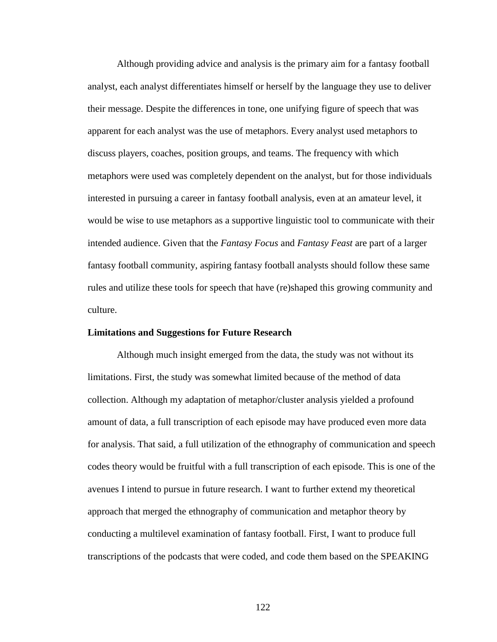Although providing advice and analysis is the primary aim for a fantasy football analyst, each analyst differentiates himself or herself by the language they use to deliver their message. Despite the differences in tone, one unifying figure of speech that was apparent for each analyst was the use of metaphors. Every analyst used metaphors to discuss players, coaches, position groups, and teams. The frequency with which metaphors were used was completely dependent on the analyst, but for those individuals interested in pursuing a career in fantasy football analysis, even at an amateur level, it would be wise to use metaphors as a supportive linguistic tool to communicate with their intended audience. Given that the *Fantasy Focus* and *Fantasy Feast* are part of a larger fantasy football community, aspiring fantasy football analysts should follow these same rules and utilize these tools for speech that have (re)shaped this growing community and culture.

## **Limitations and Suggestions for Future Research**

Although much insight emerged from the data, the study was not without its limitations. First, the study was somewhat limited because of the method of data collection. Although my adaptation of metaphor/cluster analysis yielded a profound amount of data, a full transcription of each episode may have produced even more data for analysis. That said, a full utilization of the ethnography of communication and speech codes theory would be fruitful with a full transcription of each episode. This is one of the avenues I intend to pursue in future research. I want to further extend my theoretical approach that merged the ethnography of communication and metaphor theory by conducting a multilevel examination of fantasy football. First, I want to produce full transcriptions of the podcasts that were coded, and code them based on the SPEAKING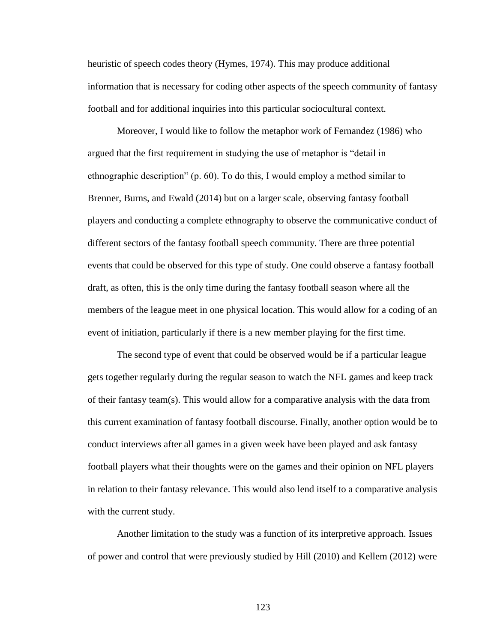heuristic of speech codes theory (Hymes, 1974). This may produce additional information that is necessary for coding other aspects of the speech community of fantasy football and for additional inquiries into this particular sociocultural context.

Moreover, I would like to follow the metaphor work of Fernandez (1986) who argued that the first requirement in studying the use of metaphor is "detail in ethnographic description" (p. 60). To do this, I would employ a method similar to Brenner, Burns, and Ewald (2014) but on a larger scale, observing fantasy football players and conducting a complete ethnography to observe the communicative conduct of different sectors of the fantasy football speech community. There are three potential events that could be observed for this type of study. One could observe a fantasy football draft, as often, this is the only time during the fantasy football season where all the members of the league meet in one physical location. This would allow for a coding of an event of initiation, particularly if there is a new member playing for the first time.

The second type of event that could be observed would be if a particular league gets together regularly during the regular season to watch the NFL games and keep track of their fantasy team(s). This would allow for a comparative analysis with the data from this current examination of fantasy football discourse. Finally, another option would be to conduct interviews after all games in a given week have been played and ask fantasy football players what their thoughts were on the games and their opinion on NFL players in relation to their fantasy relevance. This would also lend itself to a comparative analysis with the current study.

Another limitation to the study was a function of its interpretive approach. Issues of power and control that were previously studied by Hill (2010) and Kellem (2012) were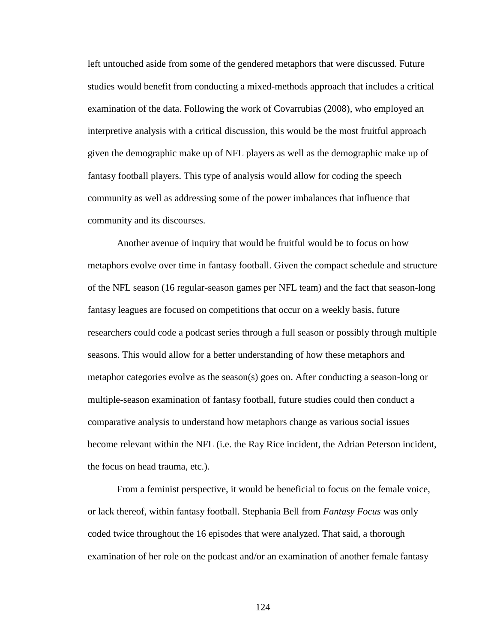left untouched aside from some of the gendered metaphors that were discussed. Future studies would benefit from conducting a mixed-methods approach that includes a critical examination of the data. Following the work of Covarrubias (2008), who employed an interpretive analysis with a critical discussion, this would be the most fruitful approach given the demographic make up of NFL players as well as the demographic make up of fantasy football players. This type of analysis would allow for coding the speech community as well as addressing some of the power imbalances that influence that community and its discourses.

Another avenue of inquiry that would be fruitful would be to focus on how metaphors evolve over time in fantasy football. Given the compact schedule and structure of the NFL season (16 regular-season games per NFL team) and the fact that season-long fantasy leagues are focused on competitions that occur on a weekly basis, future researchers could code a podcast series through a full season or possibly through multiple seasons. This would allow for a better understanding of how these metaphors and metaphor categories evolve as the season(s) goes on. After conducting a season-long or multiple-season examination of fantasy football, future studies could then conduct a comparative analysis to understand how metaphors change as various social issues become relevant within the NFL (i.e. the Ray Rice incident, the Adrian Peterson incident, the focus on head trauma, etc.).

From a feminist perspective, it would be beneficial to focus on the female voice, or lack thereof, within fantasy football. Stephania Bell from *Fantasy Focus* was only coded twice throughout the 16 episodes that were analyzed. That said, a thorough examination of her role on the podcast and/or an examination of another female fantasy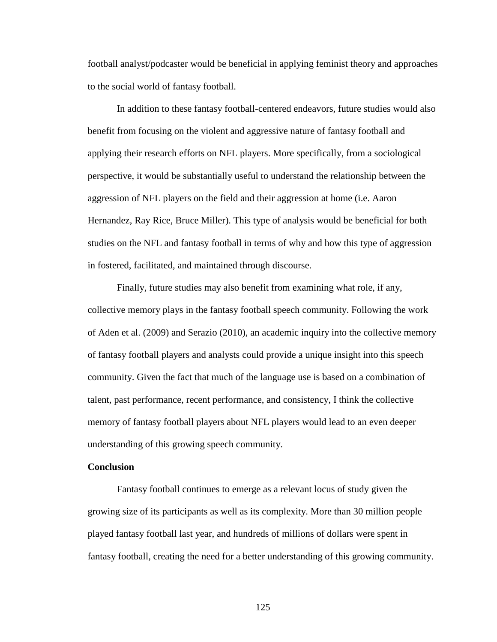football analyst/podcaster would be beneficial in applying feminist theory and approaches to the social world of fantasy football.

In addition to these fantasy football-centered endeavors, future studies would also benefit from focusing on the violent and aggressive nature of fantasy football and applying their research efforts on NFL players. More specifically, from a sociological perspective, it would be substantially useful to understand the relationship between the aggression of NFL players on the field and their aggression at home (i.e. Aaron Hernandez, Ray Rice, Bruce Miller). This type of analysis would be beneficial for both studies on the NFL and fantasy football in terms of why and how this type of aggression in fostered, facilitated, and maintained through discourse.

Finally, future studies may also benefit from examining what role, if any, collective memory plays in the fantasy football speech community. Following the work of Aden et al. (2009) and Serazio (2010), an academic inquiry into the collective memory of fantasy football players and analysts could provide a unique insight into this speech community. Given the fact that much of the language use is based on a combination of talent, past performance, recent performance, and consistency, I think the collective memory of fantasy football players about NFL players would lead to an even deeper understanding of this growing speech community.

## **Conclusion**

Fantasy football continues to emerge as a relevant locus of study given the growing size of its participants as well as its complexity. More than 30 million people played fantasy football last year, and hundreds of millions of dollars were spent in fantasy football, creating the need for a better understanding of this growing community.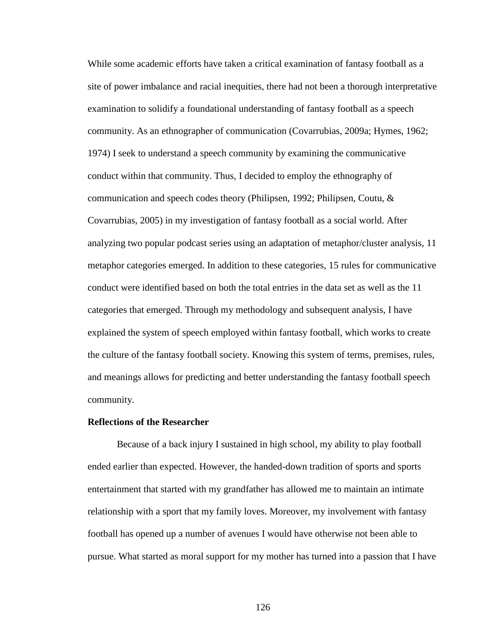While some academic efforts have taken a critical examination of fantasy football as a site of power imbalance and racial inequities, there had not been a thorough interpretative examination to solidify a foundational understanding of fantasy football as a speech community. As an ethnographer of communication (Covarrubias, 2009a; Hymes, 1962; 1974) I seek to understand a speech community by examining the communicative conduct within that community. Thus, I decided to employ the ethnography of communication and speech codes theory (Philipsen, 1992; Philipsen, Coutu, & Covarrubias, 2005) in my investigation of fantasy football as a social world. After analyzing two popular podcast series using an adaptation of metaphor/cluster analysis, 11 metaphor categories emerged. In addition to these categories, 15 rules for communicative conduct were identified based on both the total entries in the data set as well as the 11 categories that emerged. Through my methodology and subsequent analysis, I have explained the system of speech employed within fantasy football, which works to create the culture of the fantasy football society. Knowing this system of terms, premises, rules, and meanings allows for predicting and better understanding the fantasy football speech community.

### **Reflections of the Researcher**

Because of a back injury I sustained in high school, my ability to play football ended earlier than expected. However, the handed-down tradition of sports and sports entertainment that started with my grandfather has allowed me to maintain an intimate relationship with a sport that my family loves. Moreover, my involvement with fantasy football has opened up a number of avenues I would have otherwise not been able to pursue. What started as moral support for my mother has turned into a passion that I have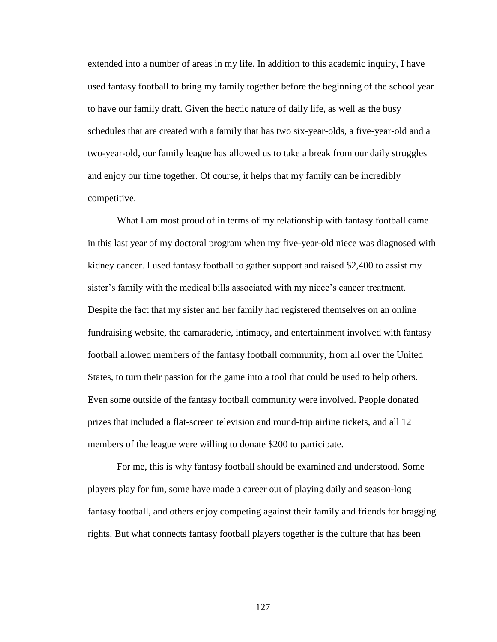extended into a number of areas in my life. In addition to this academic inquiry, I have used fantasy football to bring my family together before the beginning of the school year to have our family draft. Given the hectic nature of daily life, as well as the busy schedules that are created with a family that has two six-year-olds, a five-year-old and a two-year-old, our family league has allowed us to take a break from our daily struggles and enjoy our time together. Of course, it helps that my family can be incredibly competitive.

What I am most proud of in terms of my relationship with fantasy football came in this last year of my doctoral program when my five-year-old niece was diagnosed with kidney cancer. I used fantasy football to gather support and raised \$2,400 to assist my sister's family with the medical bills associated with my niece's cancer treatment. Despite the fact that my sister and her family had registered themselves on an online fundraising website, the camaraderie, intimacy, and entertainment involved with fantasy football allowed members of the fantasy football community, from all over the United States, to turn their passion for the game into a tool that could be used to help others. Even some outside of the fantasy football community were involved. People donated prizes that included a flat-screen television and round-trip airline tickets, and all 12 members of the league were willing to donate \$200 to participate.

For me, this is why fantasy football should be examined and understood. Some players play for fun, some have made a career out of playing daily and season-long fantasy football, and others enjoy competing against their family and friends for bragging rights. But what connects fantasy football players together is the culture that has been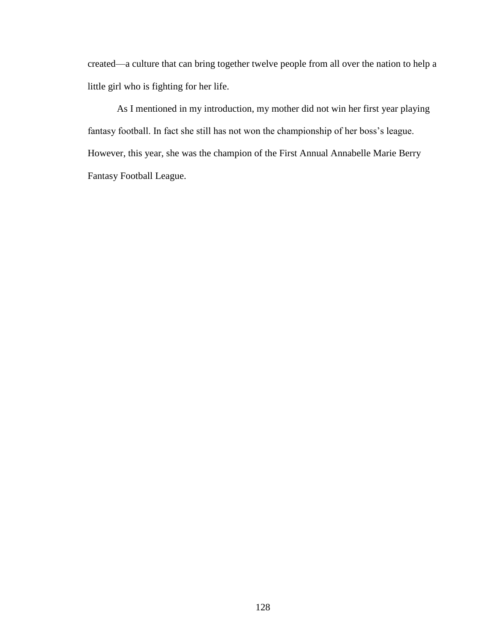created—a culture that can bring together twelve people from all over the nation to help a little girl who is fighting for her life.

As I mentioned in my introduction, my mother did not win her first year playing fantasy football. In fact she still has not won the championship of her boss's league. However, this year, she was the champion of the First Annual Annabelle Marie Berry Fantasy Football League.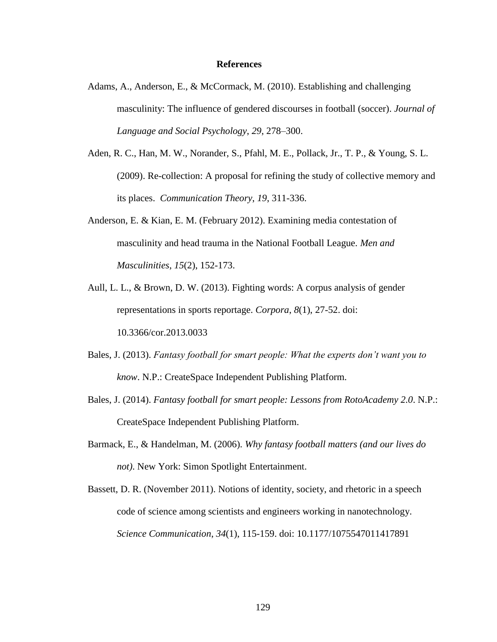### **References**

- Adams, A., Anderson, E., & McCormack, M. (2010). Establishing and challenging masculinity: The influence of gendered discourses in football (soccer). *Journal of Language and Social Psychology*, *29*, 278–300.
- Aden, R. C., Han, M. W., Norander, S., Pfahl, M. E., Pollack, Jr., T. P., & Young, S. L. (2009). Re-collection: A proposal for refining the study of collective memory and its places. *Communication Theory*, *19*, 311-336.
- Anderson, E. & Kian, E. M. (February 2012). Examining media contestation of masculinity and head trauma in the National Football League. *Men and Masculinities*, *15*(2), 152-173.
- Aull, L. L., & Brown, D. W. (2013). Fighting words: A corpus analysis of gender representations in sports reportage. *Corpora*, *8*(1), 27-52. doi: 10.3366/cor.2013.0033
- Bales, J. (2013). *Fantasy football for smart people: What the experts don't want you to know*. N.P.: CreateSpace Independent Publishing Platform.
- Bales, J. (2014). *Fantasy football for smart people: Lessons from RotoAcademy 2.0*. N.P.: CreateSpace Independent Publishing Platform.
- Barmack, E., & Handelman, M. (2006). *Why fantasy football matters (and our lives do not)*. New York: Simon Spotlight Entertainment.
- Bassett, D. R. (November 2011). Notions of identity, society, and rhetoric in a speech code of science among scientists and engineers working in nanotechnology. *Science Communication*, *34*(1), 115-159. doi: 10.1177/1075547011417891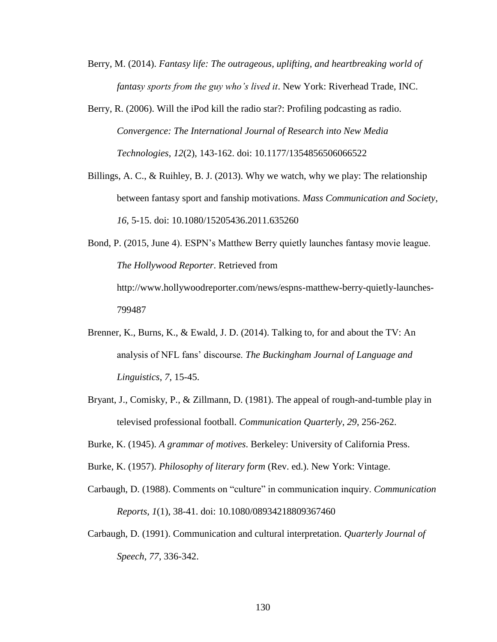- Berry, M. (2014). *Fantasy life: The outrageous, uplifting, and heartbreaking world of fantasy sports from the guy who's lived it*. New York: Riverhead Trade, INC.
- Berry, R. (2006). Will the iPod kill the radio star?: Profiling podcasting as radio. *Convergence: The International Journal of Research into New Media Technologies*, *12*(2), 143-162. doi: 10.1177/1354856506066522
- Billings, A. C., & Ruihley, B. J. (2013). Why we watch, why we play: The relationship between fantasy sport and fanship motivations. *Mass Communication and Society*, *16*, 5-15. doi: 10.1080/15205436.2011.635260

Bond, P. (2015, June 4). ESPN's Matthew Berry quietly launches fantasy movie league. *The Hollywood Reporter*. Retrieved from http://www.hollywoodreporter.com/news/espns-matthew-berry-quietly-launches-799487

- Brenner, K., Burns, K., & Ewald, J. D. (2014). Talking to, for and about the TV: An analysis of NFL fans' discourse. *The Buckingham Journal of Language and Linguistics*, *7*, 15-45.
- Bryant, J., Comisky, P., & Zillmann, D. (1981). The appeal of rough-and-tumble play in televised professional football. *Communication Quarterly*, *29*, 256-262.
- Burke, K. (1945). *A grammar of motives*. Berkeley: University of California Press.
- Burke, K. (1957). *Philosophy of literary form* (Rev. ed.). New York: Vintage.
- Carbaugh, D. (1988). Comments on "culture" in communication inquiry. *Communication Reports*, *1*(1), 38-41. doi: 10.1080/08934218809367460
- Carbaugh, D. (1991). Communication and cultural interpretation. *Quarterly Journal of Speech*, *77*, 336-342.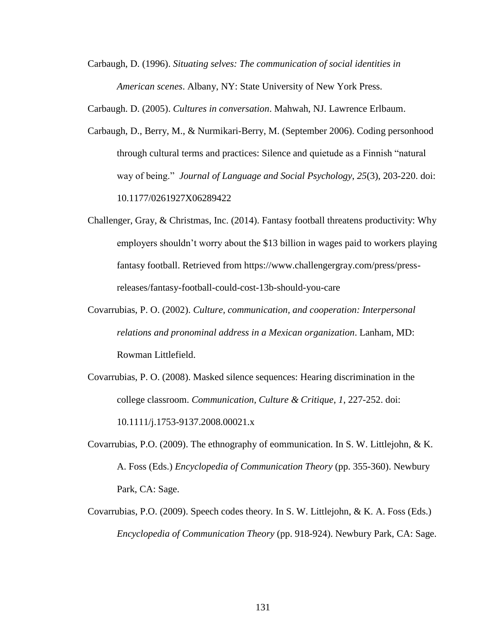Carbaugh, D. (1996). *Situating selves: The communication of social identities in American scenes*. Albany, NY: State University of New York Press.

Carbaugh. D. (2005). *Cultures in conversation*. Mahwah, NJ. Lawrence Erlbaum.

- Carbaugh, D., Berry, M., & Nurmikari-Berry, M. (September 2006). Coding personhood through cultural terms and practices: Silence and quietude as a Finnish "natural" way of being.‖ *Journal of Language and Social Psychology*, *25*(3), 203-220. doi: 10.1177/0261927X06289422
- Challenger, Gray, & Christmas, Inc. (2014). Fantasy football threatens productivity: Why employers shouldn't worry about the \$13 billion in wages paid to workers playing fantasy football. Retrieved from https://www.challengergray.com/press/pressreleases/fantasy-football-could-cost-13b-should-you-care
- Covarrubias, P. O. (2002). *Culture, communication, and cooperation: Interpersonal relations and pronominal address in a Mexican organization*. Lanham, MD: Rowman Littlefield.
- Covarrubias, P. O. (2008). Masked silence sequences: Hearing discrimination in the college classroom. *Communication, Culture & Critique*, *1*, 227-252. doi: 10.1111/j.1753-9137.2008.00021.x
- Covarrubias, P.O. (2009). The ethnography of eommunication. In S. W. Littlejohn, & K. A. Foss (Eds.) *Encyclopedia of Communication Theory* (pp. 355-360). Newbury Park, CA: Sage.
- Covarrubias, P.O. (2009). Speech codes theory. In S. W. Littlejohn, & K. A. Foss (Eds.) *Encyclopedia of Communication Theory* (pp. 918-924). Newbury Park, CA: Sage.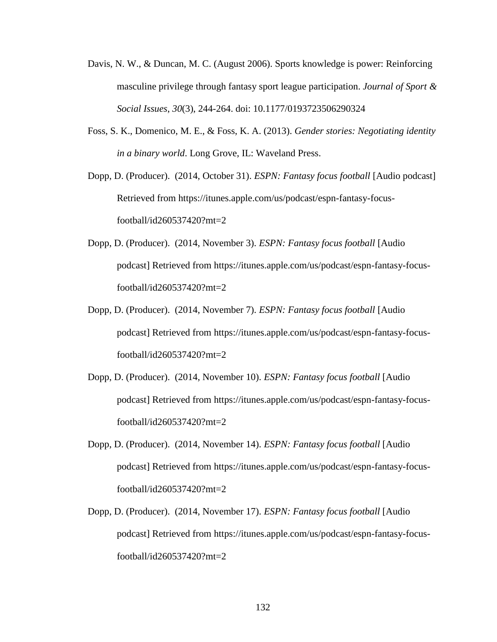- Davis, N. W., & Duncan, M. C. (August 2006). Sports knowledge is power: Reinforcing masculine privilege through fantasy sport league participation. *Journal of Sport & Social Issues*, *30*(3), 244-264. doi: 10.1177/0193723506290324
- Foss, S. K., Domenico, M. E., & Foss, K. A. (2013). *Gender stories: Negotiating identity in a binary world*. Long Grove, IL: Waveland Press.
- Dopp, D. (Producer). (2014, October 31). *ESPN: Fantasy focus football* [Audio podcast] Retrieved from https://itunes.apple.com/us/podcast/espn-fantasy-focusfootball/id260537420?mt=2
- Dopp, D. (Producer). (2014, November 3). *ESPN: Fantasy focus football* [Audio podcast] Retrieved from https://itunes.apple.com/us/podcast/espn-fantasy-focusfootball/id260537420?mt=2
- Dopp, D. (Producer). (2014, November 7). *ESPN: Fantasy focus football* [Audio podcast] Retrieved from https://itunes.apple.com/us/podcast/espn-fantasy-focusfootball/id260537420?mt=2
- Dopp, D. (Producer). (2014, November 10). *ESPN: Fantasy focus football* [Audio podcast] Retrieved from https://itunes.apple.com/us/podcast/espn-fantasy-focusfootball/id260537420?mt=2
- Dopp, D. (Producer). (2014, November 14). *ESPN: Fantasy focus football* [Audio podcast] Retrieved from https://itunes.apple.com/us/podcast/espn-fantasy-focusfootball/id260537420?mt=2
- Dopp, D. (Producer). (2014, November 17). *ESPN: Fantasy focus football* [Audio podcast] Retrieved from https://itunes.apple.com/us/podcast/espn-fantasy-focusfootball/id260537420?mt=2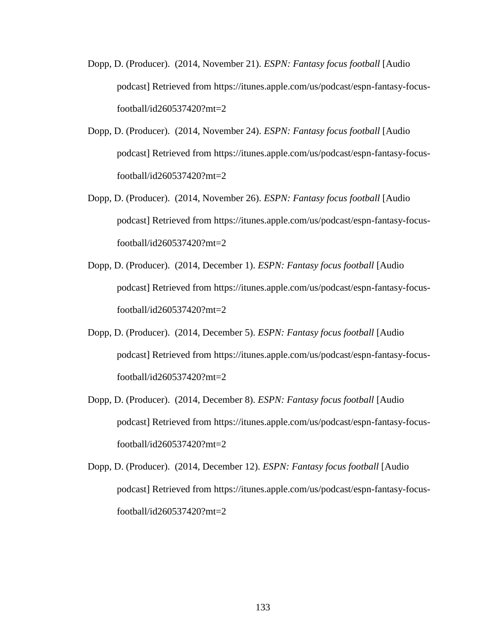- Dopp, D. (Producer). (2014, November 21). *ESPN: Fantasy focus football* [Audio podcast] Retrieved from https://itunes.apple.com/us/podcast/espn-fantasy-focusfootball/id260537420?mt=2
- Dopp, D. (Producer). (2014, November 24). *ESPN: Fantasy focus football* [Audio podcast] Retrieved from https://itunes.apple.com/us/podcast/espn-fantasy-focusfootball/id260537420?mt=2
- Dopp, D. (Producer). (2014, November 26). *ESPN: Fantasy focus football* [Audio podcast] Retrieved from https://itunes.apple.com/us/podcast/espn-fantasy-focusfootball/id260537420?mt=2
- Dopp, D. (Producer). (2014, December 1). *ESPN: Fantasy focus football* [Audio podcast] Retrieved from https://itunes.apple.com/us/podcast/espn-fantasy-focusfootball/id260537420?mt=2
- Dopp, D. (Producer). (2014, December 5). *ESPN: Fantasy focus football* [Audio podcast] Retrieved from https://itunes.apple.com/us/podcast/espn-fantasy-focusfootball/id260537420?mt=2
- Dopp, D. (Producer). (2014, December 8). *ESPN: Fantasy focus football* [Audio podcast] Retrieved from https://itunes.apple.com/us/podcast/espn-fantasy-focusfootball/id260537420?mt=2
- Dopp, D. (Producer). (2014, December 12). *ESPN: Fantasy focus football* [Audio podcast] Retrieved from https://itunes.apple.com/us/podcast/espn-fantasy-focusfootball/id260537420?mt=2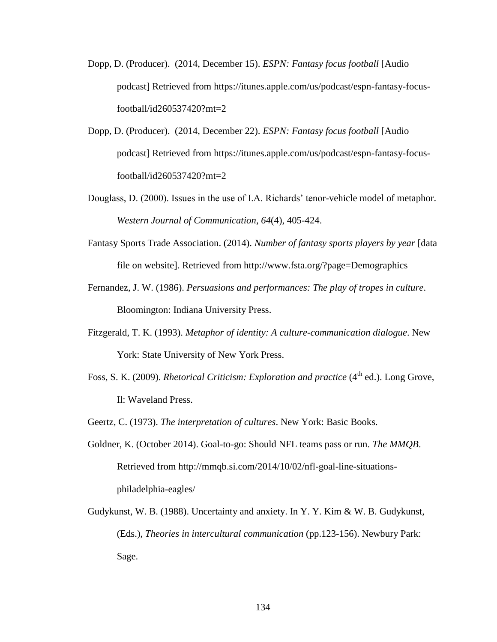- Dopp, D. (Producer). (2014, December 15). *ESPN: Fantasy focus football* [Audio podcast] Retrieved from https://itunes.apple.com/us/podcast/espn-fantasy-focusfootball/id260537420?mt=2
- Dopp, D. (Producer). (2014, December 22). *ESPN: Fantasy focus football* [Audio podcast] Retrieved from https://itunes.apple.com/us/podcast/espn-fantasy-focusfootball/id260537420?mt=2
- Douglass, D. (2000). Issues in the use of I.A. Richards' tenor-vehicle model of metaphor. *Western Journal of Communication*, *64*(4), 405-424.
- Fantasy Sports Trade Association. (2014). *Number of fantasy sports players by year* [data file on website]. Retrieved from http://www.fsta.org/?page=Demographics
- Fernandez, J. W. (1986). *Persuasions and performances: The play of tropes in culture*. Bloomington: Indiana University Press.
- Fitzgerald, T. K. (1993). *Metaphor of identity: A culture-communication dialogue*. New York: State University of New York Press.
- Foss, S. K. (2009). *Rhetorical Criticism: Exploration and practice* (4<sup>th</sup> ed.). Long Grove, Il: Waveland Press.
- Geertz, C. (1973). *The interpretation of cultures*. New York: Basic Books.
- Goldner, K. (October 2014). Goal-to-go: Should NFL teams pass or run. *The MMQB*. Retrieved from http://mmqb.si.com/2014/10/02/nfl-goal-line-situationsphiladelphia-eagles/
- Gudykunst, W. B. (1988). Uncertainty and anxiety. In Y. Y. Kim & W. B. Gudykunst, (Eds.), *Theories in intercultural communication* (pp.123-156). Newbury Park: Sage.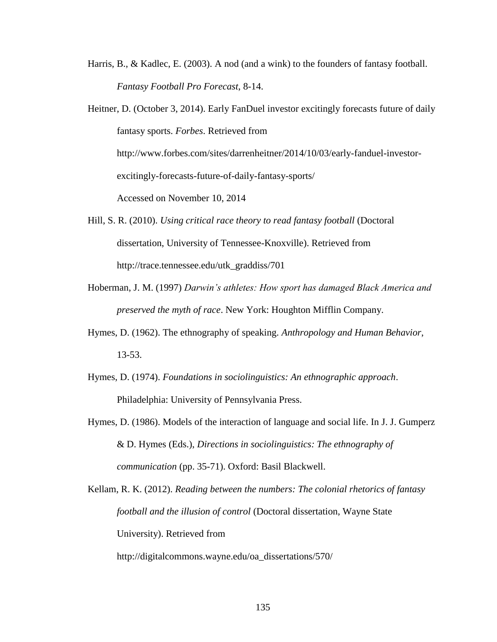Harris, B., & Kadlec, E. (2003). A nod (and a wink) to the founders of fantasy football. *Fantasy Football Pro Forecast*, 8-14.

Heitner, D. (October 3, 2014). Early FanDuel investor excitingly forecasts future of daily fantasy sports. *Forbes*. Retrieved from http://www.forbes.com/sites/darrenheitner/2014/10/03/early-fanduel-investorexcitingly-forecasts-future-of-daily-fantasy-sports/ Accessed on November 10, 2014

- Hill, S. R. (2010). *Using critical race theory to read fantasy football* (Doctoral dissertation, University of Tennessee-Knoxville). Retrieved from http://trace.tennessee.edu/utk\_graddiss/701
- Hoberman, J. M. (1997) *Darwin's athletes: How sport has damaged Black America and preserved the myth of race*. New York: Houghton Mifflin Company.
- Hymes, D. (1962). The ethnography of speaking. *Anthropology and Human Behavior*, 13-53.
- Hymes, D. (1974). *Foundations in sociolinguistics: An ethnographic approach*. Philadelphia: University of Pennsylvania Press.
- Hymes, D. (1986). Models of the interaction of language and social life. In J. J. Gumperz & D. Hymes (Eds.), *Directions in sociolinguistics: The ethnography of communication* (pp. 35-71). Oxford: Basil Blackwell.

Kellam, R. K. (2012). *Reading between the numbers: The colonial rhetorics of fantasy football and the illusion of control* (Doctoral dissertation, Wayne State University). Retrieved from

http://digitalcommons.wayne.edu/oa\_dissertations/570/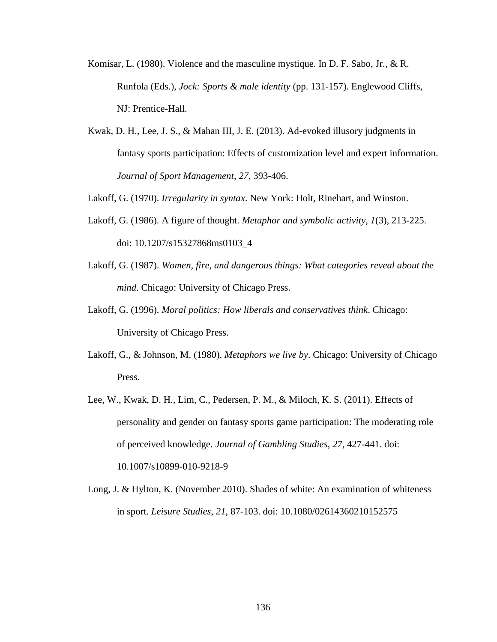- Komisar, L. (1980). Violence and the masculine mystique. In D. F. Sabo, Jr., & R. Runfola (Eds.), *Jock: Sports & male identity* (pp. 131-157). Englewood Cliffs, NJ: Prentice-Hall.
- Kwak, D. H., Lee, J. S., & Mahan III, J. E. (2013). Ad-evoked illusory judgments in fantasy sports participation: Effects of customization level and expert information. *Journal of Sport Management*, *27*, 393-406.
- Lakoff, G. (1970). *Irregularity in syntax*. New York: Holt, Rinehart, and Winston.
- Lakoff, G. (1986). A figure of thought. *Metaphor and symbolic activity*, *1*(3), 213-225. doi: 10.1207/s15327868ms0103\_4
- Lakoff, G. (1987). *Women, fire, and dangerous things: What categories reveal about the mind*. Chicago: University of Chicago Press.
- Lakoff, G. (1996). *Moral politics: How liberals and conservatives think*. Chicago: University of Chicago Press.
- Lakoff, G., & Johnson, M. (1980). *Metaphors we live by*. Chicago: University of Chicago Press.
- Lee, W., Kwak, D. H., Lim, C., Pedersen, P. M., & Miloch, K. S. (2011). Effects of personality and gender on fantasy sports game participation: The moderating role of perceived knowledge. *Journal of Gambling Studies*, *27*, 427-441. doi: 10.1007/s10899-010-9218-9
- Long, J. & Hylton, K. (November 2010). Shades of white: An examination of whiteness in sport. *Leisure Studies*, *21*, 87-103. doi: 10.1080/02614360210152575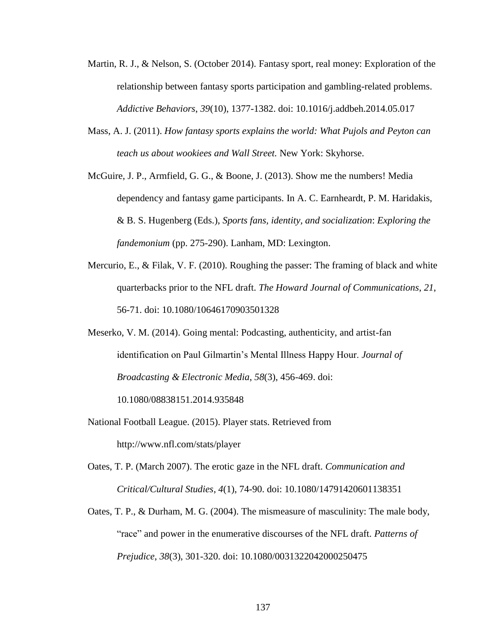- Martin, R. J., & Nelson, S. (October 2014). Fantasy sport, real money: Exploration of the relationship between fantasy sports participation and gambling-related problems. *Addictive Behaviors*, *39*(10), 1377-1382. doi: 10.1016/j.addbeh.2014.05.017
- Mass, A. J. (2011). *How fantasy sports explains the world: What Pujols and Peyton can teach us about wookiees and Wall Street.* New York: Skyhorse.
- McGuire, J. P., Armfield, G. G., & Boone, J. (2013). Show me the numbers! Media dependency and fantasy game participants*.* In A. C. Earnheardt, P. M. Haridakis, & B. S. Hugenberg (Eds.), *Sports fans, identity, and socialization*: *Exploring the fandemonium* (pp. 275-290). Lanham, MD: Lexington.
- Mercurio, E., & Filak, V. F. (2010). Roughing the passer: The framing of black and white quarterbacks prior to the NFL draft. *The Howard Journal of Communications*, *21*, 56-71. doi: 10.1080/10646170903501328
- Meserko, V. M. (2014). Going mental: Podcasting, authenticity, and artist-fan identification on Paul Gilmartin's Mental Illness Happy Hour. *Journal of Broadcasting & Electronic Media*, *58*(3), 456-469. doi:

10.1080/08838151.2014.935848

- National Football League. (2015). Player stats. Retrieved from http://www.nfl.com/stats/player
- Oates, T. P. (March 2007). The erotic gaze in the NFL draft. *Communication and Critical/Cultural Studies*, *4*(1), 74-90. doi: 10.1080/14791420601138351
- Oates, T. P., & Durham, M. G. (2004). The mismeasure of masculinity: The male body, ―race‖ and power in the enumerative discourses of the NFL draft. *Patterns of Prejudice*, *38*(3), 301-320. doi: 10.1080/0031322042000250475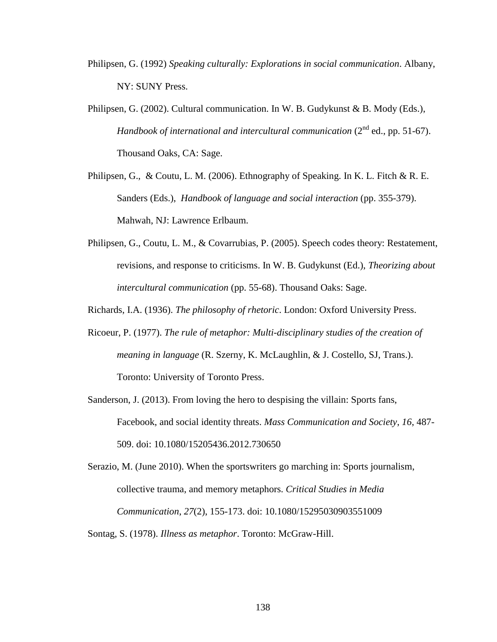- Philipsen, G. (1992) *Speaking culturally: Explorations in social communication*. Albany, NY: SUNY Press.
- Philipsen, G. (2002). Cultural communication. In W. B. Gudykunst & B. Mody (Eds.), *Handbook of international and intercultural communication* (2<sup>nd</sup> ed., pp. 51-67). Thousand Oaks, CA: Sage.
- Philipsen, G., & Coutu, L. M. (2006). Ethnography of Speaking. In K. L. Fitch & R. E. Sanders (Eds.), *Handbook of language and social interaction* (pp. 355-379). Mahwah, NJ: Lawrence Erlbaum.
- Philipsen, G., Coutu, L. M., & Covarrubias, P. (2005). Speech codes theory: Restatement, revisions, and response to criticisms. In W. B. Gudykunst (Ed.), *Theorizing about intercultural communication* (pp. 55-68). Thousand Oaks: Sage.
- Richards, I.A. (1936). *The philosophy of rhetoric*. London: Oxford University Press.
- Ricoeur, P. (1977). *The rule of metaphor: Multi-disciplinary studies of the creation of meaning in language* (R. Szerny, K. McLaughlin, & J. Costello, SJ, Trans.). Toronto: University of Toronto Press.
- Sanderson, J. (2013). From loving the hero to despising the villain: Sports fans, Facebook, and social identity threats. *Mass Communication and Society*, *16*, 487- 509. doi: 10.1080/15205436.2012.730650
- Serazio, M. (June 2010). When the sportswriters go marching in: Sports journalism, collective trauma, and memory metaphors. *Critical Studies in Media Communication*, *27*(2), 155-173. doi: 10.1080/15295030903551009
- Sontag, S. (1978). *Illness as metaphor*. Toronto: McGraw-Hill.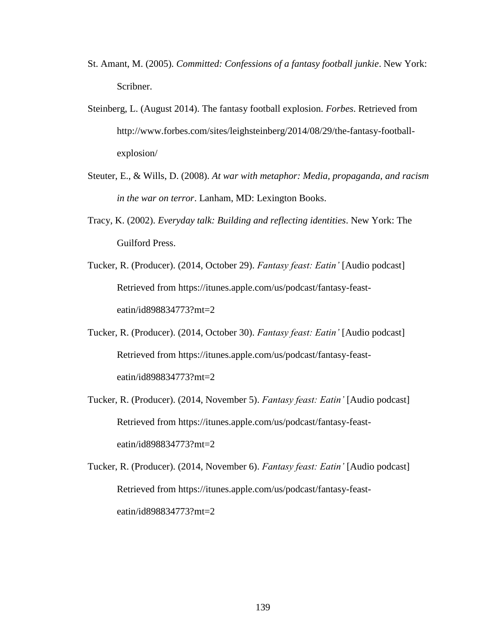- St. Amant, M. (2005). *Committed: Confessions of a fantasy football junkie*. New York: Scribner.
- Steinberg, L. (August 2014). The fantasy football explosion. *Forbes*. Retrieved from http://www.forbes.com/sites/leighsteinberg/2014/08/29/the-fantasy-footballexplosion/
- Steuter, E., & Wills, D. (2008). *At war with metaphor: Media, propaganda, and racism in the war on terror*. Lanham, MD: Lexington Books.
- Tracy, K. (2002). *Everyday talk: Building and reflecting identities*. New York: The Guilford Press.
- Tucker, R. (Producer). (2014, October 29). *Fantasy feast: Eatin'* [Audio podcast] Retrieved from https://itunes.apple.com/us/podcast/fantasy-feasteatin/id898834773?mt=2
- Tucker, R. (Producer). (2014, October 30). *Fantasy feast: Eatin'* [Audio podcast] Retrieved from https://itunes.apple.com/us/podcast/fantasy-feasteatin/id898834773?mt=2
- Tucker, R. (Producer). (2014, November 5). *Fantasy feast: Eatin'* [Audio podcast] Retrieved from https://itunes.apple.com/us/podcast/fantasy-feasteatin/id898834773?mt=2
- Tucker, R. (Producer). (2014, November 6). *Fantasy feast: Eatin'* [Audio podcast] Retrieved from https://itunes.apple.com/us/podcast/fantasy-feasteatin/id898834773?mt=2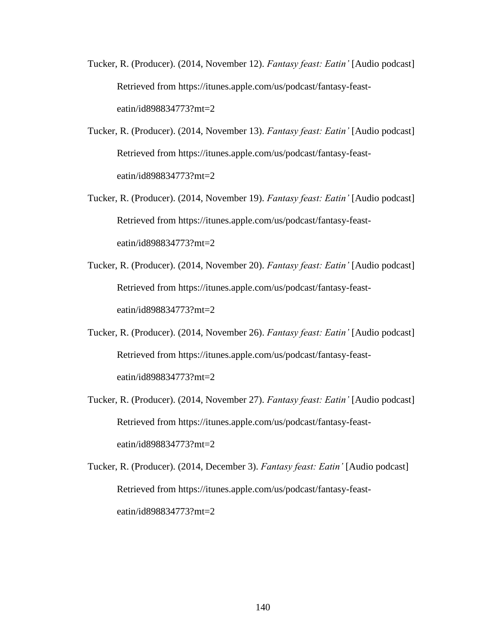- Tucker, R. (Producer). (2014, November 12). *Fantasy feast: Eatin'* [Audio podcast] Retrieved from https://itunes.apple.com/us/podcast/fantasy-feasteatin/id898834773?mt=2
- Tucker, R. (Producer). (2014, November 13). *Fantasy feast: Eatin'* [Audio podcast] Retrieved from https://itunes.apple.com/us/podcast/fantasy-feasteatin/id898834773?mt=2
- Tucker, R. (Producer). (2014, November 19). *Fantasy feast: Eatin'* [Audio podcast] Retrieved from https://itunes.apple.com/us/podcast/fantasy-feasteatin/id898834773?mt=2
- Tucker, R. (Producer). (2014, November 20). *Fantasy feast: Eatin'* [Audio podcast] Retrieved from https://itunes.apple.com/us/podcast/fantasy-feasteatin/id898834773?mt=2
- Tucker, R. (Producer). (2014, November 26). *Fantasy feast: Eatin'* [Audio podcast] Retrieved from https://itunes.apple.com/us/podcast/fantasy-feasteatin/id898834773?mt=2
- Tucker, R. (Producer). (2014, November 27). *Fantasy feast: Eatin'* [Audio podcast] Retrieved from https://itunes.apple.com/us/podcast/fantasy-feasteatin/id898834773?mt=2
- Tucker, R. (Producer). (2014, December 3). *Fantasy feast: Eatin'* [Audio podcast] Retrieved from https://itunes.apple.com/us/podcast/fantasy-feasteatin/id898834773?mt=2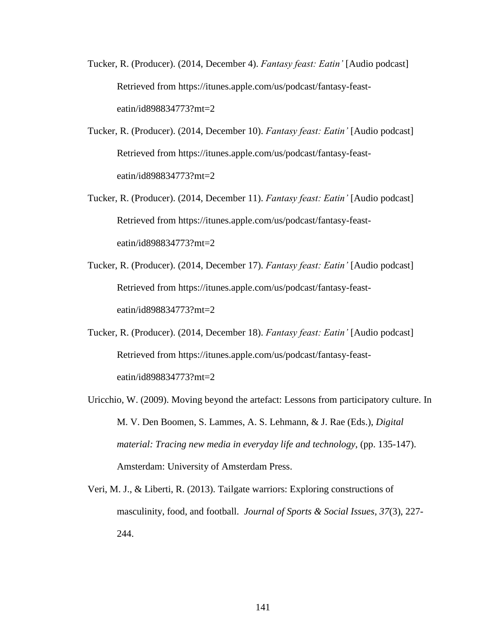- Tucker, R. (Producer). (2014, December 4). *Fantasy feast: Eatin'* [Audio podcast] Retrieved from https://itunes.apple.com/us/podcast/fantasy-feasteatin/id898834773?mt=2
- Tucker, R. (Producer). (2014, December 10). *Fantasy feast: Eatin'* [Audio podcast] Retrieved from https://itunes.apple.com/us/podcast/fantasy-feasteatin/id898834773?mt=2
- Tucker, R. (Producer). (2014, December 11). *Fantasy feast: Eatin'* [Audio podcast] Retrieved from https://itunes.apple.com/us/podcast/fantasy-feasteatin/id898834773?mt=2
- Tucker, R. (Producer). (2014, December 17). *Fantasy feast: Eatin'* [Audio podcast] Retrieved from https://itunes.apple.com/us/podcast/fantasy-feasteatin/id898834773?mt=2
- Tucker, R. (Producer). (2014, December 18). *Fantasy feast: Eatin'* [Audio podcast] Retrieved from https://itunes.apple.com/us/podcast/fantasy-feasteatin/id898834773?mt=2
- Uricchio, W. (2009). Moving beyond the artefact: Lessons from participatory culture. In M. V. Den Boomen, S. Lammes, A. S. Lehmann, & J. Rae (Eds.), *Digital material: Tracing new media in everyday life and technology*, (pp. 135-147). Amsterdam: University of Amsterdam Press.
- Veri, M. J., & Liberti, R. (2013). Tailgate warriors: Exploring constructions of masculinity, food, and football. *Journal of Sports & Social Issues*, *37*(3), 227- 244.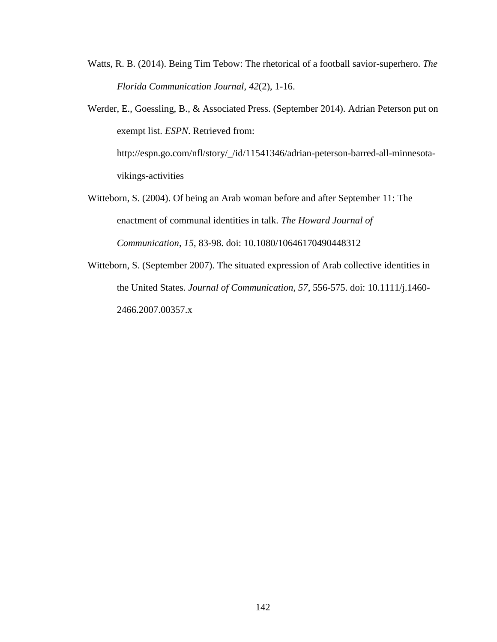- Watts, R. B. (2014). Being Tim Tebow: The rhetorical of a football savior-superhero. *The Florida Communication Journal*, *42*(2), 1-16.
- Werder, E., Goessling, B., & Associated Press. (September 2014). Adrian Peterson put on exempt list. *ESPN*. Retrieved from:

http://espn.go.com/nfl/story/\_/id/11541346/adrian-peterson-barred-all-minnesotavikings-activities

- Witteborn, S. (2004). Of being an Arab woman before and after September 11: The enactment of communal identities in talk. *The Howard Journal of Communication*, *15*, 83-98. doi: 10.1080/10646170490448312
- Witteborn, S. (September 2007). The situated expression of Arab collective identities in the United States. *Journal of Communication*, *57*, 556-575. doi: 10.1111/j.1460- 2466.2007.00357.x